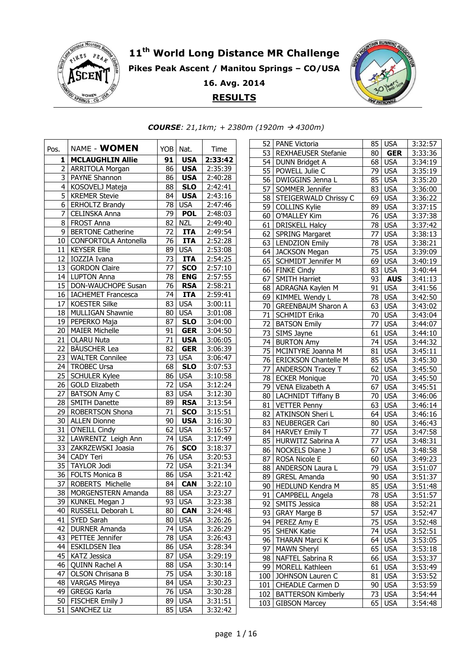

## **th World Long Distance MR Challenge Pikes Peak Ascent / Manitou Springs – CO/USA 16. Avg. 2014 RESULTS**



*COURSE: 21,1km; + 2380m (1920m 4300m)* 

| Pos.            | NAME - <b>WOMEN</b>                        |    | YOB Nat.   | Time    |  |
|-----------------|--------------------------------------------|----|------------|---------|--|
| 1               | <b>MCLAUGHLIN Allie</b>                    | 91 | <b>USA</b> | 2:33:42 |  |
| 2               | ARRITOLA Morgan                            | 86 | <b>USA</b> | 2:35:39 |  |
| 3               | PAYNE Shannon                              | 86 | <b>USA</b> | 2:40:28 |  |
| 4               | KOSOVELJ Mateja                            | 88 | <b>SLO</b> | 2:42:41 |  |
| 5               | <b>KREMER Stevie</b>                       | 84 | <b>USA</b> | 2:43:16 |  |
| 6               | ERHOLTZ Brandy                             | 78 | <b>USA</b> | 2:47:46 |  |
| 7               | <b>CELINSKA Anna</b>                       | 79 | <b>POL</b> | 2:48:03 |  |
|                 | 8 FROST Anna                               | 82 | <b>NZL</b> | 2:49:40 |  |
|                 | 9   BERTONE Catherine                      | 72 | <b>ITA</b> | 2:49:54 |  |
|                 | 10 CONFORTOLA Antonella                    | 76 | <b>ITA</b> | 2:52:28 |  |
|                 | 11 KEYSER Ellie                            | 89 | <b>USA</b> | 2:53:08 |  |
|                 | 12   IOZZIA Ivana                          | 73 | <b>ITA</b> | 2:54:25 |  |
| 13              | <b>GORDON Claire</b>                       | 77 | <b>SCO</b> | 2:57:10 |  |
|                 | 14 LUPTON Anna                             | 78 | <b>ENG</b> | 2:57:55 |  |
|                 | 15   DON-WAUCHOPE Susan                    | 76 | <b>RSA</b> | 2:58:21 |  |
|                 | 16   IACHEMET Francesca                    |    | $74$ ITA   | 2:59:41 |  |
|                 | 17   KOESTER Silke                         |    | 83 USA     | 3:00:11 |  |
|                 | 18   MULLIGAN Shawnie                      | 80 | <b>USA</b> | 3:01:08 |  |
|                 | 19   PEPERKO Maja                          | 87 | SLO        | 3:04:00 |  |
|                 | 20   MAIER Michelle                        | 91 | <b>GER</b> | 3:04:50 |  |
| 21              | <b>OLARU Nuta</b>                          | 71 | <b>USA</b> | 3:06:05 |  |
| 22 <sub>1</sub> | <b>BÄUSCHER Lea</b>                        | 82 | <b>GER</b> | 3:06:39 |  |
| 23              | <b>WALTER Connilee</b>                     | 73 | <b>USA</b> | 3:06:47 |  |
|                 | 24   TROBEC Ursa                           | 68 | <b>SLO</b> | 3:07:53 |  |
|                 | 25   SCHULER Kylee                         |    | 86 USA     | 3:10:58 |  |
|                 | 26 GOLD Elizabeth                          |    | 72 USA     | 3:12:24 |  |
|                 | 27   BATSON Amy C                          | 83 | <b>USA</b> | 3:12:30 |  |
|                 | 28   SMITH Danette                         |    | 89 RSA     | 3:13:54 |  |
|                 | 29   ROBERTSON Shona                       | 71 | <b>SCO</b> | 3:15:51 |  |
|                 | 30 ALLEN Dionne                            | 90 | <b>USA</b> | 3:16:30 |  |
| 31              | O'NEILL Cindy                              | 62 | <b>USA</b> | 3:16:57 |  |
| 32              | LAWRENTZ Leigh Ann                         |    | 74 USA     | 3:17:49 |  |
| 33              | ZAKRZEWSKI Joasia                          |    | 76 SCO     | 3:18:37 |  |
|                 | 34 CADY Teri                               |    | 76 USA     | 3:20:53 |  |
|                 | 35 TAYLOR Jodi                             |    | 72 USA     | 3:21:34 |  |
|                 | 36   FOLTS Monica B                        |    | 86 USA     | 3:21:42 |  |
|                 | 37 ROBERTS Michelle                        | 84 | <b>CAN</b> | 3:22:10 |  |
|                 | 38 MORGENSTERN Amanda                      |    | $88$ USA   | 3:23:27 |  |
| 39              | KUNKEL Megan J                             | 93 | <b>USA</b> | 3:23:38 |  |
| 40              | RUSSELL Deborah L                          | 80 | <b>CAN</b> | 3:24:48 |  |
| 41              | SYED Sarah                                 | 80 | <b>USA</b> | 3:26:26 |  |
| 42              | <b>DURNER Amanda</b>                       | 74 | <b>USA</b> | 3:26:29 |  |
| 43              | PETTEE Jennifer                            | 78 | <b>USA</b> | 3:26:43 |  |
| 44              | <b>ESKILDSEN Ilea</b>                      |    | 86 USA     | 3:28:34 |  |
| 45              | <b>KATZ Jessica</b>                        | 87 | <b>USA</b> | 3:29:19 |  |
| 46              | QUINN Rachel A                             | 88 | <b>USA</b> | 3:30:14 |  |
| 47              |                                            | 75 | <b>USA</b> |         |  |
|                 | OLSON Chrisana B                           |    |            | 3:30:18 |  |
| 48              | <b>VARGAS Mireya</b><br><b>GREGG Karla</b> | 84 | <b>USA</b> | 3:30:23 |  |
| 49              |                                            | 76 | <b>USA</b> | 3:30:28 |  |
| 50              | <b>FISCHER Emily J</b>                     | 89 | <b>USA</b> | 3:31:51 |  |
| 51              | <b>SANCHEZ Liz</b>                         | 85 | <b>USA</b> | 3:32:42 |  |

| 52  | <b>PANE Victoria</b>         |                 | 85 USA                     | 3:32:57 |
|-----|------------------------------|-----------------|----------------------------|---------|
|     | 53 REXHAEUSER Stefanie       | 80 <sub>1</sub> | $\overline{\mathsf{G}}$ ER | 3:33:36 |
|     | 54 DUNN Bridget A            |                 | 68 USA                     | 3:34:19 |
| 55  | POWELL Julie C               |                 | 79 USA                     | 3:35:19 |
|     | 56   DWIGGINS Jenna L        |                 | 85 USA                     | 3:35:20 |
| 57  | SOMMER Jennifer              |                 | 83 USA                     | 3:36:00 |
| 58  | <b>STEIGERWALD Chrissy C</b> | 69              | <b>USA</b>                 | 3:36:22 |
| 59  | <b>COLLINS Kylie</b>         | 89              | <b>USA</b>                 | 3:37:15 |
| 60  | O'MALLEY Kim                 |                 | 76 USA                     | 3:37:38 |
| 61  | <b>DRISKELL Halcy</b>        |                 | 78 USA                     | 3:37:42 |
|     | 62 SPRING Margaret           |                 | 77 USA                     | 3:38:13 |
| 63  | <b>LENDZION Emily</b>        | 78              | <b>USA</b>                 | 3:38:21 |
| 64  | <b>JACKSON Megan</b>         | 75              | <b>USA</b>                 | 3:39:09 |
| 65  | <b>SCHMIDT Jennifer M</b>    | 69              | <b>USA</b>                 | 3:40:19 |
|     | 66 FINKE Cindy               |                 | 83 USA                     | 3:40:44 |
| 67  | <b>SMITH Harriet</b>         | 93              | <b>AUS</b>                 | 3:41:13 |
| 68  | ADRAGNA Kaylen M             | 91              | <b>USA</b>                 | 3:41:56 |
| 69  | <b>KIMMEL Wendy L</b>        |                 | <b>78 USA</b>              | 3:42:50 |
| 70  | <b>GREENBAUM Sharon A</b>    |                 | 63 USA                     | 3:43:02 |
| 71  | <b>SCHMIDT Erika</b>         |                 | 70 USA                     | 3:43:04 |
|     | 72   BATSON Emily            |                 | 77 USA                     | 3:44:07 |
|     | 73 SIMS Jayne                |                 | 61 USA                     | 3:44:10 |
|     | 74 BURTON Amy                |                 | 74 USA                     | 3:44:32 |
|     | 75   MCINTYRE Joanna M       |                 | 81 USA                     | 3:45:11 |
| 76  | <b>ERICKSON Chantelle M</b>  |                 | 85 USA                     | 3:45:30 |
| 77  | <b>ANDERSON Tracey T</b>     |                 | 62 USA                     | 3:45:50 |
| 78  | <b>ECKER Monique</b>         |                 | 70 USA                     | 3:45:50 |
| 79  | VENA Elizabeth A             |                 | 67 USA                     | 3:45:51 |
| 80  | <b>LACHNIDT Tiffany B</b>    |                 | 70 USA                     | 3:46:06 |
| 81  | <b>VETTER Penny</b>          |                 | $63$ USA                   | 3:46:14 |
| 82  | ATKINSON Sheri L             | 64              | <b>USA</b>                 | 3:46:16 |
| 83  | NEUBERGER Cari               |                 | 80 USA                     | 3:46:43 |
| 84  | <b>HARVEY Emily T</b>        | 77              | USA                        | 3:47:58 |
| 85  | HURWITZ Sabrina A            | 77              | <b>USA</b>                 | 3:48:31 |
| 86  | NOCKELS Diane J              | 67              | <b>USA</b>                 | 3:48:58 |
| 87  | <b>ROSA Nicole E</b>         |                 | 60 USA                     | 3:49:23 |
| 88  | ANDERSON Laura L             |                 | 79 USA                     | 3:51:07 |
| 89  | <b>GRESL Amanda</b>          |                 | 90 USA                     | 3:51:37 |
| 90  | HEDLUND Kendra M             | 85              | <b>USA</b>                 | 3:51:48 |
|     | 91 CAMPBELL Angela           |                 | 78 USA                     | 3:51:57 |
| 92  | <b>SMITS Jessica</b>         | 88 l            | <b>USA</b>                 | 3:52:21 |
| 93  | <b>GRAY Marge B</b>          | 57              | <b>USA</b>                 | 3:52:47 |
| 94  | PEREZ Amy E                  | 75              | <b>USA</b>                 | 3:52:48 |
| 95  | <b>SHENK Katie</b>           | 74              | <b>USA</b>                 | 3:52:51 |
| 96  | THARAN Marci K               | 64 I            | <b>USA</b>                 | 3:53:05 |
| 97  | <b>MAWN Sheryl</b>           | 65              | <b>USA</b>                 | 3:53:18 |
| 98  | NAFTEL Sabrina R             | 66              | <b>USA</b>                 | 3:53:37 |
| 99  | MORELL Kathleen              | 61              | <b>USA</b>                 | 3:53:49 |
| 100 | JOHNSON Lauren C             | 81              | <b>USA</b>                 | 3:53:52 |
| 101 | CHEADLE Carmen D             | 90 I            | <b>USA</b>                 | 3:53:59 |
| 102 | <b>BATTERSON Kimberly</b>    | 73              | <b>USA</b>                 | 3:54:44 |
| 103 | <b>GIBSON Marcey</b>         | 65              | <b>USA</b>                 | 3:54:48 |
|     |                              |                 |                            |         |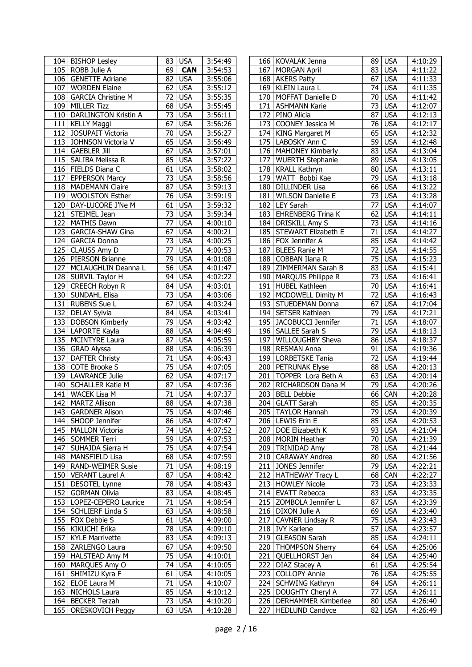| 69<br>105 ROBB Julie A<br>3:54:53<br>83 USA<br><b>CAN</b><br>167<br><b>MORGAN April</b><br>4:11:22<br>82<br>67<br>106   GENETTE Adriane<br><b>USA</b><br>3:55:06<br><b>USA</b><br>4:11:33<br>168 AKERS Patty<br>62<br>74 USA<br>4:11:35<br>107   WORDEN Elaine<br><b>USA</b><br>3:55:12<br>169<br>KLEIN Laura L<br>72<br><b>USA</b><br><b>USA</b><br>108   GARCIA Christine M<br>3:55:35<br>170   MOFFAT Danielle D<br>70<br>4:11:42<br><b>USA</b><br>109 MILLER Tizz<br>68<br><b>USA</b><br>3:55:45<br>73<br>4:12:07<br>171   ASHMANN Karie<br>$\overline{73}$<br><b>USA</b><br>110   DARLINGTON Kristin A<br><b>USA</b><br>3:56:11<br>PINO Alicia<br>87<br>172<br>4:12:13<br>$\overline{67}$<br>76<br>4:12:17<br><b>USA</b><br>3:56:26<br>173<br>COONEY Jessica M<br><b>USA</b><br>111   KELLY Maggi<br>112 JOSUPAIT Victoria<br>70<br><b>USA</b><br>174<br><b>KING Margaret M</b><br>65<br><b>USA</b><br>4:12:32<br>3:56:27<br>59 USA<br>65<br><b>USA</b><br>175 LABOSKY Ann C<br>113 JOHNSON Victoria V<br>3:56:49<br>4:12:48<br>83 USA<br>114 GAEBLER Jill<br>67<br><b>USA</b><br>176   MAHONEY Kimberly<br>4:13:04<br>3:57:01<br>85<br><b>USA</b><br><b>USA</b><br>115   SALIBA Melissa R<br>3:57:22<br>177<br>WUERTH Stephanie<br>89<br>4:13:05<br><b>USA</b><br>4:13:11<br>116   FIELDS Diana C<br>61<br><b>USA</b><br>3:58:02<br>178<br><b>KRALL Kathryn</b><br>80<br>73<br><b>USA</b><br><b>USA</b><br>3:58:56<br>WATT Bobbi Kae<br>79<br>4:13:18<br>117   EPPERSON Marcy<br>179<br><b>USA</b><br>66 USA<br>118   MADEMANN Claire<br>87<br>180 DILLINDER Lisa<br>4:13:22<br>3:59:13<br>73 USA<br>76<br><b>USA</b><br>119 WOOLSTON Esther<br>3:59:19<br>181 WILSON Danielle E<br>4:13:28<br>$\overline{77}$<br>61<br><b>USA</b><br>182   LEY Sarah<br><b>USA</b><br>120   DAY-LUCORE J'Ne M<br>3:59:32<br>4:14:07<br>62<br><b>USA</b><br>121 STEIMEL Jean<br>73<br><b>USA</b><br><b>EHRENBERG Trina K</b><br>4:14:11<br>3:59:34<br>183<br>77<br>73<br>122<br><b>USA</b><br>184 DRISKILL Amy S<br><b>USA</b><br><b>MATHIS Dawn</b><br>4:00:10<br>4:14:16<br>$\overline{71}$<br>67<br><b>USA</b><br>185 STEWART Elizabeth E<br><b>USA</b><br>4:14:27<br>123<br>GARCIA-SHAW Gina<br>4:00:21<br>$\overline{73}$<br><b>USA</b><br>85<br><b>USA</b><br>124<br><b>GARCIA Donna</b><br>$\overline{4:00:25}$<br>186 FOX Jennifer A<br>4:14:42<br>77<br>72<br>125 CLAUSS Amy D<br><b>USA</b><br>4:00:53<br>187<br><b>BLEES Ranie M</b><br><b>USA</b><br>4:14:55<br><b>USA</b><br><b>PIERSON Brianne</b><br>79<br>COBBAN Ilana R<br>75<br>4:15:23<br>126<br><b>USA</b><br>$\overline{4}:01:08$<br>188<br>127<br>56<br><b>USA</b><br>83 USA<br>MCLAUGHLIN Deanna L<br>4:01:47<br>189<br><b>ZIMMERMAN Sarah B</b><br>4:15:41<br><b>USA</b><br>94<br><b>USA</b><br>4:02:22<br>MARQUIS Philippe R<br>73<br>4:16:41<br>128   SURVIL Taylor H<br>190<br><b>HUBEL Kathleen</b><br>70<br><b>USA</b><br>129 CREECH Robyn R<br>84<br><b>USA</b><br>4:03:01<br>191<br>4:16:41<br>$\overline{72}$<br>73<br><b>USA</b><br><b>USA</b><br>192   MCDOWELL Dimity M<br>4:16:43<br>130   SUNDAHL Elisa<br>4:03:06<br>67<br>131 RUBENS Sue L<br>67<br><b>USA</b><br>193   STUEDEMAN Donna<br><b>USA</b><br>4:03:24<br>4:17:04<br>79 USA<br>132   DELAY Sylvia<br>84<br><b>USA</b><br>4:03:41<br>194   SETSER Kathleen<br>4:17:21<br><b>USA</b><br>133 DOBSON Kimberly<br>79<br><b>USA</b><br>4:03:42<br>195 JACOBUCCI Jennifer<br>71<br>4:18:07<br>88<br><b>USA</b><br>79<br><b>USA</b><br>134 LAPORTE Kayla<br>4:04:49<br>196<br>SALLEE Sarah S<br>4:18:13<br>87<br><b>WILLOUGHBY Sheva</b><br>86<br>135   MCINTYRE Laura<br><b>USA</b><br>4:05:59<br>197<br><b>USA</b><br>4:18:37<br>136 GRAD Alyssa<br>88<br><b>USA</b><br>91<br><b>USA</b><br>4:06:39<br>198<br><b>RESMAN Anna</b><br>4:19:36<br><b>USA</b><br>137 DAFTER Christy<br>71<br><b>USA</b><br>72<br>199   LORBETSKE Tania<br>4:19:44<br>4:06:43<br>75<br><b>USA</b><br>88 USA<br>138 COTE Brooke S<br>200 PETRUNAK Elyse<br>4:20:13<br>4:07:05<br>62<br><b>USA</b><br>63 USA<br>139   LAWRANCE Julie<br>201   TOPPER Lora Beth A<br>4:20:14<br>4:07:17<br>79<br><b>USA</b><br>87<br><b>USA</b><br>140 SCHALLER Katie M<br>4:07:36<br>202<br>RICHARDSON Dana M<br>4:20:26<br>71<br>66<br>CAN<br>141   WACEK Lisa M<br><b>USA</b><br>4:07:37<br>203<br><b>BELL Debbie</b><br>4:20:28<br>$\overline{88}$<br>142   MARTZ Allison<br><b>USA</b><br>$\overline{4:}07:38$<br>204 GLATT Sarah<br>85 USA<br>4:20:35<br>75 USA<br>$\overline{79}$ USA<br>143 GARDNER Alison<br>4:07:46<br>205 TAYLOR Hannah<br>4:20:39<br>144   SHOOP Jennifer<br>206   LEWIS Erin E<br>86 USA<br>4:07:47<br>85 USA<br>4:20:53<br>74 USA<br>4:07:52<br>207<br>DOE Elizabeth K<br>93 USA<br>4:21:04<br>145   MALLON Victoria<br>70 USA<br>59<br><b>USA</b><br>146   SOMMER Terri<br>4:07:53<br>208   MORIN Heather<br>4:21:39<br><b>78 USA</b><br>75<br><b>USA</b><br>147   SUHAJDA Sierra H<br>4:07:54<br>209 TRINIDAD Amy<br>4:21:44<br>80 USA<br>148   MANSFIELD Lisa<br>68<br><b>USA</b><br><b>CARAWAY Andrea</b><br>4:21:56<br>4:07:59<br>210<br>$\overline{71}$ USA<br>211 JONES Jennifer<br>79 USA<br>4:22:21<br>149   RAND-WEIMER Susie<br>4:08:19<br>87<br><b>USA</b><br>68 CAN<br>150   VERANT Laurel A<br>4:08:42<br>212   HATHEWAY Tracy L<br>4:22:27<br>78<br>73 USA<br>151   DESOTEL Lynne<br><b>USA</b><br>4:08:43<br>213   HOWLEY Nicole<br>4:23:33<br><b>USA</b><br>83 USA<br>152 GORMAN Olivia<br>83<br>4:08:45<br>214 EVATT Rebecca<br>4:23:35<br>153   LOPEZ-CEPERO Laurice<br><b>USA</b><br>215 ZOMBOLA Jennifer L<br>87 USA<br>4:23:39<br>71<br>4:08:54<br>216   DIXON Julie A<br>4:23:40<br>154   SCHLIERF Linda S<br>63 <br><b>USA</b><br>4:08:58<br>69 USA<br>61<br>75 USA<br>155   FOX Debbie S<br><b>USA</b><br>4:09:00<br>217<br><b>CAVNER Lindsay R</b><br>4:23:43<br>78<br><b>USA</b><br>57 USA<br>156   KIKUCHI Erika<br>218   IVY Karlene<br>4:23:57<br>4:09:10<br>85 USA<br><b>USA</b><br>157<br><b>KYLE Marrivette</b><br>83<br>4:09:13<br>219   GLEASON Sarah<br>4:24:11<br>158 ZARLENGO Laura<br>67<br>64 USA<br>4:25:06<br><b>USA</b><br>4:09:50<br>220   THOMPSON Sherry<br>159 HALSTEAD Amy M<br>84 USA<br>75<br><b>USA</b><br>4:10:01<br>QUELLHORST Jen<br>4:25:40<br>221<br>160   MARQUES Amy O<br>74<br><b>USA</b><br>4:10:05<br>DIAZ Stacey A<br>61 USA<br>4:25:54<br>222<br>161   SHIMIZU Kyra F<br><b>USA</b><br>4:10:05<br><b>COLLOPY Annie</b><br>76 USA<br>4:25:55<br>61<br>223<br>71<br><b>USA</b><br>224 SCHWING Kathryn<br>84 USA<br>162   ELOE Laura M<br>4:10:07<br>4:26:11<br>163 NICHOLS Laura<br>85<br><b>USA</b><br>77 USA<br>4:26:11<br>4:10:12<br>225   DOUGHTY Cheryl A<br>73<br>164   BECKER Terzah<br><b>USA</b><br>4:10:20<br>226<br><b>DERHAMMER Kimberlee</b><br>80 USA<br>4:26:40<br>63 USA<br>165   ORESKOVICH Peggy<br>227   HEDLUND Candyce<br>82 USA<br>4:10:28<br>4:26:49 | 104   BISHOP Lesley | 83 USA | 3:54:49 |  | 166   KOVALAK Jenna | 89   USA | 4:10:29 |
|-----------------------------------------------------------------------------------------------------------------------------------------------------------------------------------------------------------------------------------------------------------------------------------------------------------------------------------------------------------------------------------------------------------------------------------------------------------------------------------------------------------------------------------------------------------------------------------------------------------------------------------------------------------------------------------------------------------------------------------------------------------------------------------------------------------------------------------------------------------------------------------------------------------------------------------------------------------------------------------------------------------------------------------------------------------------------------------------------------------------------------------------------------------------------------------------------------------------------------------------------------------------------------------------------------------------------------------------------------------------------------------------------------------------------------------------------------------------------------------------------------------------------------------------------------------------------------------------------------------------------------------------------------------------------------------------------------------------------------------------------------------------------------------------------------------------------------------------------------------------------------------------------------------------------------------------------------------------------------------------------------------------------------------------------------------------------------------------------------------------------------------------------------------------------------------------------------------------------------------------------------------------------------------------------------------------------------------------------------------------------------------------------------------------------------------------------------------------------------------------------------------------------------------------------------------------------------------------------------------------------------------------------------------------------------------------------------------------------------------------------------------------------------------------------------------------------------------------------------------------------------------------------------------------------------------------------------------------------------------------------------------------------------------------------------------------------------------------------------------------------------------------------------------------------------------------------------------------------------------------------------------------------------------------------------------------------------------------------------------------------------------------------------------------------------------------------------------------------------------------------------------------------------------------------------------------------------------------------------------------------------------------------------------------------------------------------------------------------------------------------------------------------------------------------------------------------------------------------------------------------------------------------------------------------------------------------------------------------------------------------------------------------------------------------------------------------------------------------------------------------------------------------------------------------------------------------------------------------------------------------------------------------------------------------------------------------------------------------------------------------------------------------------------------------------------------------------------------------------------------------------------------------------------------------------------------------------------------------------------------------------------------------------------------------------------------------------------------------------------------------------------------------------------------------------------------------------------------------------------------------------------------------------------------------------------------------------------------------------------------------------------------------------------------------------------------------------------------------------------------------------------------------------------------------------------------------------------------------------------------------------------------------------------------------------------------------------------------------------------------------------------------------------------------------------------------------------------------------------------------------------------------------------------------------------------------------------------------------------------------------------------------------------------------------------------------------------------------------------------------------------------------------------------------------------------------------------------------------------------------------------------------------------------------------------------------------------------------------------------------------------------------------------------------------------------------------------------------------------------------------------------------------------------------------------------------------------------------------------------------------------------------------------------------------------------------------------------------------------------------------------------------------------------------------------------------------------------------------------------------------------------------------------------------------------------------------------------------------------------------------------------------------------------------------------------------------------------------------------------------------------------------------------------------------------------------------------------------------------------------|---------------------|--------|---------|--|---------------------|----------|---------|
|                                                                                                                                                                                                                                                                                                                                                                                                                                                                                                                                                                                                                                                                                                                                                                                                                                                                                                                                                                                                                                                                                                                                                                                                                                                                                                                                                                                                                                                                                                                                                                                                                                                                                                                                                                                                                                                                                                                                                                                                                                                                                                                                                                                                                                                                                                                                                                                                                                                                                                                                                                                                                                                                                                                                                                                                                                                                                                                                                                                                                                                                                                                                                                                                                                                                                                                                                                                                                                                                                                                                                                                                                                                                                                                                                                                                                                                                                                                                                                                                                                                                                                                                                                                                                                                                                                                                                                                                                                                                                                                                                                                                                                                                                                                                                                                                                                                                                                                                                                                                                                                                                                                                                                                                                                                                                                                                                                                                                                                                                                                                                                                                                                                                                                                                                                                                                                                                                                                                                                                                                                                                                                                                                                                                                                                                                                                                                                                                                                                                                                                                                                                                                                                                                                                                                                                                                                                                 |                     |        |         |  |                     |          |         |
|                                                                                                                                                                                                                                                                                                                                                                                                                                                                                                                                                                                                                                                                                                                                                                                                                                                                                                                                                                                                                                                                                                                                                                                                                                                                                                                                                                                                                                                                                                                                                                                                                                                                                                                                                                                                                                                                                                                                                                                                                                                                                                                                                                                                                                                                                                                                                                                                                                                                                                                                                                                                                                                                                                                                                                                                                                                                                                                                                                                                                                                                                                                                                                                                                                                                                                                                                                                                                                                                                                                                                                                                                                                                                                                                                                                                                                                                                                                                                                                                                                                                                                                                                                                                                                                                                                                                                                                                                                                                                                                                                                                                                                                                                                                                                                                                                                                                                                                                                                                                                                                                                                                                                                                                                                                                                                                                                                                                                                                                                                                                                                                                                                                                                                                                                                                                                                                                                                                                                                                                                                                                                                                                                                                                                                                                                                                                                                                                                                                                                                                                                                                                                                                                                                                                                                                                                                                                 |                     |        |         |  |                     |          |         |
|                                                                                                                                                                                                                                                                                                                                                                                                                                                                                                                                                                                                                                                                                                                                                                                                                                                                                                                                                                                                                                                                                                                                                                                                                                                                                                                                                                                                                                                                                                                                                                                                                                                                                                                                                                                                                                                                                                                                                                                                                                                                                                                                                                                                                                                                                                                                                                                                                                                                                                                                                                                                                                                                                                                                                                                                                                                                                                                                                                                                                                                                                                                                                                                                                                                                                                                                                                                                                                                                                                                                                                                                                                                                                                                                                                                                                                                                                                                                                                                                                                                                                                                                                                                                                                                                                                                                                                                                                                                                                                                                                                                                                                                                                                                                                                                                                                                                                                                                                                                                                                                                                                                                                                                                                                                                                                                                                                                                                                                                                                                                                                                                                                                                                                                                                                                                                                                                                                                                                                                                                                                                                                                                                                                                                                                                                                                                                                                                                                                                                                                                                                                                                                                                                                                                                                                                                                                                 |                     |        |         |  |                     |          |         |
|                                                                                                                                                                                                                                                                                                                                                                                                                                                                                                                                                                                                                                                                                                                                                                                                                                                                                                                                                                                                                                                                                                                                                                                                                                                                                                                                                                                                                                                                                                                                                                                                                                                                                                                                                                                                                                                                                                                                                                                                                                                                                                                                                                                                                                                                                                                                                                                                                                                                                                                                                                                                                                                                                                                                                                                                                                                                                                                                                                                                                                                                                                                                                                                                                                                                                                                                                                                                                                                                                                                                                                                                                                                                                                                                                                                                                                                                                                                                                                                                                                                                                                                                                                                                                                                                                                                                                                                                                                                                                                                                                                                                                                                                                                                                                                                                                                                                                                                                                                                                                                                                                                                                                                                                                                                                                                                                                                                                                                                                                                                                                                                                                                                                                                                                                                                                                                                                                                                                                                                                                                                                                                                                                                                                                                                                                                                                                                                                                                                                                                                                                                                                                                                                                                                                                                                                                                                                 |                     |        |         |  |                     |          |         |
|                                                                                                                                                                                                                                                                                                                                                                                                                                                                                                                                                                                                                                                                                                                                                                                                                                                                                                                                                                                                                                                                                                                                                                                                                                                                                                                                                                                                                                                                                                                                                                                                                                                                                                                                                                                                                                                                                                                                                                                                                                                                                                                                                                                                                                                                                                                                                                                                                                                                                                                                                                                                                                                                                                                                                                                                                                                                                                                                                                                                                                                                                                                                                                                                                                                                                                                                                                                                                                                                                                                                                                                                                                                                                                                                                                                                                                                                                                                                                                                                                                                                                                                                                                                                                                                                                                                                                                                                                                                                                                                                                                                                                                                                                                                                                                                                                                                                                                                                                                                                                                                                                                                                                                                                                                                                                                                                                                                                                                                                                                                                                                                                                                                                                                                                                                                                                                                                                                                                                                                                                                                                                                                                                                                                                                                                                                                                                                                                                                                                                                                                                                                                                                                                                                                                                                                                                                                                 |                     |        |         |  |                     |          |         |
|                                                                                                                                                                                                                                                                                                                                                                                                                                                                                                                                                                                                                                                                                                                                                                                                                                                                                                                                                                                                                                                                                                                                                                                                                                                                                                                                                                                                                                                                                                                                                                                                                                                                                                                                                                                                                                                                                                                                                                                                                                                                                                                                                                                                                                                                                                                                                                                                                                                                                                                                                                                                                                                                                                                                                                                                                                                                                                                                                                                                                                                                                                                                                                                                                                                                                                                                                                                                                                                                                                                                                                                                                                                                                                                                                                                                                                                                                                                                                                                                                                                                                                                                                                                                                                                                                                                                                                                                                                                                                                                                                                                                                                                                                                                                                                                                                                                                                                                                                                                                                                                                                                                                                                                                                                                                                                                                                                                                                                                                                                                                                                                                                                                                                                                                                                                                                                                                                                                                                                                                                                                                                                                                                                                                                                                                                                                                                                                                                                                                                                                                                                                                                                                                                                                                                                                                                                                                 |                     |        |         |  |                     |          |         |
|                                                                                                                                                                                                                                                                                                                                                                                                                                                                                                                                                                                                                                                                                                                                                                                                                                                                                                                                                                                                                                                                                                                                                                                                                                                                                                                                                                                                                                                                                                                                                                                                                                                                                                                                                                                                                                                                                                                                                                                                                                                                                                                                                                                                                                                                                                                                                                                                                                                                                                                                                                                                                                                                                                                                                                                                                                                                                                                                                                                                                                                                                                                                                                                                                                                                                                                                                                                                                                                                                                                                                                                                                                                                                                                                                                                                                                                                                                                                                                                                                                                                                                                                                                                                                                                                                                                                                                                                                                                                                                                                                                                                                                                                                                                                                                                                                                                                                                                                                                                                                                                                                                                                                                                                                                                                                                                                                                                                                                                                                                                                                                                                                                                                                                                                                                                                                                                                                                                                                                                                                                                                                                                                                                                                                                                                                                                                                                                                                                                                                                                                                                                                                                                                                                                                                                                                                                                                 |                     |        |         |  |                     |          |         |
|                                                                                                                                                                                                                                                                                                                                                                                                                                                                                                                                                                                                                                                                                                                                                                                                                                                                                                                                                                                                                                                                                                                                                                                                                                                                                                                                                                                                                                                                                                                                                                                                                                                                                                                                                                                                                                                                                                                                                                                                                                                                                                                                                                                                                                                                                                                                                                                                                                                                                                                                                                                                                                                                                                                                                                                                                                                                                                                                                                                                                                                                                                                                                                                                                                                                                                                                                                                                                                                                                                                                                                                                                                                                                                                                                                                                                                                                                                                                                                                                                                                                                                                                                                                                                                                                                                                                                                                                                                                                                                                                                                                                                                                                                                                                                                                                                                                                                                                                                                                                                                                                                                                                                                                                                                                                                                                                                                                                                                                                                                                                                                                                                                                                                                                                                                                                                                                                                                                                                                                                                                                                                                                                                                                                                                                                                                                                                                                                                                                                                                                                                                                                                                                                                                                                                                                                                                                                 |                     |        |         |  |                     |          |         |
|                                                                                                                                                                                                                                                                                                                                                                                                                                                                                                                                                                                                                                                                                                                                                                                                                                                                                                                                                                                                                                                                                                                                                                                                                                                                                                                                                                                                                                                                                                                                                                                                                                                                                                                                                                                                                                                                                                                                                                                                                                                                                                                                                                                                                                                                                                                                                                                                                                                                                                                                                                                                                                                                                                                                                                                                                                                                                                                                                                                                                                                                                                                                                                                                                                                                                                                                                                                                                                                                                                                                                                                                                                                                                                                                                                                                                                                                                                                                                                                                                                                                                                                                                                                                                                                                                                                                                                                                                                                                                                                                                                                                                                                                                                                                                                                                                                                                                                                                                                                                                                                                                                                                                                                                                                                                                                                                                                                                                                                                                                                                                                                                                                                                                                                                                                                                                                                                                                                                                                                                                                                                                                                                                                                                                                                                                                                                                                                                                                                                                                                                                                                                                                                                                                                                                                                                                                                                 |                     |        |         |  |                     |          |         |
|                                                                                                                                                                                                                                                                                                                                                                                                                                                                                                                                                                                                                                                                                                                                                                                                                                                                                                                                                                                                                                                                                                                                                                                                                                                                                                                                                                                                                                                                                                                                                                                                                                                                                                                                                                                                                                                                                                                                                                                                                                                                                                                                                                                                                                                                                                                                                                                                                                                                                                                                                                                                                                                                                                                                                                                                                                                                                                                                                                                                                                                                                                                                                                                                                                                                                                                                                                                                                                                                                                                                                                                                                                                                                                                                                                                                                                                                                                                                                                                                                                                                                                                                                                                                                                                                                                                                                                                                                                                                                                                                                                                                                                                                                                                                                                                                                                                                                                                                                                                                                                                                                                                                                                                                                                                                                                                                                                                                                                                                                                                                                                                                                                                                                                                                                                                                                                                                                                                                                                                                                                                                                                                                                                                                                                                                                                                                                                                                                                                                                                                                                                                                                                                                                                                                                                                                                                                                 |                     |        |         |  |                     |          |         |
|                                                                                                                                                                                                                                                                                                                                                                                                                                                                                                                                                                                                                                                                                                                                                                                                                                                                                                                                                                                                                                                                                                                                                                                                                                                                                                                                                                                                                                                                                                                                                                                                                                                                                                                                                                                                                                                                                                                                                                                                                                                                                                                                                                                                                                                                                                                                                                                                                                                                                                                                                                                                                                                                                                                                                                                                                                                                                                                                                                                                                                                                                                                                                                                                                                                                                                                                                                                                                                                                                                                                                                                                                                                                                                                                                                                                                                                                                                                                                                                                                                                                                                                                                                                                                                                                                                                                                                                                                                                                                                                                                                                                                                                                                                                                                                                                                                                                                                                                                                                                                                                                                                                                                                                                                                                                                                                                                                                                                                                                                                                                                                                                                                                                                                                                                                                                                                                                                                                                                                                                                                                                                                                                                                                                                                                                                                                                                                                                                                                                                                                                                                                                                                                                                                                                                                                                                                                                 |                     |        |         |  |                     |          |         |
|                                                                                                                                                                                                                                                                                                                                                                                                                                                                                                                                                                                                                                                                                                                                                                                                                                                                                                                                                                                                                                                                                                                                                                                                                                                                                                                                                                                                                                                                                                                                                                                                                                                                                                                                                                                                                                                                                                                                                                                                                                                                                                                                                                                                                                                                                                                                                                                                                                                                                                                                                                                                                                                                                                                                                                                                                                                                                                                                                                                                                                                                                                                                                                                                                                                                                                                                                                                                                                                                                                                                                                                                                                                                                                                                                                                                                                                                                                                                                                                                                                                                                                                                                                                                                                                                                                                                                                                                                                                                                                                                                                                                                                                                                                                                                                                                                                                                                                                                                                                                                                                                                                                                                                                                                                                                                                                                                                                                                                                                                                                                                                                                                                                                                                                                                                                                                                                                                                                                                                                                                                                                                                                                                                                                                                                                                                                                                                                                                                                                                                                                                                                                                                                                                                                                                                                                                                                                 |                     |        |         |  |                     |          |         |
|                                                                                                                                                                                                                                                                                                                                                                                                                                                                                                                                                                                                                                                                                                                                                                                                                                                                                                                                                                                                                                                                                                                                                                                                                                                                                                                                                                                                                                                                                                                                                                                                                                                                                                                                                                                                                                                                                                                                                                                                                                                                                                                                                                                                                                                                                                                                                                                                                                                                                                                                                                                                                                                                                                                                                                                                                                                                                                                                                                                                                                                                                                                                                                                                                                                                                                                                                                                                                                                                                                                                                                                                                                                                                                                                                                                                                                                                                                                                                                                                                                                                                                                                                                                                                                                                                                                                                                                                                                                                                                                                                                                                                                                                                                                                                                                                                                                                                                                                                                                                                                                                                                                                                                                                                                                                                                                                                                                                                                                                                                                                                                                                                                                                                                                                                                                                                                                                                                                                                                                                                                                                                                                                                                                                                                                                                                                                                                                                                                                                                                                                                                                                                                                                                                                                                                                                                                                                 |                     |        |         |  |                     |          |         |
|                                                                                                                                                                                                                                                                                                                                                                                                                                                                                                                                                                                                                                                                                                                                                                                                                                                                                                                                                                                                                                                                                                                                                                                                                                                                                                                                                                                                                                                                                                                                                                                                                                                                                                                                                                                                                                                                                                                                                                                                                                                                                                                                                                                                                                                                                                                                                                                                                                                                                                                                                                                                                                                                                                                                                                                                                                                                                                                                                                                                                                                                                                                                                                                                                                                                                                                                                                                                                                                                                                                                                                                                                                                                                                                                                                                                                                                                                                                                                                                                                                                                                                                                                                                                                                                                                                                                                                                                                                                                                                                                                                                                                                                                                                                                                                                                                                                                                                                                                                                                                                                                                                                                                                                                                                                                                                                                                                                                                                                                                                                                                                                                                                                                                                                                                                                                                                                                                                                                                                                                                                                                                                                                                                                                                                                                                                                                                                                                                                                                                                                                                                                                                                                                                                                                                                                                                                                                 |                     |        |         |  |                     |          |         |
|                                                                                                                                                                                                                                                                                                                                                                                                                                                                                                                                                                                                                                                                                                                                                                                                                                                                                                                                                                                                                                                                                                                                                                                                                                                                                                                                                                                                                                                                                                                                                                                                                                                                                                                                                                                                                                                                                                                                                                                                                                                                                                                                                                                                                                                                                                                                                                                                                                                                                                                                                                                                                                                                                                                                                                                                                                                                                                                                                                                                                                                                                                                                                                                                                                                                                                                                                                                                                                                                                                                                                                                                                                                                                                                                                                                                                                                                                                                                                                                                                                                                                                                                                                                                                                                                                                                                                                                                                                                                                                                                                                                                                                                                                                                                                                                                                                                                                                                                                                                                                                                                                                                                                                                                                                                                                                                                                                                                                                                                                                                                                                                                                                                                                                                                                                                                                                                                                                                                                                                                                                                                                                                                                                                                                                                                                                                                                                                                                                                                                                                                                                                                                                                                                                                                                                                                                                                                 |                     |        |         |  |                     |          |         |
|                                                                                                                                                                                                                                                                                                                                                                                                                                                                                                                                                                                                                                                                                                                                                                                                                                                                                                                                                                                                                                                                                                                                                                                                                                                                                                                                                                                                                                                                                                                                                                                                                                                                                                                                                                                                                                                                                                                                                                                                                                                                                                                                                                                                                                                                                                                                                                                                                                                                                                                                                                                                                                                                                                                                                                                                                                                                                                                                                                                                                                                                                                                                                                                                                                                                                                                                                                                                                                                                                                                                                                                                                                                                                                                                                                                                                                                                                                                                                                                                                                                                                                                                                                                                                                                                                                                                                                                                                                                                                                                                                                                                                                                                                                                                                                                                                                                                                                                                                                                                                                                                                                                                                                                                                                                                                                                                                                                                                                                                                                                                                                                                                                                                                                                                                                                                                                                                                                                                                                                                                                                                                                                                                                                                                                                                                                                                                                                                                                                                                                                                                                                                                                                                                                                                                                                                                                                                 |                     |        |         |  |                     |          |         |
|                                                                                                                                                                                                                                                                                                                                                                                                                                                                                                                                                                                                                                                                                                                                                                                                                                                                                                                                                                                                                                                                                                                                                                                                                                                                                                                                                                                                                                                                                                                                                                                                                                                                                                                                                                                                                                                                                                                                                                                                                                                                                                                                                                                                                                                                                                                                                                                                                                                                                                                                                                                                                                                                                                                                                                                                                                                                                                                                                                                                                                                                                                                                                                                                                                                                                                                                                                                                                                                                                                                                                                                                                                                                                                                                                                                                                                                                                                                                                                                                                                                                                                                                                                                                                                                                                                                                                                                                                                                                                                                                                                                                                                                                                                                                                                                                                                                                                                                                                                                                                                                                                                                                                                                                                                                                                                                                                                                                                                                                                                                                                                                                                                                                                                                                                                                                                                                                                                                                                                                                                                                                                                                                                                                                                                                                                                                                                                                                                                                                                                                                                                                                                                                                                                                                                                                                                                                                 |                     |        |         |  |                     |          |         |
|                                                                                                                                                                                                                                                                                                                                                                                                                                                                                                                                                                                                                                                                                                                                                                                                                                                                                                                                                                                                                                                                                                                                                                                                                                                                                                                                                                                                                                                                                                                                                                                                                                                                                                                                                                                                                                                                                                                                                                                                                                                                                                                                                                                                                                                                                                                                                                                                                                                                                                                                                                                                                                                                                                                                                                                                                                                                                                                                                                                                                                                                                                                                                                                                                                                                                                                                                                                                                                                                                                                                                                                                                                                                                                                                                                                                                                                                                                                                                                                                                                                                                                                                                                                                                                                                                                                                                                                                                                                                                                                                                                                                                                                                                                                                                                                                                                                                                                                                                                                                                                                                                                                                                                                                                                                                                                                                                                                                                                                                                                                                                                                                                                                                                                                                                                                                                                                                                                                                                                                                                                                                                                                                                                                                                                                                                                                                                                                                                                                                                                                                                                                                                                                                                                                                                                                                                                                                 |                     |        |         |  |                     |          |         |
|                                                                                                                                                                                                                                                                                                                                                                                                                                                                                                                                                                                                                                                                                                                                                                                                                                                                                                                                                                                                                                                                                                                                                                                                                                                                                                                                                                                                                                                                                                                                                                                                                                                                                                                                                                                                                                                                                                                                                                                                                                                                                                                                                                                                                                                                                                                                                                                                                                                                                                                                                                                                                                                                                                                                                                                                                                                                                                                                                                                                                                                                                                                                                                                                                                                                                                                                                                                                                                                                                                                                                                                                                                                                                                                                                                                                                                                                                                                                                                                                                                                                                                                                                                                                                                                                                                                                                                                                                                                                                                                                                                                                                                                                                                                                                                                                                                                                                                                                                                                                                                                                                                                                                                                                                                                                                                                                                                                                                                                                                                                                                                                                                                                                                                                                                                                                                                                                                                                                                                                                                                                                                                                                                                                                                                                                                                                                                                                                                                                                                                                                                                                                                                                                                                                                                                                                                                                                 |                     |        |         |  |                     |          |         |
|                                                                                                                                                                                                                                                                                                                                                                                                                                                                                                                                                                                                                                                                                                                                                                                                                                                                                                                                                                                                                                                                                                                                                                                                                                                                                                                                                                                                                                                                                                                                                                                                                                                                                                                                                                                                                                                                                                                                                                                                                                                                                                                                                                                                                                                                                                                                                                                                                                                                                                                                                                                                                                                                                                                                                                                                                                                                                                                                                                                                                                                                                                                                                                                                                                                                                                                                                                                                                                                                                                                                                                                                                                                                                                                                                                                                                                                                                                                                                                                                                                                                                                                                                                                                                                                                                                                                                                                                                                                                                                                                                                                                                                                                                                                                                                                                                                                                                                                                                                                                                                                                                                                                                                                                                                                                                                                                                                                                                                                                                                                                                                                                                                                                                                                                                                                                                                                                                                                                                                                                                                                                                                                                                                                                                                                                                                                                                                                                                                                                                                                                                                                                                                                                                                                                                                                                                                                                 |                     |        |         |  |                     |          |         |
|                                                                                                                                                                                                                                                                                                                                                                                                                                                                                                                                                                                                                                                                                                                                                                                                                                                                                                                                                                                                                                                                                                                                                                                                                                                                                                                                                                                                                                                                                                                                                                                                                                                                                                                                                                                                                                                                                                                                                                                                                                                                                                                                                                                                                                                                                                                                                                                                                                                                                                                                                                                                                                                                                                                                                                                                                                                                                                                                                                                                                                                                                                                                                                                                                                                                                                                                                                                                                                                                                                                                                                                                                                                                                                                                                                                                                                                                                                                                                                                                                                                                                                                                                                                                                                                                                                                                                                                                                                                                                                                                                                                                                                                                                                                                                                                                                                                                                                                                                                                                                                                                                                                                                                                                                                                                                                                                                                                                                                                                                                                                                                                                                                                                                                                                                                                                                                                                                                                                                                                                                                                                                                                                                                                                                                                                                                                                                                                                                                                                                                                                                                                                                                                                                                                                                                                                                                                                 |                     |        |         |  |                     |          |         |
|                                                                                                                                                                                                                                                                                                                                                                                                                                                                                                                                                                                                                                                                                                                                                                                                                                                                                                                                                                                                                                                                                                                                                                                                                                                                                                                                                                                                                                                                                                                                                                                                                                                                                                                                                                                                                                                                                                                                                                                                                                                                                                                                                                                                                                                                                                                                                                                                                                                                                                                                                                                                                                                                                                                                                                                                                                                                                                                                                                                                                                                                                                                                                                                                                                                                                                                                                                                                                                                                                                                                                                                                                                                                                                                                                                                                                                                                                                                                                                                                                                                                                                                                                                                                                                                                                                                                                                                                                                                                                                                                                                                                                                                                                                                                                                                                                                                                                                                                                                                                                                                                                                                                                                                                                                                                                                                                                                                                                                                                                                                                                                                                                                                                                                                                                                                                                                                                                                                                                                                                                                                                                                                                                                                                                                                                                                                                                                                                                                                                                                                                                                                                                                                                                                                                                                                                                                                                 |                     |        |         |  |                     |          |         |
|                                                                                                                                                                                                                                                                                                                                                                                                                                                                                                                                                                                                                                                                                                                                                                                                                                                                                                                                                                                                                                                                                                                                                                                                                                                                                                                                                                                                                                                                                                                                                                                                                                                                                                                                                                                                                                                                                                                                                                                                                                                                                                                                                                                                                                                                                                                                                                                                                                                                                                                                                                                                                                                                                                                                                                                                                                                                                                                                                                                                                                                                                                                                                                                                                                                                                                                                                                                                                                                                                                                                                                                                                                                                                                                                                                                                                                                                                                                                                                                                                                                                                                                                                                                                                                                                                                                                                                                                                                                                                                                                                                                                                                                                                                                                                                                                                                                                                                                                                                                                                                                                                                                                                                                                                                                                                                                                                                                                                                                                                                                                                                                                                                                                                                                                                                                                                                                                                                                                                                                                                                                                                                                                                                                                                                                                                                                                                                                                                                                                                                                                                                                                                                                                                                                                                                                                                                                                 |                     |        |         |  |                     |          |         |
|                                                                                                                                                                                                                                                                                                                                                                                                                                                                                                                                                                                                                                                                                                                                                                                                                                                                                                                                                                                                                                                                                                                                                                                                                                                                                                                                                                                                                                                                                                                                                                                                                                                                                                                                                                                                                                                                                                                                                                                                                                                                                                                                                                                                                                                                                                                                                                                                                                                                                                                                                                                                                                                                                                                                                                                                                                                                                                                                                                                                                                                                                                                                                                                                                                                                                                                                                                                                                                                                                                                                                                                                                                                                                                                                                                                                                                                                                                                                                                                                                                                                                                                                                                                                                                                                                                                                                                                                                                                                                                                                                                                                                                                                                                                                                                                                                                                                                                                                                                                                                                                                                                                                                                                                                                                                                                                                                                                                                                                                                                                                                                                                                                                                                                                                                                                                                                                                                                                                                                                                                                                                                                                                                                                                                                                                                                                                                                                                                                                                                                                                                                                                                                                                                                                                                                                                                                                                 |                     |        |         |  |                     |          |         |
|                                                                                                                                                                                                                                                                                                                                                                                                                                                                                                                                                                                                                                                                                                                                                                                                                                                                                                                                                                                                                                                                                                                                                                                                                                                                                                                                                                                                                                                                                                                                                                                                                                                                                                                                                                                                                                                                                                                                                                                                                                                                                                                                                                                                                                                                                                                                                                                                                                                                                                                                                                                                                                                                                                                                                                                                                                                                                                                                                                                                                                                                                                                                                                                                                                                                                                                                                                                                                                                                                                                                                                                                                                                                                                                                                                                                                                                                                                                                                                                                                                                                                                                                                                                                                                                                                                                                                                                                                                                                                                                                                                                                                                                                                                                                                                                                                                                                                                                                                                                                                                                                                                                                                                                                                                                                                                                                                                                                                                                                                                                                                                                                                                                                                                                                                                                                                                                                                                                                                                                                                                                                                                                                                                                                                                                                                                                                                                                                                                                                                                                                                                                                                                                                                                                                                                                                                                                                 |                     |        |         |  |                     |          |         |
|                                                                                                                                                                                                                                                                                                                                                                                                                                                                                                                                                                                                                                                                                                                                                                                                                                                                                                                                                                                                                                                                                                                                                                                                                                                                                                                                                                                                                                                                                                                                                                                                                                                                                                                                                                                                                                                                                                                                                                                                                                                                                                                                                                                                                                                                                                                                                                                                                                                                                                                                                                                                                                                                                                                                                                                                                                                                                                                                                                                                                                                                                                                                                                                                                                                                                                                                                                                                                                                                                                                                                                                                                                                                                                                                                                                                                                                                                                                                                                                                                                                                                                                                                                                                                                                                                                                                                                                                                                                                                                                                                                                                                                                                                                                                                                                                                                                                                                                                                                                                                                                                                                                                                                                                                                                                                                                                                                                                                                                                                                                                                                                                                                                                                                                                                                                                                                                                                                                                                                                                                                                                                                                                                                                                                                                                                                                                                                                                                                                                                                                                                                                                                                                                                                                                                                                                                                                                 |                     |        |         |  |                     |          |         |
|                                                                                                                                                                                                                                                                                                                                                                                                                                                                                                                                                                                                                                                                                                                                                                                                                                                                                                                                                                                                                                                                                                                                                                                                                                                                                                                                                                                                                                                                                                                                                                                                                                                                                                                                                                                                                                                                                                                                                                                                                                                                                                                                                                                                                                                                                                                                                                                                                                                                                                                                                                                                                                                                                                                                                                                                                                                                                                                                                                                                                                                                                                                                                                                                                                                                                                                                                                                                                                                                                                                                                                                                                                                                                                                                                                                                                                                                                                                                                                                                                                                                                                                                                                                                                                                                                                                                                                                                                                                                                                                                                                                                                                                                                                                                                                                                                                                                                                                                                                                                                                                                                                                                                                                                                                                                                                                                                                                                                                                                                                                                                                                                                                                                                                                                                                                                                                                                                                                                                                                                                                                                                                                                                                                                                                                                                                                                                                                                                                                                                                                                                                                                                                                                                                                                                                                                                                                                 |                     |        |         |  |                     |          |         |
|                                                                                                                                                                                                                                                                                                                                                                                                                                                                                                                                                                                                                                                                                                                                                                                                                                                                                                                                                                                                                                                                                                                                                                                                                                                                                                                                                                                                                                                                                                                                                                                                                                                                                                                                                                                                                                                                                                                                                                                                                                                                                                                                                                                                                                                                                                                                                                                                                                                                                                                                                                                                                                                                                                                                                                                                                                                                                                                                                                                                                                                                                                                                                                                                                                                                                                                                                                                                                                                                                                                                                                                                                                                                                                                                                                                                                                                                                                                                                                                                                                                                                                                                                                                                                                                                                                                                                                                                                                                                                                                                                                                                                                                                                                                                                                                                                                                                                                                                                                                                                                                                                                                                                                                                                                                                                                                                                                                                                                                                                                                                                                                                                                                                                                                                                                                                                                                                                                                                                                                                                                                                                                                                                                                                                                                                                                                                                                                                                                                                                                                                                                                                                                                                                                                                                                                                                                                                 |                     |        |         |  |                     |          |         |
|                                                                                                                                                                                                                                                                                                                                                                                                                                                                                                                                                                                                                                                                                                                                                                                                                                                                                                                                                                                                                                                                                                                                                                                                                                                                                                                                                                                                                                                                                                                                                                                                                                                                                                                                                                                                                                                                                                                                                                                                                                                                                                                                                                                                                                                                                                                                                                                                                                                                                                                                                                                                                                                                                                                                                                                                                                                                                                                                                                                                                                                                                                                                                                                                                                                                                                                                                                                                                                                                                                                                                                                                                                                                                                                                                                                                                                                                                                                                                                                                                                                                                                                                                                                                                                                                                                                                                                                                                                                                                                                                                                                                                                                                                                                                                                                                                                                                                                                                                                                                                                                                                                                                                                                                                                                                                                                                                                                                                                                                                                                                                                                                                                                                                                                                                                                                                                                                                                                                                                                                                                                                                                                                                                                                                                                                                                                                                                                                                                                                                                                                                                                                                                                                                                                                                                                                                                                                 |                     |        |         |  |                     |          |         |
|                                                                                                                                                                                                                                                                                                                                                                                                                                                                                                                                                                                                                                                                                                                                                                                                                                                                                                                                                                                                                                                                                                                                                                                                                                                                                                                                                                                                                                                                                                                                                                                                                                                                                                                                                                                                                                                                                                                                                                                                                                                                                                                                                                                                                                                                                                                                                                                                                                                                                                                                                                                                                                                                                                                                                                                                                                                                                                                                                                                                                                                                                                                                                                                                                                                                                                                                                                                                                                                                                                                                                                                                                                                                                                                                                                                                                                                                                                                                                                                                                                                                                                                                                                                                                                                                                                                                                                                                                                                                                                                                                                                                                                                                                                                                                                                                                                                                                                                                                                                                                                                                                                                                                                                                                                                                                                                                                                                                                                                                                                                                                                                                                                                                                                                                                                                                                                                                                                                                                                                                                                                                                                                                                                                                                                                                                                                                                                                                                                                                                                                                                                                                                                                                                                                                                                                                                                                                 |                     |        |         |  |                     |          |         |
|                                                                                                                                                                                                                                                                                                                                                                                                                                                                                                                                                                                                                                                                                                                                                                                                                                                                                                                                                                                                                                                                                                                                                                                                                                                                                                                                                                                                                                                                                                                                                                                                                                                                                                                                                                                                                                                                                                                                                                                                                                                                                                                                                                                                                                                                                                                                                                                                                                                                                                                                                                                                                                                                                                                                                                                                                                                                                                                                                                                                                                                                                                                                                                                                                                                                                                                                                                                                                                                                                                                                                                                                                                                                                                                                                                                                                                                                                                                                                                                                                                                                                                                                                                                                                                                                                                                                                                                                                                                                                                                                                                                                                                                                                                                                                                                                                                                                                                                                                                                                                                                                                                                                                                                                                                                                                                                                                                                                                                                                                                                                                                                                                                                                                                                                                                                                                                                                                                                                                                                                                                                                                                                                                                                                                                                                                                                                                                                                                                                                                                                                                                                                                                                                                                                                                                                                                                                                 |                     |        |         |  |                     |          |         |
|                                                                                                                                                                                                                                                                                                                                                                                                                                                                                                                                                                                                                                                                                                                                                                                                                                                                                                                                                                                                                                                                                                                                                                                                                                                                                                                                                                                                                                                                                                                                                                                                                                                                                                                                                                                                                                                                                                                                                                                                                                                                                                                                                                                                                                                                                                                                                                                                                                                                                                                                                                                                                                                                                                                                                                                                                                                                                                                                                                                                                                                                                                                                                                                                                                                                                                                                                                                                                                                                                                                                                                                                                                                                                                                                                                                                                                                                                                                                                                                                                                                                                                                                                                                                                                                                                                                                                                                                                                                                                                                                                                                                                                                                                                                                                                                                                                                                                                                                                                                                                                                                                                                                                                                                                                                                                                                                                                                                                                                                                                                                                                                                                                                                                                                                                                                                                                                                                                                                                                                                                                                                                                                                                                                                                                                                                                                                                                                                                                                                                                                                                                                                                                                                                                                                                                                                                                                                 |                     |        |         |  |                     |          |         |
|                                                                                                                                                                                                                                                                                                                                                                                                                                                                                                                                                                                                                                                                                                                                                                                                                                                                                                                                                                                                                                                                                                                                                                                                                                                                                                                                                                                                                                                                                                                                                                                                                                                                                                                                                                                                                                                                                                                                                                                                                                                                                                                                                                                                                                                                                                                                                                                                                                                                                                                                                                                                                                                                                                                                                                                                                                                                                                                                                                                                                                                                                                                                                                                                                                                                                                                                                                                                                                                                                                                                                                                                                                                                                                                                                                                                                                                                                                                                                                                                                                                                                                                                                                                                                                                                                                                                                                                                                                                                                                                                                                                                                                                                                                                                                                                                                                                                                                                                                                                                                                                                                                                                                                                                                                                                                                                                                                                                                                                                                                                                                                                                                                                                                                                                                                                                                                                                                                                                                                                                                                                                                                                                                                                                                                                                                                                                                                                                                                                                                                                                                                                                                                                                                                                                                                                                                                                                 |                     |        |         |  |                     |          |         |
|                                                                                                                                                                                                                                                                                                                                                                                                                                                                                                                                                                                                                                                                                                                                                                                                                                                                                                                                                                                                                                                                                                                                                                                                                                                                                                                                                                                                                                                                                                                                                                                                                                                                                                                                                                                                                                                                                                                                                                                                                                                                                                                                                                                                                                                                                                                                                                                                                                                                                                                                                                                                                                                                                                                                                                                                                                                                                                                                                                                                                                                                                                                                                                                                                                                                                                                                                                                                                                                                                                                                                                                                                                                                                                                                                                                                                                                                                                                                                                                                                                                                                                                                                                                                                                                                                                                                                                                                                                                                                                                                                                                                                                                                                                                                                                                                                                                                                                                                                                                                                                                                                                                                                                                                                                                                                                                                                                                                                                                                                                                                                                                                                                                                                                                                                                                                                                                                                                                                                                                                                                                                                                                                                                                                                                                                                                                                                                                                                                                                                                                                                                                                                                                                                                                                                                                                                                                                 |                     |        |         |  |                     |          |         |
|                                                                                                                                                                                                                                                                                                                                                                                                                                                                                                                                                                                                                                                                                                                                                                                                                                                                                                                                                                                                                                                                                                                                                                                                                                                                                                                                                                                                                                                                                                                                                                                                                                                                                                                                                                                                                                                                                                                                                                                                                                                                                                                                                                                                                                                                                                                                                                                                                                                                                                                                                                                                                                                                                                                                                                                                                                                                                                                                                                                                                                                                                                                                                                                                                                                                                                                                                                                                                                                                                                                                                                                                                                                                                                                                                                                                                                                                                                                                                                                                                                                                                                                                                                                                                                                                                                                                                                                                                                                                                                                                                                                                                                                                                                                                                                                                                                                                                                                                                                                                                                                                                                                                                                                                                                                                                                                                                                                                                                                                                                                                                                                                                                                                                                                                                                                                                                                                                                                                                                                                                                                                                                                                                                                                                                                                                                                                                                                                                                                                                                                                                                                                                                                                                                                                                                                                                                                                 |                     |        |         |  |                     |          |         |
|                                                                                                                                                                                                                                                                                                                                                                                                                                                                                                                                                                                                                                                                                                                                                                                                                                                                                                                                                                                                                                                                                                                                                                                                                                                                                                                                                                                                                                                                                                                                                                                                                                                                                                                                                                                                                                                                                                                                                                                                                                                                                                                                                                                                                                                                                                                                                                                                                                                                                                                                                                                                                                                                                                                                                                                                                                                                                                                                                                                                                                                                                                                                                                                                                                                                                                                                                                                                                                                                                                                                                                                                                                                                                                                                                                                                                                                                                                                                                                                                                                                                                                                                                                                                                                                                                                                                                                                                                                                                                                                                                                                                                                                                                                                                                                                                                                                                                                                                                                                                                                                                                                                                                                                                                                                                                                                                                                                                                                                                                                                                                                                                                                                                                                                                                                                                                                                                                                                                                                                                                                                                                                                                                                                                                                                                                                                                                                                                                                                                                                                                                                                                                                                                                                                                                                                                                                                                 |                     |        |         |  |                     |          |         |
|                                                                                                                                                                                                                                                                                                                                                                                                                                                                                                                                                                                                                                                                                                                                                                                                                                                                                                                                                                                                                                                                                                                                                                                                                                                                                                                                                                                                                                                                                                                                                                                                                                                                                                                                                                                                                                                                                                                                                                                                                                                                                                                                                                                                                                                                                                                                                                                                                                                                                                                                                                                                                                                                                                                                                                                                                                                                                                                                                                                                                                                                                                                                                                                                                                                                                                                                                                                                                                                                                                                                                                                                                                                                                                                                                                                                                                                                                                                                                                                                                                                                                                                                                                                                                                                                                                                                                                                                                                                                                                                                                                                                                                                                                                                                                                                                                                                                                                                                                                                                                                                                                                                                                                                                                                                                                                                                                                                                                                                                                                                                                                                                                                                                                                                                                                                                                                                                                                                                                                                                                                                                                                                                                                                                                                                                                                                                                                                                                                                                                                                                                                                                                                                                                                                                                                                                                                                                 |                     |        |         |  |                     |          |         |
|                                                                                                                                                                                                                                                                                                                                                                                                                                                                                                                                                                                                                                                                                                                                                                                                                                                                                                                                                                                                                                                                                                                                                                                                                                                                                                                                                                                                                                                                                                                                                                                                                                                                                                                                                                                                                                                                                                                                                                                                                                                                                                                                                                                                                                                                                                                                                                                                                                                                                                                                                                                                                                                                                                                                                                                                                                                                                                                                                                                                                                                                                                                                                                                                                                                                                                                                                                                                                                                                                                                                                                                                                                                                                                                                                                                                                                                                                                                                                                                                                                                                                                                                                                                                                                                                                                                                                                                                                                                                                                                                                                                                                                                                                                                                                                                                                                                                                                                                                                                                                                                                                                                                                                                                                                                                                                                                                                                                                                                                                                                                                                                                                                                                                                                                                                                                                                                                                                                                                                                                                                                                                                                                                                                                                                                                                                                                                                                                                                                                                                                                                                                                                                                                                                                                                                                                                                                                 |                     |        |         |  |                     |          |         |
|                                                                                                                                                                                                                                                                                                                                                                                                                                                                                                                                                                                                                                                                                                                                                                                                                                                                                                                                                                                                                                                                                                                                                                                                                                                                                                                                                                                                                                                                                                                                                                                                                                                                                                                                                                                                                                                                                                                                                                                                                                                                                                                                                                                                                                                                                                                                                                                                                                                                                                                                                                                                                                                                                                                                                                                                                                                                                                                                                                                                                                                                                                                                                                                                                                                                                                                                                                                                                                                                                                                                                                                                                                                                                                                                                                                                                                                                                                                                                                                                                                                                                                                                                                                                                                                                                                                                                                                                                                                                                                                                                                                                                                                                                                                                                                                                                                                                                                                                                                                                                                                                                                                                                                                                                                                                                                                                                                                                                                                                                                                                                                                                                                                                                                                                                                                                                                                                                                                                                                                                                                                                                                                                                                                                                                                                                                                                                                                                                                                                                                                                                                                                                                                                                                                                                                                                                                                                 |                     |        |         |  |                     |          |         |
|                                                                                                                                                                                                                                                                                                                                                                                                                                                                                                                                                                                                                                                                                                                                                                                                                                                                                                                                                                                                                                                                                                                                                                                                                                                                                                                                                                                                                                                                                                                                                                                                                                                                                                                                                                                                                                                                                                                                                                                                                                                                                                                                                                                                                                                                                                                                                                                                                                                                                                                                                                                                                                                                                                                                                                                                                                                                                                                                                                                                                                                                                                                                                                                                                                                                                                                                                                                                                                                                                                                                                                                                                                                                                                                                                                                                                                                                                                                                                                                                                                                                                                                                                                                                                                                                                                                                                                                                                                                                                                                                                                                                                                                                                                                                                                                                                                                                                                                                                                                                                                                                                                                                                                                                                                                                                                                                                                                                                                                                                                                                                                                                                                                                                                                                                                                                                                                                                                                                                                                                                                                                                                                                                                                                                                                                                                                                                                                                                                                                                                                                                                                                                                                                                                                                                                                                                                                                 |                     |        |         |  |                     |          |         |
|                                                                                                                                                                                                                                                                                                                                                                                                                                                                                                                                                                                                                                                                                                                                                                                                                                                                                                                                                                                                                                                                                                                                                                                                                                                                                                                                                                                                                                                                                                                                                                                                                                                                                                                                                                                                                                                                                                                                                                                                                                                                                                                                                                                                                                                                                                                                                                                                                                                                                                                                                                                                                                                                                                                                                                                                                                                                                                                                                                                                                                                                                                                                                                                                                                                                                                                                                                                                                                                                                                                                                                                                                                                                                                                                                                                                                                                                                                                                                                                                                                                                                                                                                                                                                                                                                                                                                                                                                                                                                                                                                                                                                                                                                                                                                                                                                                                                                                                                                                                                                                                                                                                                                                                                                                                                                                                                                                                                                                                                                                                                                                                                                                                                                                                                                                                                                                                                                                                                                                                                                                                                                                                                                                                                                                                                                                                                                                                                                                                                                                                                                                                                                                                                                                                                                                                                                                                                 |                     |        |         |  |                     |          |         |
|                                                                                                                                                                                                                                                                                                                                                                                                                                                                                                                                                                                                                                                                                                                                                                                                                                                                                                                                                                                                                                                                                                                                                                                                                                                                                                                                                                                                                                                                                                                                                                                                                                                                                                                                                                                                                                                                                                                                                                                                                                                                                                                                                                                                                                                                                                                                                                                                                                                                                                                                                                                                                                                                                                                                                                                                                                                                                                                                                                                                                                                                                                                                                                                                                                                                                                                                                                                                                                                                                                                                                                                                                                                                                                                                                                                                                                                                                                                                                                                                                                                                                                                                                                                                                                                                                                                                                                                                                                                                                                                                                                                                                                                                                                                                                                                                                                                                                                                                                                                                                                                                                                                                                                                                                                                                                                                                                                                                                                                                                                                                                                                                                                                                                                                                                                                                                                                                                                                                                                                                                                                                                                                                                                                                                                                                                                                                                                                                                                                                                                                                                                                                                                                                                                                                                                                                                                                                 |                     |        |         |  |                     |          |         |
|                                                                                                                                                                                                                                                                                                                                                                                                                                                                                                                                                                                                                                                                                                                                                                                                                                                                                                                                                                                                                                                                                                                                                                                                                                                                                                                                                                                                                                                                                                                                                                                                                                                                                                                                                                                                                                                                                                                                                                                                                                                                                                                                                                                                                                                                                                                                                                                                                                                                                                                                                                                                                                                                                                                                                                                                                                                                                                                                                                                                                                                                                                                                                                                                                                                                                                                                                                                                                                                                                                                                                                                                                                                                                                                                                                                                                                                                                                                                                                                                                                                                                                                                                                                                                                                                                                                                                                                                                                                                                                                                                                                                                                                                                                                                                                                                                                                                                                                                                                                                                                                                                                                                                                                                                                                                                                                                                                                                                                                                                                                                                                                                                                                                                                                                                                                                                                                                                                                                                                                                                                                                                                                                                                                                                                                                                                                                                                                                                                                                                                                                                                                                                                                                                                                                                                                                                                                                 |                     |        |         |  |                     |          |         |
|                                                                                                                                                                                                                                                                                                                                                                                                                                                                                                                                                                                                                                                                                                                                                                                                                                                                                                                                                                                                                                                                                                                                                                                                                                                                                                                                                                                                                                                                                                                                                                                                                                                                                                                                                                                                                                                                                                                                                                                                                                                                                                                                                                                                                                                                                                                                                                                                                                                                                                                                                                                                                                                                                                                                                                                                                                                                                                                                                                                                                                                                                                                                                                                                                                                                                                                                                                                                                                                                                                                                                                                                                                                                                                                                                                                                                                                                                                                                                                                                                                                                                                                                                                                                                                                                                                                                                                                                                                                                                                                                                                                                                                                                                                                                                                                                                                                                                                                                                                                                                                                                                                                                                                                                                                                                                                                                                                                                                                                                                                                                                                                                                                                                                                                                                                                                                                                                                                                                                                                                                                                                                                                                                                                                                                                                                                                                                                                                                                                                                                                                                                                                                                                                                                                                                                                                                                                                 |                     |        |         |  |                     |          |         |
|                                                                                                                                                                                                                                                                                                                                                                                                                                                                                                                                                                                                                                                                                                                                                                                                                                                                                                                                                                                                                                                                                                                                                                                                                                                                                                                                                                                                                                                                                                                                                                                                                                                                                                                                                                                                                                                                                                                                                                                                                                                                                                                                                                                                                                                                                                                                                                                                                                                                                                                                                                                                                                                                                                                                                                                                                                                                                                                                                                                                                                                                                                                                                                                                                                                                                                                                                                                                                                                                                                                                                                                                                                                                                                                                                                                                                                                                                                                                                                                                                                                                                                                                                                                                                                                                                                                                                                                                                                                                                                                                                                                                                                                                                                                                                                                                                                                                                                                                                                                                                                                                                                                                                                                                                                                                                                                                                                                                                                                                                                                                                                                                                                                                                                                                                                                                                                                                                                                                                                                                                                                                                                                                                                                                                                                                                                                                                                                                                                                                                                                                                                                                                                                                                                                                                                                                                                                                 |                     |        |         |  |                     |          |         |
|                                                                                                                                                                                                                                                                                                                                                                                                                                                                                                                                                                                                                                                                                                                                                                                                                                                                                                                                                                                                                                                                                                                                                                                                                                                                                                                                                                                                                                                                                                                                                                                                                                                                                                                                                                                                                                                                                                                                                                                                                                                                                                                                                                                                                                                                                                                                                                                                                                                                                                                                                                                                                                                                                                                                                                                                                                                                                                                                                                                                                                                                                                                                                                                                                                                                                                                                                                                                                                                                                                                                                                                                                                                                                                                                                                                                                                                                                                                                                                                                                                                                                                                                                                                                                                                                                                                                                                                                                                                                                                                                                                                                                                                                                                                                                                                                                                                                                                                                                                                                                                                                                                                                                                                                                                                                                                                                                                                                                                                                                                                                                                                                                                                                                                                                                                                                                                                                                                                                                                                                                                                                                                                                                                                                                                                                                                                                                                                                                                                                                                                                                                                                                                                                                                                                                                                                                                                                 |                     |        |         |  |                     |          |         |
|                                                                                                                                                                                                                                                                                                                                                                                                                                                                                                                                                                                                                                                                                                                                                                                                                                                                                                                                                                                                                                                                                                                                                                                                                                                                                                                                                                                                                                                                                                                                                                                                                                                                                                                                                                                                                                                                                                                                                                                                                                                                                                                                                                                                                                                                                                                                                                                                                                                                                                                                                                                                                                                                                                                                                                                                                                                                                                                                                                                                                                                                                                                                                                                                                                                                                                                                                                                                                                                                                                                                                                                                                                                                                                                                                                                                                                                                                                                                                                                                                                                                                                                                                                                                                                                                                                                                                                                                                                                                                                                                                                                                                                                                                                                                                                                                                                                                                                                                                                                                                                                                                                                                                                                                                                                                                                                                                                                                                                                                                                                                                                                                                                                                                                                                                                                                                                                                                                                                                                                                                                                                                                                                                                                                                                                                                                                                                                                                                                                                                                                                                                                                                                                                                                                                                                                                                                                                 |                     |        |         |  |                     |          |         |
|                                                                                                                                                                                                                                                                                                                                                                                                                                                                                                                                                                                                                                                                                                                                                                                                                                                                                                                                                                                                                                                                                                                                                                                                                                                                                                                                                                                                                                                                                                                                                                                                                                                                                                                                                                                                                                                                                                                                                                                                                                                                                                                                                                                                                                                                                                                                                                                                                                                                                                                                                                                                                                                                                                                                                                                                                                                                                                                                                                                                                                                                                                                                                                                                                                                                                                                                                                                                                                                                                                                                                                                                                                                                                                                                                                                                                                                                                                                                                                                                                                                                                                                                                                                                                                                                                                                                                                                                                                                                                                                                                                                                                                                                                                                                                                                                                                                                                                                                                                                                                                                                                                                                                                                                                                                                                                                                                                                                                                                                                                                                                                                                                                                                                                                                                                                                                                                                                                                                                                                                                                                                                                                                                                                                                                                                                                                                                                                                                                                                                                                                                                                                                                                                                                                                                                                                                                                                 |                     |        |         |  |                     |          |         |
|                                                                                                                                                                                                                                                                                                                                                                                                                                                                                                                                                                                                                                                                                                                                                                                                                                                                                                                                                                                                                                                                                                                                                                                                                                                                                                                                                                                                                                                                                                                                                                                                                                                                                                                                                                                                                                                                                                                                                                                                                                                                                                                                                                                                                                                                                                                                                                                                                                                                                                                                                                                                                                                                                                                                                                                                                                                                                                                                                                                                                                                                                                                                                                                                                                                                                                                                                                                                                                                                                                                                                                                                                                                                                                                                                                                                                                                                                                                                                                                                                                                                                                                                                                                                                                                                                                                                                                                                                                                                                                                                                                                                                                                                                                                                                                                                                                                                                                                                                                                                                                                                                                                                                                                                                                                                                                                                                                                                                                                                                                                                                                                                                                                                                                                                                                                                                                                                                                                                                                                                                                                                                                                                                                                                                                                                                                                                                                                                                                                                                                                                                                                                                                                                                                                                                                                                                                                                 |                     |        |         |  |                     |          |         |
|                                                                                                                                                                                                                                                                                                                                                                                                                                                                                                                                                                                                                                                                                                                                                                                                                                                                                                                                                                                                                                                                                                                                                                                                                                                                                                                                                                                                                                                                                                                                                                                                                                                                                                                                                                                                                                                                                                                                                                                                                                                                                                                                                                                                                                                                                                                                                                                                                                                                                                                                                                                                                                                                                                                                                                                                                                                                                                                                                                                                                                                                                                                                                                                                                                                                                                                                                                                                                                                                                                                                                                                                                                                                                                                                                                                                                                                                                                                                                                                                                                                                                                                                                                                                                                                                                                                                                                                                                                                                                                                                                                                                                                                                                                                                                                                                                                                                                                                                                                                                                                                                                                                                                                                                                                                                                                                                                                                                                                                                                                                                                                                                                                                                                                                                                                                                                                                                                                                                                                                                                                                                                                                                                                                                                                                                                                                                                                                                                                                                                                                                                                                                                                                                                                                                                                                                                                                                 |                     |        |         |  |                     |          |         |
|                                                                                                                                                                                                                                                                                                                                                                                                                                                                                                                                                                                                                                                                                                                                                                                                                                                                                                                                                                                                                                                                                                                                                                                                                                                                                                                                                                                                                                                                                                                                                                                                                                                                                                                                                                                                                                                                                                                                                                                                                                                                                                                                                                                                                                                                                                                                                                                                                                                                                                                                                                                                                                                                                                                                                                                                                                                                                                                                                                                                                                                                                                                                                                                                                                                                                                                                                                                                                                                                                                                                                                                                                                                                                                                                                                                                                                                                                                                                                                                                                                                                                                                                                                                                                                                                                                                                                                                                                                                                                                                                                                                                                                                                                                                                                                                                                                                                                                                                                                                                                                                                                                                                                                                                                                                                                                                                                                                                                                                                                                                                                                                                                                                                                                                                                                                                                                                                                                                                                                                                                                                                                                                                                                                                                                                                                                                                                                                                                                                                                                                                                                                                                                                                                                                                                                                                                                                                 |                     |        |         |  |                     |          |         |
|                                                                                                                                                                                                                                                                                                                                                                                                                                                                                                                                                                                                                                                                                                                                                                                                                                                                                                                                                                                                                                                                                                                                                                                                                                                                                                                                                                                                                                                                                                                                                                                                                                                                                                                                                                                                                                                                                                                                                                                                                                                                                                                                                                                                                                                                                                                                                                                                                                                                                                                                                                                                                                                                                                                                                                                                                                                                                                                                                                                                                                                                                                                                                                                                                                                                                                                                                                                                                                                                                                                                                                                                                                                                                                                                                                                                                                                                                                                                                                                                                                                                                                                                                                                                                                                                                                                                                                                                                                                                                                                                                                                                                                                                                                                                                                                                                                                                                                                                                                                                                                                                                                                                                                                                                                                                                                                                                                                                                                                                                                                                                                                                                                                                                                                                                                                                                                                                                                                                                                                                                                                                                                                                                                                                                                                                                                                                                                                                                                                                                                                                                                                                                                                                                                                                                                                                                                                                 |                     |        |         |  |                     |          |         |
|                                                                                                                                                                                                                                                                                                                                                                                                                                                                                                                                                                                                                                                                                                                                                                                                                                                                                                                                                                                                                                                                                                                                                                                                                                                                                                                                                                                                                                                                                                                                                                                                                                                                                                                                                                                                                                                                                                                                                                                                                                                                                                                                                                                                                                                                                                                                                                                                                                                                                                                                                                                                                                                                                                                                                                                                                                                                                                                                                                                                                                                                                                                                                                                                                                                                                                                                                                                                                                                                                                                                                                                                                                                                                                                                                                                                                                                                                                                                                                                                                                                                                                                                                                                                                                                                                                                                                                                                                                                                                                                                                                                                                                                                                                                                                                                                                                                                                                                                                                                                                                                                                                                                                                                                                                                                                                                                                                                                                                                                                                                                                                                                                                                                                                                                                                                                                                                                                                                                                                                                                                                                                                                                                                                                                                                                                                                                                                                                                                                                                                                                                                                                                                                                                                                                                                                                                                                                 |                     |        |         |  |                     |          |         |
|                                                                                                                                                                                                                                                                                                                                                                                                                                                                                                                                                                                                                                                                                                                                                                                                                                                                                                                                                                                                                                                                                                                                                                                                                                                                                                                                                                                                                                                                                                                                                                                                                                                                                                                                                                                                                                                                                                                                                                                                                                                                                                                                                                                                                                                                                                                                                                                                                                                                                                                                                                                                                                                                                                                                                                                                                                                                                                                                                                                                                                                                                                                                                                                                                                                                                                                                                                                                                                                                                                                                                                                                                                                                                                                                                                                                                                                                                                                                                                                                                                                                                                                                                                                                                                                                                                                                                                                                                                                                                                                                                                                                                                                                                                                                                                                                                                                                                                                                                                                                                                                                                                                                                                                                                                                                                                                                                                                                                                                                                                                                                                                                                                                                                                                                                                                                                                                                                                                                                                                                                                                                                                                                                                                                                                                                                                                                                                                                                                                                                                                                                                                                                                                                                                                                                                                                                                                                 |                     |        |         |  |                     |          |         |
|                                                                                                                                                                                                                                                                                                                                                                                                                                                                                                                                                                                                                                                                                                                                                                                                                                                                                                                                                                                                                                                                                                                                                                                                                                                                                                                                                                                                                                                                                                                                                                                                                                                                                                                                                                                                                                                                                                                                                                                                                                                                                                                                                                                                                                                                                                                                                                                                                                                                                                                                                                                                                                                                                                                                                                                                                                                                                                                                                                                                                                                                                                                                                                                                                                                                                                                                                                                                                                                                                                                                                                                                                                                                                                                                                                                                                                                                                                                                                                                                                                                                                                                                                                                                                                                                                                                                                                                                                                                                                                                                                                                                                                                                                                                                                                                                                                                                                                                                                                                                                                                                                                                                                                                                                                                                                                                                                                                                                                                                                                                                                                                                                                                                                                                                                                                                                                                                                                                                                                                                                                                                                                                                                                                                                                                                                                                                                                                                                                                                                                                                                                                                                                                                                                                                                                                                                                                                 |                     |        |         |  |                     |          |         |
|                                                                                                                                                                                                                                                                                                                                                                                                                                                                                                                                                                                                                                                                                                                                                                                                                                                                                                                                                                                                                                                                                                                                                                                                                                                                                                                                                                                                                                                                                                                                                                                                                                                                                                                                                                                                                                                                                                                                                                                                                                                                                                                                                                                                                                                                                                                                                                                                                                                                                                                                                                                                                                                                                                                                                                                                                                                                                                                                                                                                                                                                                                                                                                                                                                                                                                                                                                                                                                                                                                                                                                                                                                                                                                                                                                                                                                                                                                                                                                                                                                                                                                                                                                                                                                                                                                                                                                                                                                                                                                                                                                                                                                                                                                                                                                                                                                                                                                                                                                                                                                                                                                                                                                                                                                                                                                                                                                                                                                                                                                                                                                                                                                                                                                                                                                                                                                                                                                                                                                                                                                                                                                                                                                                                                                                                                                                                                                                                                                                                                                                                                                                                                                                                                                                                                                                                                                                                 |                     |        |         |  |                     |          |         |
|                                                                                                                                                                                                                                                                                                                                                                                                                                                                                                                                                                                                                                                                                                                                                                                                                                                                                                                                                                                                                                                                                                                                                                                                                                                                                                                                                                                                                                                                                                                                                                                                                                                                                                                                                                                                                                                                                                                                                                                                                                                                                                                                                                                                                                                                                                                                                                                                                                                                                                                                                                                                                                                                                                                                                                                                                                                                                                                                                                                                                                                                                                                                                                                                                                                                                                                                                                                                                                                                                                                                                                                                                                                                                                                                                                                                                                                                                                                                                                                                                                                                                                                                                                                                                                                                                                                                                                                                                                                                                                                                                                                                                                                                                                                                                                                                                                                                                                                                                                                                                                                                                                                                                                                                                                                                                                                                                                                                                                                                                                                                                                                                                                                                                                                                                                                                                                                                                                                                                                                                                                                                                                                                                                                                                                                                                                                                                                                                                                                                                                                                                                                                                                                                                                                                                                                                                                                                 |                     |        |         |  |                     |          |         |
|                                                                                                                                                                                                                                                                                                                                                                                                                                                                                                                                                                                                                                                                                                                                                                                                                                                                                                                                                                                                                                                                                                                                                                                                                                                                                                                                                                                                                                                                                                                                                                                                                                                                                                                                                                                                                                                                                                                                                                                                                                                                                                                                                                                                                                                                                                                                                                                                                                                                                                                                                                                                                                                                                                                                                                                                                                                                                                                                                                                                                                                                                                                                                                                                                                                                                                                                                                                                                                                                                                                                                                                                                                                                                                                                                                                                                                                                                                                                                                                                                                                                                                                                                                                                                                                                                                                                                                                                                                                                                                                                                                                                                                                                                                                                                                                                                                                                                                                                                                                                                                                                                                                                                                                                                                                                                                                                                                                                                                                                                                                                                                                                                                                                                                                                                                                                                                                                                                                                                                                                                                                                                                                                                                                                                                                                                                                                                                                                                                                                                                                                                                                                                                                                                                                                                                                                                                                                 |                     |        |         |  |                     |          |         |
|                                                                                                                                                                                                                                                                                                                                                                                                                                                                                                                                                                                                                                                                                                                                                                                                                                                                                                                                                                                                                                                                                                                                                                                                                                                                                                                                                                                                                                                                                                                                                                                                                                                                                                                                                                                                                                                                                                                                                                                                                                                                                                                                                                                                                                                                                                                                                                                                                                                                                                                                                                                                                                                                                                                                                                                                                                                                                                                                                                                                                                                                                                                                                                                                                                                                                                                                                                                                                                                                                                                                                                                                                                                                                                                                                                                                                                                                                                                                                                                                                                                                                                                                                                                                                                                                                                                                                                                                                                                                                                                                                                                                                                                                                                                                                                                                                                                                                                                                                                                                                                                                                                                                                                                                                                                                                                                                                                                                                                                                                                                                                                                                                                                                                                                                                                                                                                                                                                                                                                                                                                                                                                                                                                                                                                                                                                                                                                                                                                                                                                                                                                                                                                                                                                                                                                                                                                                                 |                     |        |         |  |                     |          |         |
|                                                                                                                                                                                                                                                                                                                                                                                                                                                                                                                                                                                                                                                                                                                                                                                                                                                                                                                                                                                                                                                                                                                                                                                                                                                                                                                                                                                                                                                                                                                                                                                                                                                                                                                                                                                                                                                                                                                                                                                                                                                                                                                                                                                                                                                                                                                                                                                                                                                                                                                                                                                                                                                                                                                                                                                                                                                                                                                                                                                                                                                                                                                                                                                                                                                                                                                                                                                                                                                                                                                                                                                                                                                                                                                                                                                                                                                                                                                                                                                                                                                                                                                                                                                                                                                                                                                                                                                                                                                                                                                                                                                                                                                                                                                                                                                                                                                                                                                                                                                                                                                                                                                                                                                                                                                                                                                                                                                                                                                                                                                                                                                                                                                                                                                                                                                                                                                                                                                                                                                                                                                                                                                                                                                                                                                                                                                                                                                                                                                                                                                                                                                                                                                                                                                                                                                                                                                                 |                     |        |         |  |                     |          |         |
|                                                                                                                                                                                                                                                                                                                                                                                                                                                                                                                                                                                                                                                                                                                                                                                                                                                                                                                                                                                                                                                                                                                                                                                                                                                                                                                                                                                                                                                                                                                                                                                                                                                                                                                                                                                                                                                                                                                                                                                                                                                                                                                                                                                                                                                                                                                                                                                                                                                                                                                                                                                                                                                                                                                                                                                                                                                                                                                                                                                                                                                                                                                                                                                                                                                                                                                                                                                                                                                                                                                                                                                                                                                                                                                                                                                                                                                                                                                                                                                                                                                                                                                                                                                                                                                                                                                                                                                                                                                                                                                                                                                                                                                                                                                                                                                                                                                                                                                                                                                                                                                                                                                                                                                                                                                                                                                                                                                                                                                                                                                                                                                                                                                                                                                                                                                                                                                                                                                                                                                                                                                                                                                                                                                                                                                                                                                                                                                                                                                                                                                                                                                                                                                                                                                                                                                                                                                                 |                     |        |         |  |                     |          |         |
|                                                                                                                                                                                                                                                                                                                                                                                                                                                                                                                                                                                                                                                                                                                                                                                                                                                                                                                                                                                                                                                                                                                                                                                                                                                                                                                                                                                                                                                                                                                                                                                                                                                                                                                                                                                                                                                                                                                                                                                                                                                                                                                                                                                                                                                                                                                                                                                                                                                                                                                                                                                                                                                                                                                                                                                                                                                                                                                                                                                                                                                                                                                                                                                                                                                                                                                                                                                                                                                                                                                                                                                                                                                                                                                                                                                                                                                                                                                                                                                                                                                                                                                                                                                                                                                                                                                                                                                                                                                                                                                                                                                                                                                                                                                                                                                                                                                                                                                                                                                                                                                                                                                                                                                                                                                                                                                                                                                                                                                                                                                                                                                                                                                                                                                                                                                                                                                                                                                                                                                                                                                                                                                                                                                                                                                                                                                                                                                                                                                                                                                                                                                                                                                                                                                                                                                                                                                                 |                     |        |         |  |                     |          |         |
|                                                                                                                                                                                                                                                                                                                                                                                                                                                                                                                                                                                                                                                                                                                                                                                                                                                                                                                                                                                                                                                                                                                                                                                                                                                                                                                                                                                                                                                                                                                                                                                                                                                                                                                                                                                                                                                                                                                                                                                                                                                                                                                                                                                                                                                                                                                                                                                                                                                                                                                                                                                                                                                                                                                                                                                                                                                                                                                                                                                                                                                                                                                                                                                                                                                                                                                                                                                                                                                                                                                                                                                                                                                                                                                                                                                                                                                                                                                                                                                                                                                                                                                                                                                                                                                                                                                                                                                                                                                                                                                                                                                                                                                                                                                                                                                                                                                                                                                                                                                                                                                                                                                                                                                                                                                                                                                                                                                                                                                                                                                                                                                                                                                                                                                                                                                                                                                                                                                                                                                                                                                                                                                                                                                                                                                                                                                                                                                                                                                                                                                                                                                                                                                                                                                                                                                                                                                                 |                     |        |         |  |                     |          |         |
|                                                                                                                                                                                                                                                                                                                                                                                                                                                                                                                                                                                                                                                                                                                                                                                                                                                                                                                                                                                                                                                                                                                                                                                                                                                                                                                                                                                                                                                                                                                                                                                                                                                                                                                                                                                                                                                                                                                                                                                                                                                                                                                                                                                                                                                                                                                                                                                                                                                                                                                                                                                                                                                                                                                                                                                                                                                                                                                                                                                                                                                                                                                                                                                                                                                                                                                                                                                                                                                                                                                                                                                                                                                                                                                                                                                                                                                                                                                                                                                                                                                                                                                                                                                                                                                                                                                                                                                                                                                                                                                                                                                                                                                                                                                                                                                                                                                                                                                                                                                                                                                                                                                                                                                                                                                                                                                                                                                                                                                                                                                                                                                                                                                                                                                                                                                                                                                                                                                                                                                                                                                                                                                                                                                                                                                                                                                                                                                                                                                                                                                                                                                                                                                                                                                                                                                                                                                                 |                     |        |         |  |                     |          |         |
|                                                                                                                                                                                                                                                                                                                                                                                                                                                                                                                                                                                                                                                                                                                                                                                                                                                                                                                                                                                                                                                                                                                                                                                                                                                                                                                                                                                                                                                                                                                                                                                                                                                                                                                                                                                                                                                                                                                                                                                                                                                                                                                                                                                                                                                                                                                                                                                                                                                                                                                                                                                                                                                                                                                                                                                                                                                                                                                                                                                                                                                                                                                                                                                                                                                                                                                                                                                                                                                                                                                                                                                                                                                                                                                                                                                                                                                                                                                                                                                                                                                                                                                                                                                                                                                                                                                                                                                                                                                                                                                                                                                                                                                                                                                                                                                                                                                                                                                                                                                                                                                                                                                                                                                                                                                                                                                                                                                                                                                                                                                                                                                                                                                                                                                                                                                                                                                                                                                                                                                                                                                                                                                                                                                                                                                                                                                                                                                                                                                                                                                                                                                                                                                                                                                                                                                                                                                                 |                     |        |         |  |                     |          |         |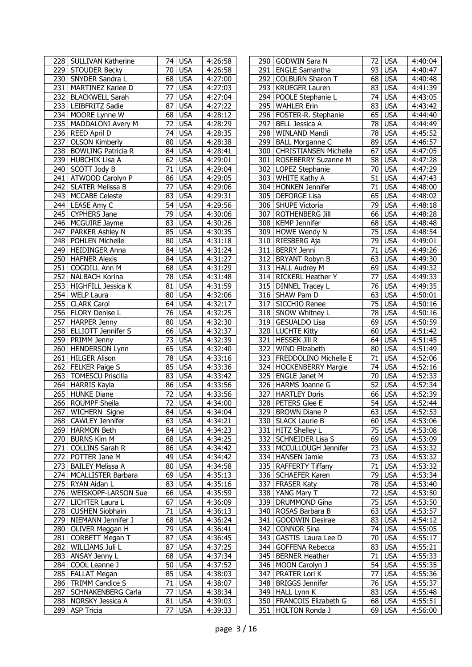|     | 228   SULLIVAN Katherine                 | 74.             | <b>USA</b>               | 4:26:58              |     | 290   GODWIN Sara N                               | 72 I            | USA              | 4:40:04            |
|-----|------------------------------------------|-----------------|--------------------------|----------------------|-----|---------------------------------------------------|-----------------|------------------|--------------------|
|     | 229 STOUDER Becky                        | 70              | <b>USA</b>               | 4:26:58              | 291 | <b>ENGLE Samantha</b>                             | 93              | <b>USA</b>       | 4:40:47            |
|     | 230 SNYDER Sandra L                      | 68              | <b>USA</b>               | 4:27:00              | 292 | <b>COLBURN Sharon T</b>                           | 68              | <b>USA</b>       | 4:40:48            |
| 231 | MARTINEZ Karlee D                        | 77              | <b>USA</b>               | 4:27:03              | 293 | <b>KRUEGER Lauren</b>                             | 83              | <b>USA</b>       | 4:41:39            |
|     | 232   BLACKWELL Sarah                    | 77              | <b>USA</b>               | 4:27:04              | 294 | POOLE Stephanie L                                 | 74              | <b>USA</b>       | 4:43:05            |
|     |                                          | 87              |                          |                      |     |                                                   |                 | <b>USA</b>       |                    |
|     | 233 LEIBFRITZ Sadie                      |                 | <b>USA</b>               | 4:27:22              | 295 | <b>WAHLER Erin</b>                                | 83              |                  | 4:43:42            |
|     | 234 MOORE Lynne W                        | 68              | <b>USA</b>               | 4:28:12              | 296 | FOSTER-R. Stephanie                               | 65              | <b>USA</b>       | 4:44:40            |
| 235 | MADDALONI Avery M                        | 72              | <b>USA</b>               | $\overline{4:}28:29$ | 297 | <b>BELL Jessica A</b>                             | 78              | <b>USA</b>       | 4:44:49            |
|     | 236   REED April D                       | 74              | <b>USA</b>               | 4:28:35              | 298 | WINLAND Mandi                                     | 78              | <b>USA</b>       | 4:45:52            |
| 237 | <b>OLSON Kimberly</b>                    | 80              | <b>USA</b>               | $\overline{4:}28:38$ | 299 | <b>BALL Morganne C</b>                            | 89              | <b>USA</b>       | 4:46:57            |
|     | 238 BOWLING Patricia R                   | 84              | <b>USA</b>               | 4:28:41              | 300 | <b>CHRISTIANSEN Michelle</b>                      | 67              | <b>USA</b>       | 4:47:05            |
|     | 239 HUBCHIK Lisa A                       | 62              |                          |                      |     | 301   ROSEBERRY Suzanne M                         | 58              |                  |                    |
|     |                                          |                 | <b>USA</b>               | 4:29:01              |     |                                                   |                 | <b>USA</b>       | 4:47:28            |
| 240 | SCOTT Jody B                             | 71              | <b>USA</b>               | 4:29:04              | 302 | LOPEZ Stephanie                                   | 70              | <b>USA</b>       | 4:47:29            |
|     | 241   ATWOOD Carolyn P                   | 86              | <b>USA</b>               | 4:29:05              |     | 303 WHITE Kathy A                                 | 51              | <b>USA</b>       | 4:47:43            |
| 242 | <b>SLATER Melissa B</b>                  | 77              | <b>USA</b>               | 4:29:06              |     | 304 HONKEN Jennifer                               | 71              | <b>USA</b>       | 4:48:00            |
|     | 243   MCCABE Celeste                     | 83              | <b>USA</b>               | 4:29:31              | 305 | <b>DEFORGE Lisa</b>                               | 65              | <b>USA</b>       | 4:48:02            |
|     | 244 LEASE Amy C                          | 54              | <b>USA</b>               | 4:29:56              | 306 | SHUPE Victoria                                    | $\overline{79}$ | <b>USA</b>       | 4:48:18            |
|     | 245 CYPHERS Jane                         | 79              | <b>USA</b>               | 4:30:06              | 307 | ROTHENBERG Jill                                   | 66              | <b>USA</b>       | 4:48:28            |
|     |                                          |                 |                          |                      |     |                                                   |                 |                  |                    |
|     | 246   MCGUIRE Jayme                      | 83              | <b>USA</b>               | 4:30:26              | 308 | <b>KEMP Jennifer</b>                              | 68              | <b>USA</b>       | 4:48:48            |
| 247 | <b>PARKER Ashley N</b>                   | 85              | <b>USA</b>               | 4:30:35              | 309 | HOWE Wendy N                                      | 75              | <b>USA</b>       | 4:48:54            |
| 248 | <b>POHLEN Michelle</b>                   | 80              | <b>USA</b>               | $\overline{4:}31:18$ | 310 | RIESBERG Aja                                      | 79              | <b>USA</b>       | 4:49:01            |
| 249 | <b>HEIDINGER Anna</b>                    | 84              | <b>USA</b>               | 4:31:24              | 311 | <b>BERRY Jenni</b>                                | 71              | <b>USA</b>       | 4:49:26            |
| 250 | <b>HAFNER Alexis</b>                     | 84              | <b>USA</b>               | 4:31:27              | 312 | <b>BRYANT Robyn B</b>                             | 63              | <b>USA</b>       | 4:49:30            |
| 251 | COGDILL Ann M                            | 68              | <b>USA</b>               | 4:31:29              |     | 313 HALL Audrey M                                 | 69              | <b>USA</b>       | 4:49:32            |
| 252 | NALBACH Korina                           | 78              | <b>USA</b>               | 4:31:48              | 314 | RICKERL Heather Y                                 | 77              | <b>USA</b>       | 4:49:33            |
|     |                                          |                 |                          |                      |     |                                                   | 76              | <b>USA</b>       |                    |
|     | 253 HIGHFILL Jessica K                   | 81              | <b>USA</b>               | 4:31:59              |     | 315 DINNEL Tracey L                               |                 |                  | 4:49:35            |
|     | 254 WELP Laura                           | 80              | <b>USA</b>               | 4:32:06              | 316 | SHAW Pam D                                        | 63              | <b>USA</b>       | 4:50:01            |
|     | 255 CLARK Carol                          | 64              | <b>USA</b>               | 4:32:17              | 317 | SICCHIO Renee                                     | 75              | <b>USA</b>       | 4:50:16            |
|     | 256 FLORY Denise L                       | 76              | <b>USA</b>               | 4:32:25              |     | 318 SNOW Whitney L                                | 78              | <b>USA</b>       | 4:50:16            |
| 257 | <b>HARPER Jenny</b>                      | 80              | <b>USA</b>               | 4:32:30              | 319 | <b>GESUALDO Lisa</b>                              | 69              | <b>USA</b>       | 4:50:59            |
|     | 258 ELLIOTT Jennifer S                   | 66              | <b>USA</b>               | 4:32:37              | 320 | <b>LUCHTE Kitty</b>                               | 60              | <b>USA</b>       | 4:51:42            |
| 259 | PRIMM Jenny                              | 73              | <b>USA</b>               | 4:32:39              | 321 | <b>HESSEK Jill R</b>                              | 64              | <b>USA</b>       | 4:51:45            |
| 260 | <b>HENDERSON Lynn</b>                    | 65              | <b>USA</b>               | 4:32:40              | 322 | WIND Elizabeth                                    | 80              | <b>USA</b>       |                    |
|     |                                          |                 |                          |                      |     |                                                   |                 |                  | 4:51:49            |
|     | 261   HILGER Alison                      | 78              | <b>USA</b>               | 4:33:16              | 323 | <b>FREDDOLINO Michelle E</b>                      | 71              | <b>USA</b>       | 4:52:06            |
|     | 262 FELKER Paige S                       | 85              | <b>USA</b>               | 4:33:36              |     | 324   HOCKENBERRY Margie                          | 74              | <b>USA</b>       | 4:52:16            |
|     | 263 TOMESCU Priscilla                    | 83              | <b>USA</b>               | $\overline{4:}33:42$ | 325 | <b>ENGLE Janet M</b>                              | $\overline{70}$ | <b>USA</b>       | 4:52:33            |
|     | 264 HARRIS Kayla                         | 86              | <b>USA</b>               | 4:33:56              |     | 326 HARMS Joanne G                                | 52              | <b>USA</b>       | 4:52:34            |
|     | 265 HUNKE Diane                          | 72              | <b>USA</b>               | 4:33:56              | 327 | <b>HARTLEY Doris</b>                              | 66              | <b>USA</b>       | 4:52:39            |
|     | 266 ROUMPF Sheila                        | 72              | <b>USA</b>               | 4:34:00              | 328 | PETERS Glee E                                     | 54              | <b>USA</b>       | 4:52:44            |
|     | 267 WICHERN Signe                        | 84              | <b>USA</b>               | 4:34:04              |     | 329 BROWN Diane P                                 |                 | 63 USA           | 4:52:53            |
|     |                                          |                 |                          | 4:34:21              |     |                                                   |                 |                  |                    |
|     | 268 CAWLEY Jennifer                      |                 | 63 USA                   |                      |     | 330 SLACK Laurie B                                |                 | 60 USA           | 4:53:06            |
|     | 269   HARMON Beth                        | 84              | <b>USA</b>               | 4:34:23              |     | 331 HITZ Shelley L                                |                 | 75 USA           | 4:53:08            |
|     | 270 BURNS Kim M                          | 68              | <b>USA</b>               | 4:34:25              |     | 332 SCHNEIDER Lisa S                              |                 | 69 USA           | 4:53:09            |
| 271 | COLLINS Sarah R                          | 86              | <b>USA</b>               | 4:34:42              |     | 333 MCCULLOUGH Jennifer                           |                 | 73 USA           | 4:53:32            |
|     | 272   POTTER Jane M                      | 49              | <b>USA</b>               | 4:34:42              |     | 334   HANSEN Jamie                                |                 | 73 USA           | 4:53:32            |
|     | 273   BAILEY Melissa A                   | 80 <sub>1</sub> | <b>USA</b>               | 4:34:58              | 335 | <b>RAFFERTY Tiffany</b>                           | 71              | <b>USA</b>       | 4:53:32            |
|     | 274   MCALLISTER Barbara                 | 69              | <b>USA</b>               | 4:35:13              |     | 336   SCHAEFER Karen                              |                 | 79 USA           | 4:53:34            |
|     | 275 RYAN Aidan L                         | 83              | <b>USA</b>               | 4:35:16              | 337 | <b>FRASER Katy</b>                                |                 | 78 USA           | 4:53:40            |
|     |                                          |                 |                          |                      |     |                                                   |                 |                  |                    |
|     | 276   WEISKOPF-LARSON Sue                | 66              | <b>USA</b>               | 4:35:59              |     | 338 YANG Mary T                                   |                 | 72 USA           | 4:53:50            |
| 277 | <b>LICHTER Laura L</b>                   | 67              | <b>USA</b>               | 4:36:09              | 339 | DRUMMOND Gina                                     |                 | 75 USA           | 4:53:50            |
| 278 | <b>CUSHEN Siobhain</b>                   | 71              | <b>USA</b>               | 4:36:13              | 340 | ROSAS Barbara B                                   |                 | 63 USA           | 4:53:57            |
|     | 279   NIEMANN Jennifer J                 | 68              | <b>USA</b>               | 4:36:24              | 341 | <b>GOODWIN Desirae</b>                            |                 | 83 USA           | 4:54:12            |
|     | 280 OLIVER Meggan H                      | 79              | <b>USA</b>               | 4:36:41              | 342 | <b>CONNOR Sina</b>                                |                 | 74 USA           | 4:55:05            |
| 281 | CORBETT Megan T                          | 87              | <b>USA</b>               | 4:36:45              | 343 | GASTIS Laura Lee D                                |                 | 70 USA           | 4:55:17            |
|     |                                          | 87              |                          |                      |     |                                                   |                 |                  |                    |
|     | 282 WILLIAMS Juli L                      |                 | <b>USA</b>               | 4:37:25              | 344 | <b>GOFFENA Rebecca</b>                            |                 | 83 USA           | 4:55:21            |
|     | 283   ANSAY Jenny L                      | 68              | <b>USA</b>               | 4:37:34              | 345 | <b>BERNER Heather</b>                             | 71              | <b>USA</b>       | 4:55:33            |
|     | 284   COOL Leanne J                      | 50              | <b>USA</b>               | 4:37:52              | 346 | MOON Carolyn J                                    |                 | 54 USA           | 4:55:35            |
|     | 285   FALLAT Megan                       | 85              | <b>USA</b>               | 4:38:03              | 347 | PRATER Lori K                                     |                 | 77 USA           | 4:55:36            |
|     | 286   TRIMM Candice S                    | 71              | <b>USA</b>               | 4:38:07              | 348 | <b>BRIGGS Jennifer</b>                            |                 | 76 USA           | 4:55:37            |
|     | 287   SCHNAKENBERG Carla                 | 77              | <b>USA</b>               | 4:38:34              | 349 | <b>HALL Lynn K</b>                                |                 | 83 USA           | 4:55:48            |
|     |                                          |                 |                          |                      |     |                                                   |                 |                  |                    |
|     |                                          |                 |                          |                      |     |                                                   |                 |                  |                    |
|     | 288   NORSKY Jessica A<br>289 ASP Tricia | 81<br>77        | <b>USA</b><br><b>USA</b> | 4:39:03<br>4:39:33   | 350 | <b>FRANCOIS Elizabeth G</b><br>351 HOLTON Ronda J |                 | 68 USA<br>69 USA | 4:55:51<br>4:56:00 |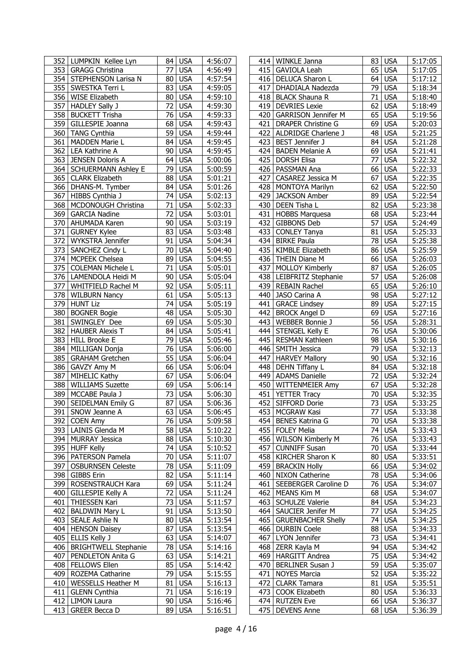| 352   LUMPKIN Kellee Lyn        | 84 USA                        | 4:56:07              |     | 414   WINKLE Janna         | 83 USA           | 5:17:05               |
|---------------------------------|-------------------------------|----------------------|-----|----------------------------|------------------|-----------------------|
| 353 GRAGG Christina             | 77<br><b>USA</b>              | 4:56:49              |     | 415 GAVIOLA Leah           | 65<br><b>USA</b> | 5:17:05               |
| 354 STEPHENSON Larisa N         | 80<br><b>USA</b>              | 4:57:54              | 416 | DELUCA Sharon L            | <b>USA</b><br>64 | 5:17:12               |
| 355 SWESTKA Terri L             | 83<br><b>USA</b>              | 4:59:05              | 417 | DHADIALA Nadezda           | 79<br><b>USA</b> | 5:18:34               |
| 356 WISE Elizabeth              | 80<br><b>USA</b>              | 4:59:10              | 418 | <b>BLACK Shauna R</b>      | <b>USA</b><br>71 | 5:18:40               |
| 357   HADLEY Sally J            | 72<br><b>USA</b>              | 4:59:30              |     | 419 DEVRIES Lexie          | 62<br><b>USA</b> | 5:18:49               |
| 358   BUCKETT Trisha            | 76<br><b>USA</b>              | 4:59:33              | 420 | <b>GARRISON Jennifer M</b> | 65<br><b>USA</b> | 5:19:56               |
| 359 GILLESPIE Joanna            | 68<br><b>USA</b>              | 4:59:43              |     | 421   DRAPER Christine G   | 69 USA           | $\overline{5}$ :20:03 |
|                                 |                               |                      |     |                            |                  |                       |
| 360 TANG Cynthia                | 59<br><b>USA</b>              | 4:59:44              |     | 422 ALDRIDGE Charlene J    | 48 USA           | 5:21:25               |
| 361 MADDEN Marie L              | 84<br><b>USA</b>              | 4:59:45              | 423 | <b>BEST Jennifer J</b>     | 84 USA           | 5:21:28               |
| 362   LEA Kathrine A            | 90<br><b>USA</b>              | 4:59:45              | 424 | <b>BADEN Melanie A</b>     | 69 USA           | 5:21:41               |
| 363 JENSEN Doloris A            | 64<br><b>USA</b>              | 5:00:06              | 425 | <b>DORSH Elisa</b>         | 77<br><b>USA</b> | 5:22:32               |
| 364   SCHUERMANN Ashley E       | 79<br><b>USA</b>              | 5:00:59              |     | 426   PASSMAN Ana          | 66<br><b>USA</b> | 5:22:33               |
| 365 CLARK Elizabeth             | 88<br><b>USA</b>              | 5:01:21              | 427 | CASAREZ Jessica M          | 67<br><b>USA</b> | 5:22:35               |
| 366   DHANS-M. Tymber           | 84<br><b>USA</b>              | 5:01:26              |     | 428   MONTOYA Marilyn      | 62<br><b>USA</b> | 5:22:50               |
| 367 HIBBS Cynthia J             | 74<br><b>USA</b>              | 5:02:13              |     | 429 JACKSON Amber          | <b>USA</b><br>89 | 5:22:54               |
| 368   MCDONOUGH Christina       | 71<br><b>USA</b>              | 5:02:33              | 430 | DEEN Tisha L               | 82<br><b>USA</b> | 5:23:38               |
| 369 GARCIA Nadine               | $\overline{72}$<br><b>USA</b> | $\overline{5:03:01}$ |     | 431 HOBBS Marquesa         | 68 USA           | $\overline{5:23:44}$  |
|                                 | 90<br><b>USA</b>              | 5:03:19              | 432 |                            | 57<br><b>USA</b> |                       |
| 370<br>AHUMADA Karen            |                               |                      |     | <b>GIBBONS Deb</b>         |                  | 5:24:49               |
| 371 GURNEY Kylee                | 83<br><b>USA</b>              | 5:03:48              | 433 | <b>CONLEY Tanya</b>        | 81<br><b>USA</b> | 5:25:33               |
| 372<br>WYKSTRA Jennifer         | <b>USA</b><br>91              | 5:04:34              | 434 | <b>BIRKE Paula</b>         | 78<br><b>USA</b> | 5:25:38               |
| SANCHEZ Cindy L<br>373          | 70<br><b>USA</b>              | 5:04:40              | 435 | KIMBLE Elizabeth           | 86<br><b>USA</b> | 5:25:59               |
| 374 MCPEEK Chelsea              | 89<br><b>USA</b>              | 5:04:55              | 436 | <b>THEIN Diane M</b>       | 66<br><b>USA</b> | 5:26:03               |
| 375<br><b>COLEMAN Michele L</b> | 71<br><b>USA</b>              | 5:05:01              | 437 | <b>MOLLOY Kimberly</b>     | 87<br><b>USA</b> | 5:26:05               |
| 376   LAMENDOLA Heidi M         | <b>USA</b><br>90              | 5:05:04              |     | 438   LEIBFRITZ Stephanie  | 57<br><b>USA</b> | 5:26:08               |
| 377<br>WHITFIELD Rachel M       | 92<br><b>USA</b>              | 5:05:11              | 439 | <b>REBAIN Rachel</b>       | <b>USA</b><br>65 | 5:26:10               |
| 378 WILBURN Nancy               | 61<br><b>USA</b>              | 5:05:13              | 440 | JASO Carina A              | 98 USA           | 5:27:12               |
| 379 HUNT Liz                    | 74<br><b>USA</b>              | 5:05:19              | 441 | <b>GRACE Lindsey</b>       | 89<br><b>USA</b> | 5:27:15               |
| 380   BOGNER Bogie              | 48<br><b>USA</b>              | 5:05:30              | 442 | <b>BROCK Angel D</b>       | 69 USA           | 5:27:16               |
| 381 SWINGLEY Dee                | 69<br><b>USA</b>              | 5:05:30              | 443 | <b>WEBBER Bonnie J</b>     | 56 USA           | 5:28:31               |
|                                 |                               |                      |     |                            |                  |                       |
| 382<br><b>HAUBER Alexis T</b>   | <b>USA</b><br>84              | 5:05:41              |     | 444 STENGEL Kelly E        | <b>USA</b><br>76 | 5:30:06               |
| 383 HILL Brooke E               | 79<br><b>USA</b>              | 5:05:46              |     | 445   RESMAN Kathleen      | 98<br><b>USA</b> | 5:30:16               |
| 384<br>MILLIGAN Donja           | 76<br><b>USA</b>              | 5:06:00              | 446 | SMITH Jessica              | <b>USA</b><br>79 | 5:32:13               |
| 385   GRAHAM Gretchen           | 55<br><b>USA</b>              | 5:06:04              | 447 | <b>HARVEY Mallory</b>      | <b>USA</b><br>90 | 5:32:16               |
| 386 GAVZY Amy M                 | 66<br><b>USA</b>              | 5:06:04              | 448 | <b>DEHN Tiffany L</b>      | 84 USA           | 5:32:18               |
| 387<br>MIHELIC Kathy            | 67<br><b>USA</b>              | 5:06:04              | 449 | <b>ADAMS Danielle</b>      | 72<br><b>USA</b> | 5:32:24               |
| 388 WILLIAMS Suzette            | 69<br><b>USA</b>              | 5:06:14              | 450 | <b>WITTENMEIER Amy</b>     | 67 USA           | 5:32:28               |
| 389<br>MCCABE Paula J           | 73<br><b>USA</b>              | 5:06:30              | 451 | <b>YETTER Tracy</b>        | 70<br><b>USA</b> | 5:32:35               |
| 390<br>SEIDELMAN Emily G        | $\overline{87}$<br><b>USA</b> | 5:06:36              | 452 | SIFFORD Dorie              | 73 USA           | 5:33:25               |
| 391<br>SNOW Jeanne A            | $63$ USA                      | 5:06:45              |     | 453   MCGRAW Kasi          | 77 USA           | 5:33:38               |
|                                 | 76 USA                        |                      |     |                            | 70 USA           | 5:33:38               |
| 392   COEN Amy                  |                               | 5:09:58              |     | 454   BENES Katrina G      |                  |                       |
| 393   LAINIS Glenda M           | 58 USA                        | 5:10:22              |     | 455   FOLEY Melia          | 74 USA           | 5:33:43               |
| 394 MURRAY Jessica              | 88 USA                        | 5:10:30              |     | 456 WILSON Kimberly M      | 76 USA           | 5:33:43               |
| 395 HUFF Kelly                  | 74 USA                        | 5:10:52              |     | 457 CUNNIFF Susan          | 70 USA           | 5:33:44               |
| 396   PATERSON Pamela           | <b>USA</b><br>70              | 5:11:07              | 458 | <b>KIRCHER Sharon K</b>    | 80 USA           | 5:33:51               |
| 397<br><b>OSBURNSEN Celeste</b> | 78 USA                        | 5:11:09              | 459 | <b>BRACKIN Holly</b>       | 66 USA           | 5:34:02               |
| 398 GIBBS Erin                  | <b>USA</b><br>82              | 5:11:14              |     | 460 NIXON Catherine        | <b>78 USA</b>    | 5:34:06               |
| 399   ROSENSTRAUCH Kara         | 69 USA                        | 5:11:24              |     | 461   SEEBERGER Caroline D | 76 USA           | 5:34:07               |
| 400   GILLESPIE Kelly A         | 72<br><b>USA</b>              | 5:11:24              |     | 462   MEANS Kim M          | 68 USA           | 5:34:07               |
| 401   THIESSEN Kari             | <b>USA</b><br>73              | 5:11:57              |     | 463   SCHULZE Valerie      | 84 USA           | 5:34:23               |
| 402   BALDWIN Mary L            | 91<br><b>USA</b>              | 5:13:50              |     | 464   SAUCIER Jenifer M    | 77 USA           | 5:34:25               |
| 403   SEALE Ashlie N            | 80<br><b>USA</b>              | 5:13:54              | 465 | <b>GRUENBACHER Shelly</b>  | 74 USA           | 5:34:25               |
|                                 |                               |                      |     |                            |                  |                       |
| 404   HENSON Daisey             | 87<br><b>USA</b>              | 5:13:54              |     | 466   DURBIN Coele         | 88 USA           | 5:34:33               |
| 405 ELLIS Kelly J               | 63<br><b>USA</b>              | 5:14:07              |     | 467   LYON Jennifer        | 73 USA           | 5:34:41               |
| 406   BRIGHTWELL Stephanie      | 78<br><b>USA</b>              | 5:14:16              |     | 468   ZERR Kayla M         | 94 USA           | 5:34:42               |
| 407   PENDLETON Anita G         | 63 USA                        | 5:14:21              |     | 469   HARGITT Andrea       | 75 USA           | 5:34:42               |
| 408   FELLOWS Ellen             | 85 USA                        | 5:14:42              | 470 | <b>BERLINER Susan J</b>    | 59 USA           | 5:35:07               |
| 409 ROZEMA Catharine            | 79<br><b>USA</b>              | 5:15:55              | 471 | <b>NOYES Marcia</b>        | 52 USA           | 5:35:22               |
| 410   WESSELLS Heather M        | <b>USA</b><br>81              | 5:16:13              | 472 | <b>CLARK Tamara</b>        | 81 USA           | 5:35:51               |
| 411 GLENN Cynthia               | <b>USA</b><br>71              | 5:16:19              | 473 | COOK Elizabeth             | 80 USA           | 5:36:33               |
| 412   LIMON Laura               | 90 USA                        | 5:16:46              |     | 474 RUTZEN Eve             | 66 USA           | 5:36:37               |
| 413   GREER Becca D             | 89 USA                        |                      |     | 475   DEVENS Anne          | 68 USA           |                       |
|                                 |                               | 5:16:51              |     |                            |                  | 5:36:39               |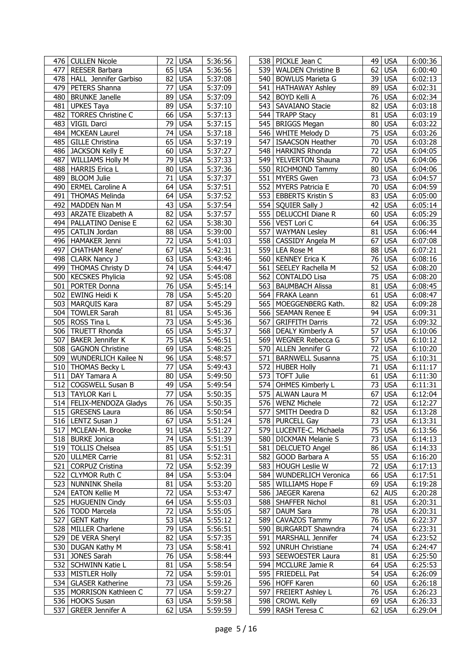|     | 476   CULLEN Nicole         | 72 I            | USA        | 5:36:56              |     | 538   PICKLE Jean C        |                 | 49 USA     | 6:00:36 |
|-----|-----------------------------|-----------------|------------|----------------------|-----|----------------------------|-----------------|------------|---------|
| 477 | REESER Barbara              | 65              | <b>USA</b> | 5:36:56              | 539 | <b>WALDEN Christine B</b>  | 62              | <b>USA</b> | 6:00:40 |
|     | 478   HALL Jennifer Garbiso | 82              | <b>USA</b> | 5:37:08              | 540 | <b>BOWLUS Marieta G</b>    |                 | 39 USA     | 6:02:13 |
|     | 479   PETERS Shanna         | 77              | <b>USA</b> | 5:37:09              |     | 541   HATHAWAY Ashley      | 89              | <b>USA</b> | 6:02:31 |
| 480 | <b>BRUNKE Janelle</b>       | 89              | <b>USA</b> | 5:37:09              | 542 | <b>BOYD Kelli A</b>        | 76              | <b>USA</b> | 6:02:34 |
|     | 481 UPKES Taya              | 89              | <b>USA</b> | 5:37:10              |     | 543 SAVAIANO Stacie        | 82              | <b>USA</b> | 6:03:18 |
| 482 | <b>TORRES Christine C</b>   | 66              | <b>USA</b> | 5:37:13              | 544 | <b>TRAPP Stacy</b>         | 81              | <b>USA</b> | 6:03:19 |
| 483 | VIGIL Darci                 | 79              | <b>USA</b> | 5:37:15              | 545 | <b>BRIGGS Megan</b>        | 80              | <b>USA</b> | 6:03:22 |
|     | 484 MCKEAN Laurel           | 74              | <b>USA</b> | 5:37:18              | 546 | <b>WHITE Melody D</b>      | 75              | <b>USA</b> | 6:03:26 |
|     |                             | 65              |            |                      |     |                            | $\overline{70}$ |            |         |
|     | 485   GILLE Christina       |                 | <b>USA</b> | 5:37:19              | 547 | <b>ISAACSON Heather</b>    |                 | <b>USA</b> | 6:03:28 |
|     | 486 JACKSON Kelly E         | 60              | <b>USA</b> | 5:37:27              | 548 | <b>HARKINS Rhonda</b>      | $\overline{72}$ | <b>USA</b> | 6:04:05 |
| 487 | <b>WILLIAMS Holly M</b>     | 79              | <b>USA</b> | 5:37:33              | 549 | <b>YELVERTON Shauna</b>    | 70              | <b>USA</b> | 6:04:06 |
|     | 488   HARRIS Erica L        | 80              | <b>USA</b> | 5:37:36              | 550 | RICHMOND Tammy             | 80              | <b>USA</b> | 6:04:06 |
| 489 | <b>BLOOM Julie</b>          | 71              | <b>USA</b> | 5:37:37              | 551 | <b>MYERS Gwen</b>          | 73              | <b>USA</b> | 6:04:57 |
|     | 490   ERMEL Caroline A      | 64              | <b>USA</b> | 5:37:51              | 552 | <b>MYERS Patricia E</b>    | 70              | <b>USA</b> | 6:04:59 |
|     | 491   THOMAS Melinda        | 64              | <b>USA</b> | 5:37:52              |     | 553   EBBERTS Kristin S    | 83              | <b>USA</b> | 6:05:00 |
| 492 | <b>MADDEN Nan M</b>         | $\overline{43}$ | <b>USA</b> | $\overline{5:37:54}$ |     | 554   SQUIER Sally J       | 42              | <b>USA</b> | 6:05:14 |
|     | 493 ARZATE Elizabeth A      | 82              | <b>USA</b> | $\overline{5:37:57}$ | 555 | DELUCCHI Diane R           | 60              | <b>USA</b> | 6:05:29 |
|     | 494   PALLATINO Denise E    | 62              | <b>USA</b> | 5:38:30              | 556 | VEST Lori C                | 64              | <b>USA</b> | 6:06:35 |
| 495 | CATLIN Jordan               | $\overline{88}$ | <b>USA</b> | $\overline{5:}39:00$ | 557 | <b>WAYMAN Lesley</b>       | 81              | <b>USA</b> | 6:06:44 |
|     | 496 HAMAKER Jenni           | 72              | <b>USA</b> | 5:41:03              | 558 | <b>CASSIDY Angela M</b>    | 67              | <b>USA</b> | 6:07:08 |
| 497 | <b>CHATHAM Rene'</b>        | 67              | <b>USA</b> | 5:42:31              | 559 | <b>LEA Rose M</b>          | 88              | <b>USA</b> | 6:07:21 |
|     | 498 CLARK Nancy J           | 63              |            | $\overline{5:43:46}$ | 560 | <b>KENNEY Erica K</b>      | 76              | <b>USA</b> |         |
|     |                             |                 | <b>USA</b> |                      |     |                            |                 |            | 6:08:16 |
|     | 499 THOMAS Christy D        | 74              | <b>USA</b> | $\overline{5:}44:47$ | 561 | SEELEY Rachella M          | 52              | <b>USA</b> | 6:08:20 |
|     | 500 KECSKES Phylicia        | 92              | <b>USA</b> | 5:45:08              |     | 562 CONTALDO Lisa          | 75              | <b>USA</b> | 6:08:20 |
|     | 501 PORTER Donna            | 76              | <b>USA</b> | $\overline{5:}45:14$ |     | 563 BAUMBACH Alissa        | 81              | <b>USA</b> | 6:08:45 |
|     | 502 EWING Heidi K           | 78              | <b>USA</b> | 5:45:20              |     | 564 FRAKA Leann            | 61              | <b>USA</b> | 6:08:47 |
|     | 503   MARQUIS Kara          | 87              | <b>USA</b> | $\overline{5:}45:29$ |     | 565   MOEGGENBERG Kath.    | 82              | <b>USA</b> | 6:09:28 |
|     | 504   TOWLER Sarah          | 81              | <b>USA</b> | 5:45:36              |     | 566 SEAMAN Renee E         |                 | 94 USA     | 6:09:31 |
|     | 505 ROSS Tina L             | $\overline{73}$ | <b>USA</b> | $\overline{5:45:36}$ | 567 | <b>GRIFFITH Darris</b>     |                 | $72$ USA   | 6:09:32 |
|     | 506   TRUETT Rhonda         | 65              | <b>USA</b> | 5:45:37              |     | 568   DEALY Kimberly A     | 57              | <b>USA</b> | 6:10:06 |
|     | 507 BAKER Jennifer K        | 75              | <b>USA</b> | 5:46:51              | 569 | <b>WEGNER Rebecca G</b>    | 57              | <b>USA</b> | 6:10:12 |
|     | 508 GAGNON Christine        | 69              | <b>USA</b> | $\overline{5:48:25}$ | 570 | ALLEN Jennifer G           | 72              | <b>USA</b> | 6:10:20 |
|     | 509   WUNDERLICH Kailee N   | 96              | <b>USA</b> | $\overline{5:}48:57$ |     | 571 BARNWELL Susanna       | 75              | <b>USA</b> | 6:10:31 |
|     | 510 THOMAS Becky L          | 77              | <b>USA</b> | 5:49:43              | 572 | <b>HUBER Holly</b>         | 71              | <b>USA</b> | 6:11:17 |
| 511 | DAY Tamara A                | 80              | <b>USA</b> | 5:49:50              | 573 | <b>TOFT Julie</b>          | 61              | <b>USA</b> | 6:11:30 |
|     | 512 COGSWELL Susan B        | 49              | <b>USA</b> | 5:49:54              | 574 | OHMES Kimberly L           | 73              | <b>USA</b> | 6:11:31 |
|     | 513 TAYLOR Kari L           | 77              | <b>USA</b> | 5:50:35              | 575 | <b>ALWAN Laura M</b>       | 67              | <b>USA</b> | 6:12:04 |
|     | 514 FELIX-MENDOZA Gladys    | 76              |            | 5:50:35              | 576 | <b>WENZ Michele</b>        | $\overline{72}$ | <b>USA</b> | 6:12:27 |
|     |                             |                 | <b>USA</b> |                      |     |                            |                 |            |         |
|     | 515 GRESENS Laura           |                 | 86 USA     | 5:50:54              | 577 | SMITH Deedra D             |                 | 82 USA     | 6:13:28 |
|     | 516   LENTZ Susan J         |                 | $67$ USA   | 5:51:24              |     | 578   PURCELL Gay          |                 | 73 USA     | 6:13:31 |
|     | 517   MCLEAN-M. Brooke      | 91 I            | <b>USA</b> | 5:51:27              |     | 579   LUCENTE-C. Michaela  |                 | 75 USA     | 6:13:56 |
|     | 518   BURKE Jonica          | 74              | <b>USA</b> | 5:51:39              |     | 580   DICKMAN Melanie S    |                 | 73 USA     | 6:14:13 |
|     | 519   TOLLIS Chelsea        | 85              | <b>USA</b> | 5:51:51              |     | 581   DELCUETO Angel       |                 | 86 USA     | 6:14:33 |
|     | 520 ULLMER Carrie           | 81              | <b>USA</b> | 5:52:31              |     | 582 GOOD Barbara A         |                 | 55 USA     | 6:16:20 |
|     | 521 CORPUZ Cristina         | 72              | <b>USA</b> | 5:52:39              |     | 583 HOUGH Leslie W         |                 | 72 USA     | 6:17:13 |
|     | 522 CLYMOR Ruth C           | 84 <sub>1</sub> | <b>USA</b> | 5:53:04              | 584 | <b>WUNDERLICH Veronica</b> |                 | 66 USA     | 6:17:51 |
|     | 523   NUNNINK Sheila        | 81              | <b>USA</b> | 5:53:20              |     | 585 WILLIAMS Hope F        |                 | 69 USA     | 6:19:28 |
|     | 524 EATON Kellie M          | 72              | <b>USA</b> | 5:53:47              |     | 586 JAEGER Karena          |                 | 62 AUS     | 6:20:28 |
|     | 525 HUGUENIN Cindy          | 64              | <b>USA</b> | 5:55:03              |     | 588   SHAFFER Nichol       |                 | 81 USA     | 6:20:31 |
|     | 526   TODD Marcela          | 72              | <b>USA</b> | 5:55:05              | 587 | DAUM Sara                  |                 | 78 USA     | 6:20:31 |
|     | 527 GENT Kathy              | 53              | <b>USA</b> | 5:55:12              | 589 | <b>CAVAZOS Tammy</b>       |                 | 76 USA     | 6:22:37 |
|     |                             |                 |            |                      |     |                            |                 |            |         |
|     | 528 MILLER Charlene         | 79              | <b>USA</b> | 5:56:51              | 590 | <b>BURGARDT Shawndra</b>   |                 | 74 USA     | 6:23:31 |
|     | 529   DE VERA Sheryl        | 82              | <b>USA</b> | 5:57:35              |     | 591   MARSHALL Jennifer    |                 | 74 USA     | 6:23:52 |
|     | 530 DUGAN Kathy M           | 73              | <b>USA</b> | 5:58:41              | 592 | <b>UNRUH Christiane</b>    |                 | 74 USA     | 6:24:47 |
|     | 531 JONES Sarah             | 76              | <b>USA</b> | 5:58:44              | 593 | <b>SEEWOESTER Laura</b>    |                 | 81 USA     | 6:25:50 |
| 532 | <b>SCHWINN Katie L</b>      | 81              | <b>USA</b> | 5:58:54              |     | 594   MCCLURE Jamie R      |                 | 64 USA     | 6:25:53 |
|     | 533 MISTLER Holly           | 72              | <b>USA</b> | 5:59:01              |     | 595   FRIEDELL Pat         |                 | 54 USA     | 6:26:09 |
|     | 534   GLASER Katherine      | 73              | <b>USA</b> | 5:59:26              |     | 596   HOFF Karen           |                 | 60 USA     | 6:26:18 |
|     | 535   MORRISON Kathleen C   | 77              | <b>USA</b> | 5:59:27              |     | 597   FREIERT Ashley L     |                 | 76 USA     | 6:26:23 |
|     | 536 HOOKS Susan             | 63              | <b>USA</b> | 5:59:58              |     | 598 CROWL Kelly            |                 | 69 USA     | 6:26:33 |
|     | 537 GREER Jennifer A        | 62              | <b>USA</b> | 5:59:59              |     | 599   RASH Teresa C        |                 | 62 USA     | 6:29:04 |
|     |                             |                 |            |                      |     |                            |                 |            |         |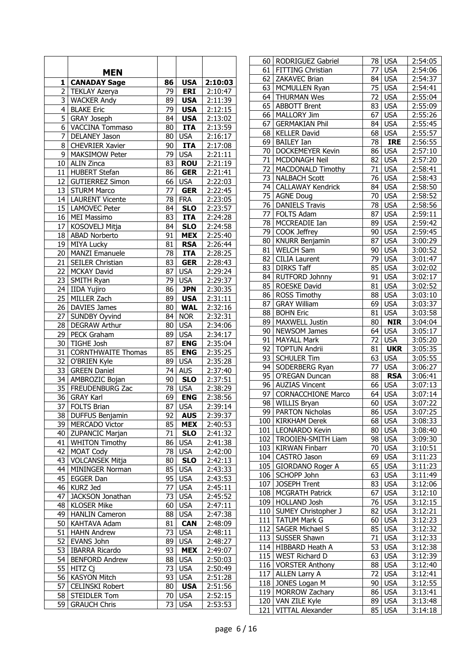|                 |                           |                 |                     |                      |                 | 60   RODRIGUEZ Gabriel    |                 | 78 USA     | 2:54:05              |
|-----------------|---------------------------|-----------------|---------------------|----------------------|-----------------|---------------------------|-----------------|------------|----------------------|
|                 | <b>MEN</b>                |                 |                     |                      | 61              | FITTING Christian         | 77              | <b>USA</b> | $\overline{2}:54:06$ |
| 1               | <b>CANADAY Sage</b>       | 86              | <b>USA</b>          | 2:10:03              |                 | 62 ZAKAVEC Brian          |                 | 84 USA     | 2:54:37              |
|                 |                           | 79              | <b>ERI</b>          |                      | 63              | MCMULLEN Ryan             | 75              | <b>USA</b> | 2:54:41              |
| 2               | <b>TEKLAY Azerya</b>      |                 |                     | 2:10:47              |                 | 64 THURMAN Wes            | 72              | <b>USA</b> | 2:55:04              |
| 3               | <b>WACKER Andy</b>        | 89              | <b>USA</b>          | 2:11:39              |                 | 65 ABBOTT Brent           | 83              | <b>USA</b> | 2:55:09              |
| $\overline{4}$  | <b>BLAKE Eric</b>         | $\overline{79}$ | <b>USA</b>          | 2:12:15              | 66              | MALLORY Jim               | 67              | <b>USA</b> | 2:55:26              |
| 5               | <b>GRAY Joseph</b>        | 84              | <b>USA</b>          | 2:13:02              | 67              | <b>GERMAKIAN Phil</b>     |                 | 84 USA     | 2:55:45              |
| 6               | VACCINA Tommaso           | 80              | <b>ITA</b>          | 2:13:59              | 68              | <b>KELLER David</b>       |                 | 68 USA     | 2:55:57              |
| 7               | <b>DELANEY Jason</b>      | 80              | <b>USA</b>          | 2:16:17              | 69              | <b>BAILEY Ian</b>         | $\overline{78}$ | <b>IRE</b> | 2:56:55              |
| 8               | <b>CHEVRIER Xavier</b>    | 90              | <b>ITA</b>          | 2:17:08              | 70              | <b>DOCKEMEYER Kevin</b>   | 86              |            |                      |
| 9               | MAKSIMOW Peter            | 79              | <b>USA</b>          | 2:21:11              |                 |                           |                 | <b>USA</b> | 2:57:10              |
| 10              | <b>ALIN Zinca</b>         | $\overline{83}$ | <b>ROU</b>          | 2:21:19              | 71              | MCDONAGH Neil             | 82              | <b>USA</b> | 2:57:20              |
| 11              | <b>HUBERT Stefan</b>      | 86              | <b>GER</b>          | 2:21:41              | 72              | <b>MACDONALD Timothy</b>  |                 | 71 USA     | 2:58:41              |
| 12 <sub>1</sub> | <b>GUTIERREZ Simon</b>    | 66              | <b>USA</b>          | 2:22:03              | 73              | <b>NALBACH Scott</b>      | 76              | <b>USA</b> | 2:58:43              |
| 13              | <b>STURM Marco</b>        | 77              | <b>GER</b>          | 2:22:45              | 74              | <b>CALLAWAY Kendrick</b>  |                 | 84 USA     | 2:58:50              |
|                 | 14   LAURENT Vicente      | 78              | <b>FRA</b>          | 2:23:05              |                 | 75 AGNE Doug              | 70              | <b>USA</b> | 2:58:52              |
|                 | 15   LAMOVEC Peter        | 84              | <b>SLO</b>          | 2:23:57              |                 | 76 DANIELS Travis         | $\overline{78}$ | <b>USA</b> | 2:58:56              |
|                 | 16 MEI Massimo            | 83              | <b>ITA</b>          | $\overline{2:}24:28$ |                 | 77 FOLTS Adam             |                 | 87 USA     | 2:59:11              |
| 17              | KOSOVELJ Mitja            | 84              | <b>SLO</b>          | 2:24:58              |                 | 78   MCCREADIE Ian        |                 | 89 USA     | 2:59:42              |
| 18              | <b>ABAD Norberto</b>      | 91              | <b>MEX</b>          | 2:25:40              |                 | 79 COOK Jeffrey           |                 | 90 USA     | 2:59:45              |
| 19              | <b>MIYA Lucky</b>         | 81              | <b>RSA</b>          | 2:26:44              |                 | 80   KNURR Benjamin       | 87              | <b>USA</b> | 3:00:29              |
| 20              | <b>MANZI Emanuele</b>     | 78              | <b>ITA</b>          |                      | 81              | <b>WELCH Sam</b>          | 90 <sub>1</sub> | <b>USA</b> | 3:00:52              |
|                 |                           |                 |                     | 2:28:25              | 82              | <b>CILIA Laurent</b>      | 79              | <b>USA</b> | 3:01:47              |
| 21              | SEILER Christian          | 83              | <b>GER</b>          | 2:28:43              | 83              | <b>DIRKS Taff</b>         | 85              | <b>USA</b> | 3:02:02              |
| 22              | <b>MCKAY David</b>        | 87              | <b>USA</b>          | 2:29:24              |                 | 84 RUTFORD Johnny         | 91              | <b>USA</b> | 3:02:17              |
| $\overline{23}$ | SMITH Ryan                | $\overline{79}$ | <b>USA</b>          | 2:29:37              |                 | 85 ROESKE David           | 81              | <b>USA</b> | 3:02:52              |
|                 | 24 IIDA Yujiro            | 86              | <b>JPN</b>          | 2:30:35              | 86              | <b>ROSS Timothy</b>       |                 | 88 USA     | 3:03:10              |
| 25              | MILLER Zach               | 89              | <b>USA</b>          | 2:31:11              | 87              | <b>GRAY William</b>       | 69              | <b>USA</b> | 3:03:37              |
| 26              | DAVIES James              | 80              | <b>WAL</b>          | 2:32:16              | 88              | <b>BOHN Eric</b>          | 81              | <b>USA</b> | 3:03:58              |
| 27              | SUNDBY Oyvind             | 84              | <b>NOR</b>          | 2:32:31              | 89              | <b>MAXWELL Justin</b>     | 80              | <b>NIR</b> | 3:04:04              |
| 28              | <b>DEGRAW Arthur</b>      | 80              | <b>USA</b>          | 2:34:06              |                 |                           |                 |            |                      |
| 29              | PECK Graham               | 89              | <b>USA</b>          | 2:34:17              | 90 <sub>1</sub> | NEWSOM James              | 64              | <b>USA</b> | 3:05:17              |
| 30              | TIGHE Josh                | $\overline{87}$ | <b>ENG</b>          | 2:35:04              | 91              | <b>MAYALL Mark</b>        | 72              | <b>USA</b> | 3:05:20              |
| 31              | <b>CORNTHWAITE Thomas</b> | 85              | <b>ENG</b>          | 2:35:25              | 92              | <b>TOPTUN Andrii</b>      | 81              | <b>UKR</b> | 3:05:35              |
|                 | 32 O'BRIEN Kyle           | 89              | <b>USA</b>          | 2:35:28              |                 | 93   SCHULER Tim          | 63              | <b>USA</b> | 3:05:55              |
| 33              | <b>GREEN Daniel</b>       | 74              | <b>AUS</b>          | 2:37:40              |                 | 94   SODERBERG Ryan       | 77              | <b>USA</b> | 3:06:27              |
|                 | 34 AMBROZIC Bojan         | 90              | <b>SLO</b>          | 2:37:51              | 95              | O'REGAN Duncan            | 88              | <b>RSA</b> | 3:06:41              |
| 35              | <b>FREUDENBURG Zac</b>    | 78              | <b>USA</b>          | 2:38:29              |                 | 96 AUZIAS Vincent         |                 | $66$ USA   | 3:07:13              |
| 36              | <b>GRAY Karl</b>          | 69              | <b>ENG</b>          | 2:38:56              | 97              | <b>CORNACCHIONE Marco</b> |                 | 64 USA     | 3:07:14              |
| 37              | <b>FOLTS Brian</b>        | 87              | <b>USA</b>          | 2:39:14              | 98              | <b>WILLIS Bryan</b>       | 60              | <b>USA</b> | 3:07:22              |
|                 | 38   DUFFUS Benjamin      |                 | $\overline{92}$ AUS | 2:39:37              |                 | 99 PARTON Nicholas        |                 | 86 USA     | 3:07:25              |
|                 | 39   MERCADO Victor       | 85              | <b>MEX</b>          | 2:40:53              |                 | 100   KIRKHAM Derek       |                 | $68$ USA   | 3:08:33              |
|                 | 40   ZUPANCIC Marjan      | 71              | <b>SLO</b>          | 2:41:32              |                 | 101   LEONARDO Kevin      |                 | 80 USA     | 3:08:40              |
|                 | 41   WHITON Timothy       | 86              | <b>USA</b>          | 2:41:38              |                 | 102   TROOIEN-SMITH Liam  |                 | 98 USA     | 3:09:30              |
| 42              | <b>MOAT Cody</b>          | 78              | <b>USA</b>          | 2:42:00              |                 | 103   KIRWAN Finbarr      |                 | 70 USA     | 3:10:51              |
|                 | 43   VOLCANSEK Mitja      | 80              | <b>SLO</b>          | 2:42:13              |                 | 104   CASTRO Jason        |                 | 69 USA     | 3:11:23              |
|                 | 44   MININGER Norman      | 85              | <b>USA</b>          | 2:43:33              |                 | 105   GIORDANO Roger A    |                 | $65$ USA   | 3:11:23              |
|                 |                           | 95              |                     |                      |                 | 106   SCHOPP John         |                 | 63 USA     | 3:11:49              |
|                 | 45 EGGER Dan              |                 | <b>USA</b>          | 2:43:53              |                 | 107 JOSEPH Trent          |                 | 83 USA     | 3:12:06              |
|                 | 46 KURZ Jed               | 77              | <b>USA</b>          | 2:45:11              |                 | 108   MCGRATH Patrick     |                 | 67 USA     | 3:12:10              |
| 47              | JACKSON Jonathan          | 73              | <b>USA</b>          | 2:45:52              |                 | 109 HOLLAND Josh          |                 | 76 USA     | 3:12:15              |
|                 | 48 KLOSER Mike            | 60              | <b>USA</b>          | 2:47:11              |                 | 110   SUMEY Christopher J |                 | 82 USA     | 3:12:21              |
|                 | 49   HANLIN Cameron       | 88              | <b>USA</b>          | 2:47:38              |                 | 111   TATUM Mark G        |                 | 60 USA     | 3:12:23              |
|                 | 50 KAHTAVA Adam           | 81              | <b>CAN</b>          | 2:48:09              |                 | 112   SAGER Michael S     |                 | 85 USA     | 3:12:32              |
|                 | 51 HAHN Andrew            | 73              | <b>USA</b>          | 2:48:11              |                 | 113   SUSSER Shawn        |                 | 71 USA     | 3:12:33              |
| 52              | <b>EVANS John</b>         | 89              | <b>USA</b>          | 2:48:27              |                 | 114 HIBBARD Heath A       |                 | 53 USA     | 3:12:38              |
| 53              | <b>IBARRA Ricardo</b>     | 93              | <b>MEX</b>          | 2:49:07              |                 | 115   WEST Richard D      |                 | 63 USA     | 3:12:39              |
| 54              | <b>BENFORD Andrew</b>     | 88              | <b>USA</b>          | 2:50:03              |                 | 116   VORSTER Anthony     |                 | 88 USA     | 3:12:40              |
|                 | 55   HITZ Cj              | 73              | <b>USA</b>          | 2:50:49              |                 | 117 ALLEN Larry A         |                 | 72 USA     | 3:12:41              |
|                 | 56   KASYON Mitch         | 93              | <b>USA</b>          | 2:51:28              |                 |                           |                 |            |                      |
| 57              | <b>CELINSKI Robert</b>    | 80              | <b>USA</b>          | 2:51:56              |                 | 118 JONES Logan M         |                 | 90 USA     | 3:12:55              |
|                 | 58 STEIDLER Tom           |                 | 70 USA              | 2:52:15              |                 | 119 MORROW Zachary        |                 | 86 USA     | 3:13:41              |
|                 | 59 GRAUCH Chris           | 73              | <b>USA</b>          | 2:53:53              |                 | 120   VAN ZILE Kyle       |                 | 89 USA     | 3:13:48              |
|                 |                           |                 |                     |                      |                 | 121 VITTAL Alexander      |                 | 85 USA     | 3:14:18              |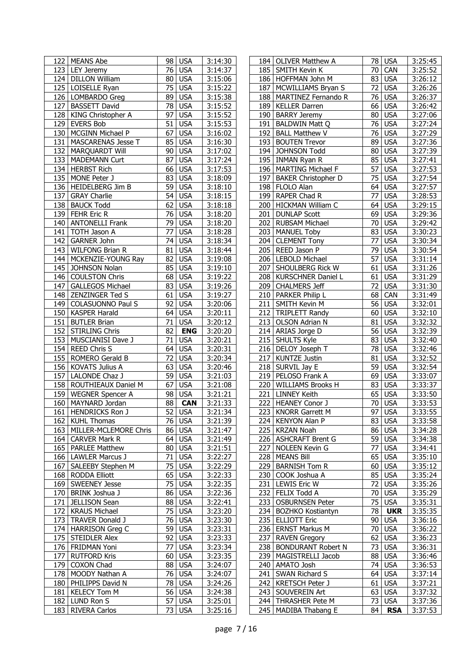|     | 122   MEANS Abe           | 98 I            | USA        | 3:14:30 |     | 184   OLIVER Matthew A     |    | 78   USA            | 3:25:45 |
|-----|---------------------------|-----------------|------------|---------|-----|----------------------------|----|---------------------|---------|
|     | 123   LEY Jeremy          | 76              | <b>USA</b> | 3:14:37 |     | 185 SMITH Kevin K          | 70 | CAN                 | 3:25:52 |
|     | 124   DILLON William      | 80              | <b>USA</b> | 3:15:06 |     | 186   HOFFMAN John M       | 83 | <b>USA</b>          | 3:26:12 |
|     | 125   LOISELLE Ryan       | 75              | <b>USA</b> | 3:15:22 | 187 | MCWILLIAMS Bryan S         | 72 | <b>USA</b>          | 3:26:26 |
|     | 126   LOMBARDO Greg       | 89              | <b>USA</b> | 3:15:38 |     | 188   MARTINEZ Fernando R  |    | 76 USA              | 3:26:37 |
|     |                           | 78              | <b>USA</b> |         |     |                            | 66 | <b>USA</b>          |         |
| 127 | <b>BASSETT David</b>      |                 |            | 3:15:52 | 189 | <b>KELLER Darren</b>       |    |                     | 3:26:42 |
|     | 128   KING Christopher A  | $\overline{97}$ | <b>USA</b> | 3:15:52 | 190 | <b>BARRY Jeremy</b>        | 80 | <b>USA</b>          | 3:27:06 |
|     | 129 EVERS Bob             | 51              | <b>USA</b> | 3:15:53 | 191 | <b>BALDWIN Matt Q</b>      | 76 | <b>USA</b>          | 3:27:24 |
|     | 130   MCGINN Michael P    | 67              | <b>USA</b> | 3:16:02 | 192 | <b>BALL Matthew V</b>      | 76 | <b>USA</b>          | 3:27:29 |
|     | 131 MASCARENAS Jesse T    | 85              | <b>USA</b> | 3:16:30 |     | 193 BOUTEN Trevor          |    | 89 USA              | 3:27:36 |
|     | 132   MARQUARDT Will      | 90              | <b>USA</b> | 3:17:02 |     | 194 JOHNSON Todd           |    | 80 USA              | 3:27:39 |
|     | 133   MADEMANN Curt       | 87              | <b>USA</b> | 3:17:24 |     | 195   INMAN Ryan R         | 85 | <b>USA</b>          | 3:27:41 |
|     | 134 HERBST Rich           | 66              |            |         |     |                            | 57 | <b>USA</b>          |         |
|     |                           |                 | <b>USA</b> | 3:17:53 | 196 | <b>MARTING Michael F</b>   |    |                     | 3:27:53 |
|     | 135   MONE Peter J        | 83              | <b>USA</b> | 3:18:09 | 197 | <b>BAKER Christopher D</b> |    | 75 USA              | 3:27:54 |
|     | 136   HEIDELBERG Jim B    | 59              | <b>USA</b> | 3:18:10 |     | 198   FLOLO Alan           | 64 | <b>USA</b>          | 3:27:57 |
|     | 137 GRAY Charlie          | 54              | <b>USA</b> | 3:18:15 | 199 | RAPER Chad R               | 77 | <b>USA</b>          | 3:28:53 |
|     | 138   BAUCK Todd          | 62              | <b>USA</b> | 3:18:18 | 200 | HICKMAN William C          | 64 | <b>USA</b>          | 3:29:15 |
|     | 139   FEHR Eric R         | $\overline{76}$ | <b>USA</b> | 3:18:20 | 201 | <b>DUNLAP Scott</b>        | 69 | <b>USA</b>          | 3:29:36 |
|     | 140   ANTONELLI Frank     | 79              | <b>USA</b> | 3:18:20 | 202 | <b>RUBSAM Michael</b>      | 70 | <b>USA</b>          | 3:29:42 |
|     | 141 TOTH Jason A          | 77              | <b>USA</b> | 3:18:28 | 203 | <b>MANUEL Toby</b>         | 83 | <b>USA</b>          | 3:30:23 |
|     |                           |                 |            |         |     |                            |    |                     |         |
|     | 142 GARNER John           | 74              | <b>USA</b> | 3:18:34 |     | 204   CLEMENT Tony         | 77 | <b>USA</b>          | 3:30:34 |
| 143 | <b>WILFONG Brian R</b>    | 81              | <b>USA</b> | 3:18:44 | 205 | REED Jason P               | 79 | <b>USA</b>          | 3:30:54 |
|     | 144   MCKENZIE-YOUNG Ray  | 82              | <b>USA</b> | 3:19:08 |     | 206 LEBOLD Michael         | 57 | <b>USA</b>          | 3:31:14 |
|     | 145 JOHNSON Nolan         | 85              | <b>USA</b> | 3:19:10 |     | 207 SHOULBERG Rick W       | 61 | <b>USA</b>          | 3:31:26 |
|     | 146 COULSTON Chris        | 68              | <b>USA</b> | 3:19:22 | 208 | <b>KURSCHNER Daniel L</b>  |    | 61 USA              | 3:31:29 |
|     | 147   GALLEGOS Michael    | 83              | <b>USA</b> | 3:19:26 | 209 | <b>CHALMERS Jeff</b>       | 72 | <b>USA</b>          | 3:31:30 |
|     |                           | 61              |            |         | 210 |                            | 68 | CAN                 |         |
|     | 148 ZENZINGER Ted S       |                 | <b>USA</b> | 3:19:27 |     | PARKER Philip L            |    |                     | 3:31:49 |
|     | 149 COLASUONNO Paul S     | 92              | <b>USA</b> | 3:20:06 | 211 | <b>SMITH Kevin M</b>       |    | 56 USA              | 3:32:01 |
|     | 150   KASPER Harald       | 64              | <b>USA</b> | 3:20:11 |     | 212 TRIPLETT Randy         | 60 | <b>USA</b>          | 3:32:10 |
|     | 151 BUTLER Brian          | $\overline{71}$ | <b>USA</b> | 3:20:12 | 213 | <b>OLSON Adrian N</b>      | 81 | <b>USA</b>          | 3:32:32 |
|     | 152 STIRLING Chris        | 82              | <b>ENG</b> | 3:20:20 |     | 214 ARIAS Jorge D          | 56 | <b>USA</b>          | 3:32:39 |
|     | 153 MUSCIANISI Dave J     | 71              | <b>USA</b> | 3:20:21 |     | 215   SHULTS Kyle          | 83 | <b>USA</b>          | 3:32:40 |
|     | 154   REED Chris S        | 64              | <b>USA</b> | 3:20:31 |     | 216   DELOY Joseph T       | 78 | <b>USA</b>          | 3:32:46 |
|     | 155   ROMERO Gerald B     | 72              | <b>USA</b> | 3:20:34 | 217 | <b>KUNTZE Justin</b>       | 81 | <b>USA</b>          | 3:32:52 |
|     | 156 KOVATS Julius A       | 63              | <b>USA</b> | 3:20:46 | 218 | SURVIL Jay E               |    | 59 USA              | 3:32:54 |
|     |                           |                 |            |         |     |                            |    |                     |         |
|     | 157   LALONDE Chaz J      | 59              | <b>USA</b> | 3:21:03 |     | 219 PELOSO Frank A         | 69 | <b>USA</b>          | 3:33:07 |
|     | 158   ROUTHIEAUX Daniel M | 67              | <b>USA</b> | 3:21:08 | 220 | <b>WILLIAMS Brooks H</b>   |    | $\overline{83}$ USA | 3:33:37 |
|     | 159   WEGNER Spencer A    | 98              | <b>USA</b> | 3:21:21 | 221 | <b>LINNEY Keith</b>        |    | 65 USA              | 3:33:50 |
|     | 160 MAYNARD Jordan        | $\overline{88}$ | <b>CAN</b> | 3:21:33 |     | 222 HEANEY Conor J         | 70 | <b>USA</b>          | 3:33:53 |
|     | 161   HENDRICKS Ron J     |                 | $52$ USA   | 3:21:34 |     | 223   KNORR Garrett M      |    | 97 USA              | 3:33:55 |
|     | 162 KUHL Thomas           | 76              | <b>USA</b> | 3:21:39 |     | 224   KENYON Alan P        |    | 83 USA              | 3:33:58 |
| 163 | MILLER-MCLEMORE Chris     | 86              | <b>USA</b> | 3:21:47 | 225 | <b>KRZAN Noah</b>          |    | 86 USA              | 3:34:28 |
|     |                           | 64              |            |         |     |                            |    |                     |         |
|     | 164   CARVER Mark R       |                 | <b>USA</b> | 3:21:49 |     | 226   ASHCRAFT Brent G     |    | 59 USA              | 3:34:38 |
|     | 165   PARLEE Matthew      | 80              | <b>USA</b> | 3:21:51 | 227 | NOLEEN Kevin G             | 77 | <b>USA</b>          | 3:34:41 |
|     | 166   LAWLER Marcus J     | 71              | <b>USA</b> | 3:22:27 | 228 | <b>MEANS Bill</b>          | 65 | <b>USA</b>          | 3:35:10 |
|     | 167   SALEEBY Stephen M   | 75              | <b>USA</b> | 3:22:29 | 229 | <b>BARNISH Tom R</b>       |    | 60 USA              | 3:35:12 |
|     | 168 RODDA Elliott         | 65              | <b>USA</b> | 3:22:33 | 230 | COOK Joshua A              |    | 85 USA              | 3:35:24 |
|     | 169   SWEENEY Jesse       | 75              | <b>USA</b> | 3:22:35 | 231 | <b>LEWIS Eric W</b>        |    | 72 USA              | 3:35:26 |
|     | 170   BRINK Joshua J      | 86              | <b>USA</b> | 3:22:36 |     | 232   FELIX Todd A         |    | 70 USA              | 3:35:29 |
| 171 | JELLISON Sean             | 88              | <b>USA</b> | 3:22:41 | 233 | <b>OSBURNSEN Peter</b>     |    | 75 USA              | 3:35:31 |
|     |                           |                 |            |         |     |                            |    |                     |         |
| 172 | <b>KRAUS Michael</b>      | 75              | <b>USA</b> | 3:23:20 |     | 234   BOZHKO Kostiantyn    | 78 | <b>UKR</b>          | 3:35:35 |
| 173 | <b>TRAVER Donald J</b>    | 76              | <b>USA</b> | 3:23:30 |     | 235 ELLIOTT Eric           |    | 90 USA              | 3:36:16 |
| 174 | HARRISON Greg C           | 59              | <b>USA</b> | 3:23:31 | 236 | <b>ERNST Markus M</b>      |    | 70 USA              | 3:36:22 |
|     | 175   STEIDLER Alex       | 92              | <b>USA</b> | 3:23:33 | 237 | <b>RAVEN Gregory</b>       |    | 62 USA              | 3:36:23 |
|     | 176   FRIDMAN Yoni        | 77              | <b>USA</b> | 3:23:34 | 238 | <b>BONDURANT Robert N</b>  | 73 | <b>USA</b>          | 3:36:31 |
| 177 | <b>RUTFORD Kris</b>       | 60              | <b>USA</b> | 3:23:35 | 239 | MAGISTRELLI Jacob          |    | 88 USA              | 3:36:46 |
| 179 | COXON Chad                | 88              | <b>USA</b> | 3:24:07 | 240 | AMATO Josh                 |    | 74 USA              | 3:36:53 |
|     | 178 MOODY Nathan A        | 76              | <b>USA</b> | 3:24:07 | 241 | SWAN Richard S             |    | 64 USA              | 3:37:14 |
|     |                           |                 |            |         |     |                            |    |                     |         |
|     | 180   PHILIPPS David N    | 78              | <b>USA</b> | 3:24:26 | 242 | <b>KRETSCH Peter J</b>     |    | 61 USA              | 3:37:21 |
| 181 | <b>KELECY Tom M</b>       | 56              | <b>USA</b> | 3:24:38 | 243 | SOUVEREIN Art              | 63 | <b>USA</b>          | 3:37:32 |
|     | 182 LUND Ron S            | 57              | <b>USA</b> | 3:25:01 | 244 | THRASHER Pete M            |    | 73 USA              | 3:37:36 |
|     | 183 RIVERA Carlos         | 73              | <b>USA</b> | 3:25:16 |     | 245   MADIBA Thabang E     | 84 | <b>RSA</b>          | 3:37:53 |
|     |                           |                 |            |         |     |                            |    |                     |         |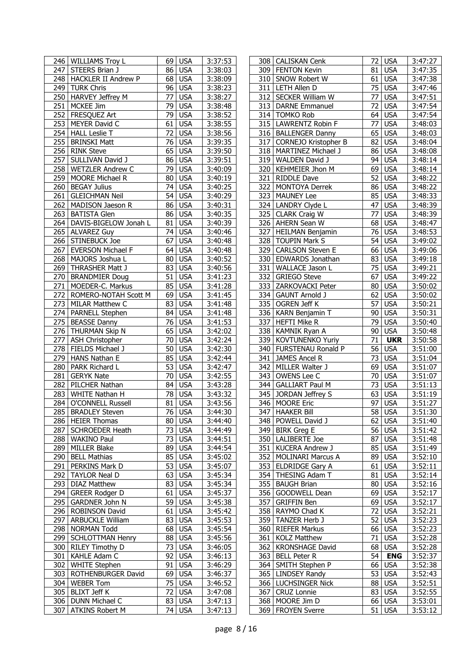|     | 246   WILLIAMS Troy L       |                 | 69 USA     | 3:37:53 |     | 308   CALISKAN Cenk      | 72              | <b>USA</b> | 3:47:27 |
|-----|-----------------------------|-----------------|------------|---------|-----|--------------------------|-----------------|------------|---------|
|     | 247 STEERS Brian J          | 86              | <b>USA</b> | 3:38:03 |     | 309   FENTON Kevin       | 81              | <b>USA</b> | 3:47:35 |
|     | 248   HACKLER II Andrew P   | 68              | <b>USA</b> | 3:38:09 |     | 310 SNOW Robert W        | 61              | <b>USA</b> | 3:47:38 |
|     | 249 TURK Chris              | 96              | <b>USA</b> | 3:38:23 |     | 311   LETH Allen D       | 75              | <b>USA</b> | 3:47:46 |
|     | 250   HARVEY Jeffrey M      | 77              | <b>USA</b> | 3:38:27 |     | 312   SECKER William W   | 77              | <b>USA</b> | 3:47:51 |
| 251 | MCKEE Jim                   | 79              | <b>USA</b> | 3:38:48 | 313 | <b>DARNE Emmanuel</b>    | 72              | <b>USA</b> | 3:47:54 |
| 252 | FRESQUEZ Art                | 79              | <b>USA</b> | 3:38:52 |     | 314 TOMKO Rob            | 64              | <b>USA</b> | 3:47:54 |
| 253 | MEYER David C               | 61              | <b>USA</b> | 3:38:55 |     | 315 LAWRENTZ Robin F     | 77              | <b>USA</b> | 3:48:03 |
|     | 254 HALL Leslie T           | 72              | <b>USA</b> | 3:38:56 |     | 316   BALLENGER Danny    | 65              | <b>USA</b> |         |
|     |                             |                 |            |         |     |                          |                 |            | 3:48:03 |
| 255 | <b>BRINSKI Matt</b>         | 76              | <b>USA</b> | 3:39:35 | 317 | CORNEJO Kristopher B     | 82              | <b>USA</b> | 3:48:04 |
|     | 256 RINK Steve              | 65              | <b>USA</b> | 3:39:50 | 318 | MARTINEZ Michael J       | 86              | <b>USA</b> | 3:48:08 |
| 257 | SULLIVAN David J            | 86              | <b>USA</b> | 3:39:51 | 319 | WALDEN David J           | 94              | <b>USA</b> | 3:48:14 |
|     | 258 WETZLER Andrew C        | 79              | <b>USA</b> | 3:40:09 | 320 | <b>KEHMEIER Jhon M</b>   | 69              | <b>USA</b> | 3:48:14 |
|     | 259   MOORE Michael R       | 80              | <b>USA</b> | 3:40:19 | 321 | <b>RIDDLE Dave</b>       | 52              | <b>USA</b> | 3:48:22 |
| 260 | <b>BEGAY Julius</b>         | 74              | <b>USA</b> | 3:40:25 | 322 | <b>MONTOYA Derrek</b>    | 86              | <b>USA</b> | 3:48:22 |
| 261 | <b>GLEICHMAN Neil</b>       | 54              | <b>USA</b> | 3:40:29 | 323 | <b>MAUNEY Lee</b>        | 85              | <b>USA</b> | 3:48:33 |
|     | 262   MADISON Jaeson R      | 86              | <b>USA</b> | 3:40:31 |     | 324 LANDRY Clyde L       | 47              | <b>USA</b> | 3:48:39 |
|     | 263 BATISTA Glen            | 86              | <b>USA</b> | 3:40:35 |     | 325 CLARK Craig W        | 77              | <b>USA</b> | 3:48:39 |
|     | 264   DAVIS-BIGELOW Jonah L | 81              | <b>USA</b> | 3:40:39 |     | 326 AHERN Sean W         | 68              | <b>USA</b> | 3:48:47 |
|     | 265 ALVAREZ Guy             | 74              | <b>USA</b> | 3:40:46 |     | 327 HEILMAN Benjamin     | 76              | <b>USA</b> | 3:48:53 |
|     | 266 STINEBUCK Joe           | $\overline{67}$ | <b>USA</b> | 3:40:48 |     | 328 TOUPIN Mark S        | $\overline{54}$ | <b>USA</b> | 3:49:02 |
| 267 | <b>EVERSON Michael F</b>    | 64              | <b>USA</b> | 3:40:48 | 329 | <b>CARLSON Steven E</b>  | 66              | <b>USA</b> | 3:49:06 |
|     | 268   MAJORS Joshua L       | 80              | <b>USA</b> | 3:40:52 | 330 | <b>EDWARDS Jonathan</b>  | 83              | <b>USA</b> | 3:49:18 |
|     |                             |                 |            |         |     |                          |                 |            |         |
| 269 | THRASHER Matt J             | 83              | <b>USA</b> | 3:40:56 | 331 | WALLACE Jason L          | 75              | <b>USA</b> | 3:49:21 |
| 270 | <b>BRANDMIER Doug</b>       | 51              | <b>USA</b> | 3:41:23 | 332 | <b>GRIEGO Steve</b>      | 67              | <b>USA</b> | 3:49:22 |
| 271 | MOEDER-C. Markus            | 85              | <b>USA</b> | 3:41:28 | 333 | ZARKOVACKI Peter         | 80              | <b>USA</b> | 3:50:02 |
|     | 272   ROMERO-NOTAH Scott M  | 69              | <b>USA</b> | 3:41:45 |     | 334 GAUNT Arnold J       | 62              | <b>USA</b> | 3:50:02 |
| 273 | <b>MILAR Matthew C</b>      | 83              | <b>USA</b> | 3:41:48 | 335 | OGREN Jeff K             | 57              | <b>USA</b> | 3:50:21 |
|     | 274   PARNELL Stephen       | 84              | <b>USA</b> | 3:41:48 | 336 | KARN Benjamin T          | 90              | <b>USA</b> | 3:50:31 |
| 275 | <b>BEASSE Danny</b>         | 76              | <b>USA</b> | 3:41:53 | 337 | <b>HEFTI Mike R</b>      | 79              | <b>USA</b> | 3:50:40 |
|     | 276 THURMAN Skip N          | 65              | <b>USA</b> | 3:42:02 | 338 | KAMNIK Ryan A            | 90              | <b>USA</b> | 3:50:48 |
|     |                             |                 |            |         |     |                          |                 |            |         |
|     |                             | 70              |            |         |     |                          | 71              |            |         |
| 277 | ASH Christopher             |                 | <b>USA</b> | 3:42:24 | 339 | <b>KOVTUNENKO Yuriy</b>  |                 | <b>UKR</b> | 3:50:58 |
|     | 278   FIELDS Michael J      | 50              | <b>USA</b> | 3:42:30 | 340 | FURSTENAU Ronald P       | 56              | <b>USA</b> | 3:51:00 |
| 279 | <b>HANS Nathan E</b>        | 85              | <b>USA</b> | 3:42:44 | 341 | JAMES Ancel R            | 73              | <b>USA</b> | 3:51:04 |
| 280 | PARK Richard L              | 53              | <b>USA</b> | 3:42:47 | 342 | MILLER Walter J          | 69              | <b>USA</b> | 3:51:07 |
| 281 | <b>GERYK Nate</b>           | 70              | <b>USA</b> | 3:42:55 | 343 | OWENS Lee C              | 70              | <b>USA</b> | 3:51:07 |
|     | 282   PILCHER Nathan        | 84              | <b>USA</b> | 3:43:28 | 344 | <b>GALLIART Paul M</b>   | 73              | <b>USA</b> | 3:51:13 |
| 283 | WHITE Nathan H              | 78              | <b>USA</b> | 3:43:32 |     | 345 JORDAN Jeffrey S     | 63              | <b>USA</b> | 3:51:19 |
| 284 | O'CONNELL Russell           |                 | 81 USA     | 3:43:56 |     | 346 MOORE Eric           | $\overline{97}$ | <b>USA</b> | 3:51:27 |
|     | 285 BRADLEY Steven          |                 | 76 USA     | 3:44:30 |     | 347 HAAKER Bill          |                 | 58 USA     | 3:51:30 |
|     | 286   HEIER Thomas          |                 | 80 USA     | 3:44:40 |     | 348   POWELL David J     |                 | 62 USA     | 3:51:40 |
|     | 287   SCHROEDER Heath       |                 | 73 USA     | 3:44:49 |     | 349   BIRK Greg E        |                 | 56 USA     | 3:51:42 |
|     | 288 WAKINO Paul             | 73 I            | <b>USA</b> | 3:44:51 |     | 350   LALIBERTE Joe      | 87              | <b>USA</b> | 3:51:48 |
|     | 289   MILLER Blake          | 89              | <b>USA</b> | 3:44:54 | 351 | <b>KUCERA Andrew J</b>   | 85              | <b>USA</b> | 3:51:49 |
| 290 | <b>BELL Mathias</b>         | 85              | <b>USA</b> | 3:45:02 | 352 | <b>MOLINARI Marcus A</b> | 89              | <b>USA</b> | 3:52:10 |
|     | 291 PERKINS Mark D          | 53              | <b>USA</b> | 3:45:07 |     | 353 ELDRIDGE Gary A      |                 | $61$ USA   | 3:52:11 |
|     | 292   TAYLOR Neal D         | 63              | <b>USA</b> | 3:45:34 |     | 354   THESING Adam T     | 81              | <b>USA</b> | 3:52:14 |
| 293 | <b>DIAZ Matthew</b>         | 83              | <b>USA</b> | 3:45:34 | 355 | <b>BAUGH Brian</b>       |                 | 80 USA     |         |
|     |                             | 61              |            |         |     | GOODWELL Dean            | 69              | <b>USA</b> | 3:52:16 |
|     | 294 GREER Rodger D          |                 | <b>USA</b> | 3:45:37 | 356 |                          |                 |            | 3:52:17 |
|     | 295   GARDNER John N        |                 | 59 USA     | 3:45:38 | 357 | <b>GRIFFIN Ben</b>       |                 | 69 USA     | 3:52:17 |
|     | 296   ROBINSON David        | 61              | <b>USA</b> | 3:45:42 |     | 358   RAYMO Chad K       | 72              | <b>USA</b> | 3:52:21 |
| 297 | <b>ARBUCKLE William</b>     | 83              | <b>USA</b> | 3:45:53 |     | 359 TANZER Herb J        |                 | 52 USA     | 3:52:23 |
|     | 298   NORMAN Todd           | 68              | <b>USA</b> | 3:45:54 | 360 | <b>RIEFER Markus</b>     |                 | 66 USA     | 3:52:23 |
|     | 299   SCHLOTTMAN Henry      |                 | 88 USA     | 3:45:56 | 361 | <b>KOLZ Matthew</b>      | 71              | <b>USA</b> | 3:52:28 |
|     | 300 RILEY Timothy D         | 73              | <b>USA</b> | 3:46:05 | 362 | <b>KRONSHAGE David</b>   |                 | 68 USA     | 3:52:28 |
|     | 301   KAHLE Adam C          | 92              | <b>USA</b> | 3:46:13 | 363 | <b>BELL Peter R</b>      | 54              | <b>ENG</b> | 3:52:37 |
|     | 302 WHITE Stephen           | 91              | <b>USA</b> | 3:46:29 | 364 | SMITH Stephen P          | 66 l            | <b>USA</b> | 3:52:38 |
|     | 303   ROTHENBURGER David    |                 | 69 USA     | 3:46:37 |     | 365   LINDSEY Randy      | 53              | <b>USA</b> | 3:52:43 |
|     | 304 WEBER Tom               | 75              | <b>USA</b> | 3:46:52 |     | 366   LUCHSINGER Nick    |                 | 88 USA     | 3:52:51 |
|     | 305 BLIXT Jeff K            | 72              | <b>USA</b> | 3:47:08 | 367 | <b>CRUZ Lonnie</b>       |                 | 83 USA     | 3:52:55 |
|     | 306   DUNN Michael C        |                 | 83 USA     | 3:47:13 |     | 368   MOORE Jim D        |                 | 66 USA     | 3:53:01 |
|     | 307   ATKINS Robert M       |                 | 74 USA     | 3:47:13 |     | 369   FROYEN Sverre      |                 | $51$ USA   | 3:53:12 |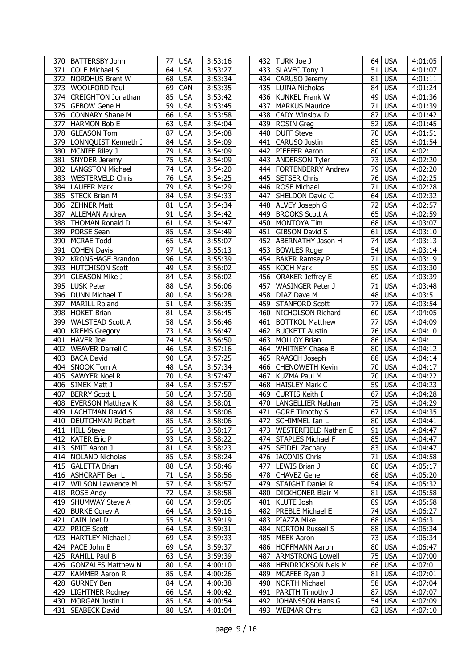| 370   BATTERSBY John             | <b>USA</b><br>77 I            | 3:53:16 |     | 432   TURK Joe J            | 64 USA                        | 4:01:05              |
|----------------------------------|-------------------------------|---------|-----|-----------------------------|-------------------------------|----------------------|
| 371<br><b>COLE Michael S</b>     | 64<br><b>USA</b>              | 3:53:27 |     | 433   SLAVEC Tony J         | 51<br><b>USA</b>              | 4:01:07              |
| 372 NORDHUS Brent W              | 68<br><b>USA</b>              | 3:53:34 | 434 | CARUSO Jeremy               | 81<br><b>USA</b>              | 4:01:11              |
| 373<br><b>WOOLFORD Paul</b>      | 69<br>CAN                     | 3:53:35 | 435 | <b>LUINA Nicholas</b>       | <b>USA</b><br>84              | 4:01:24              |
| 374<br><b>CREIGHTON Jonathan</b> | 85<br><b>USA</b>              | 3:53:42 |     | 436 KUNKEL Frank W          | 49<br><b>USA</b>              | 4:01:36              |
|                                  |                               |         |     |                             |                               |                      |
| <b>GEBOW Gene H</b><br>375       | 59<br><b>USA</b>              | 3:53:45 | 437 | <b>MARKUS Maurice</b>       | <b>USA</b><br>71              | 4:01:39              |
| 376<br><b>CONNARY Shane M</b>    | 66<br><b>USA</b>              | 3:53:58 | 438 | <b>CADY Winslow D</b>       | <b>USA</b><br>87              | 4:01:42              |
| 377 HARMON Bob E                 | 63<br><b>USA</b>              | 3:54:04 | 439 | <b>ROSIN</b> Greg           | 52<br><b>USA</b>              | 4:01:45              |
| 378 GLEASON Tom                  | 87<br><b>USA</b>              | 3:54:08 | 440 | <b>DUFF Steve</b>           | 70<br><b>USA</b>              | 4:01:51              |
| 379   LONNQUIST Kenneth J        | 84<br><b>USA</b>              | 3:54:09 | 441 | CARUSO Justin               | 85<br><b>USA</b>              | 4:01:54              |
| 380 MCNIFF Riley J               | 79<br><b>USA</b>              | 3:54:09 | 442 | PIEFFER Aaron               | <b>USA</b><br>80              | 4:02:11              |
|                                  |                               |         |     |                             |                               |                      |
| 381 SNYDER Jeremy                | 75<br><b>USA</b>              | 3:54:09 | 443 | <b>ANDERSON Tyler</b>       | <b>USA</b><br>73              | 4:02:20              |
| 382   LANGSTON Michael           | 74<br><b>USA</b>              | 3:54:20 | 444 | <b>FORTENBERRY Andrew</b>   | 79<br><b>USA</b>              | 4:02:20              |
| 383   WESTERVELD Chris           | 76<br><b>USA</b>              | 3:54:25 | 445 | <b>SETSER Chris</b>         | 76<br><b>USA</b>              | 4:02:25              |
| 384   LAUFER Mark                | 79<br><b>USA</b>              | 3:54:29 |     | 446 ROSE Michael            | 71<br><b>USA</b>              | 4:02:28              |
| 385 STECK Brian M                | <b>USA</b><br>84              | 3:54:33 | 447 | SHELDON David C             | <b>USA</b><br>64              | 4:02:32              |
| 386   ZEHNER Matt                | <b>USA</b><br>81              | 3:54:34 | 448 | ALVEY Joseph G              | 72<br><b>USA</b>              | 4:02:57              |
| 387 ALLEMAN Andrew               | 91<br><b>USA</b>              | 3:54:42 | 449 | <b>BROOKS Scott A</b>       | 65<br><b>USA</b>              | 4:02:59              |
|                                  |                               |         |     |                             |                               |                      |
| 388 THOMAN Ronald D              | 61<br><b>USA</b>              | 3:54:47 | 450 | <b>MONTOYA Tim</b>          | 68<br><b>USA</b>              | 4:03:07              |
| 389 PORSE Sean                   | 85<br><b>USA</b>              | 3:54:49 | 451 | <b>GIBSON David S</b>       | 61<br><b>USA</b>              | 4:03:10              |
| 390<br><b>MCRAE Todd</b>         | 65<br><b>USA</b>              | 3:55:07 | 452 | ABERNATHY Jason H           | 74<br><b>USA</b>              | 4:03:13              |
| 391<br><b>COHEN Davis</b>        | 97<br><b>USA</b>              | 3:55:13 | 453 | <b>BOWLES Roger</b>         | 54<br><b>USA</b>              | 4:03:14              |
| 392<br><b>KRONSHAGE Brandon</b>  | 96<br><b>USA</b>              | 3:55:39 | 454 | <b>BAKER Ramsey P</b>       | 71<br><b>USA</b>              | 4:03:19              |
| 393 HUTCHISON Scott              | 49<br><b>USA</b>              | 3:56:02 | 455 | <b>KOCH Mark</b>            | 59<br><b>USA</b>              | 4:03:30              |
|                                  |                               |         |     |                             |                               |                      |
| 394<br><b>GLEASON Mike J</b>     | 84<br><b>USA</b>              | 3:56:02 | 456 | <b>ORAKER Jeffrey E</b>     | <b>USA</b><br>69              | 4:03:39              |
| 395 LUSK Peter                   | 88<br><b>USA</b>              | 3:56:06 | 457 | <b>WASINGER Peter J</b>     | <b>USA</b><br>71              | 4:03:48              |
| 396 DUNN Michael T               | 80<br><b>USA</b>              | 3:56:28 | 458 | DIAZ Dave M                 | 48<br><b>USA</b>              | 4:03:51              |
| 397 MARILL Roland                | 51<br><b>USA</b>              | 3:56:35 | 459 | <b>STANFORD Scott</b>       | 77<br><b>USA</b>              | 4:03:54              |
| 398   HOKET Brian                | 81<br><b>USA</b>              | 3:56:45 | 460 | NICHOLSON Richard           | 60<br><b>USA</b>              | 4:04:05              |
| 399   WALSTEAD Scott A           | 58<br><b>USA</b>              | 3:56:46 | 461 | <b>BOTTKOL Matthew</b>      | <b>USA</b><br>77              | 4:04:09              |
|                                  |                               |         |     |                             |                               |                      |
| 400 KREMS Gregory                | 73<br><b>USA</b>              | 3:56:47 | 462 | <b>BUCKETT Austin</b>       | <b>USA</b><br>76              | 4:04:10              |
| 401 HAVER Joe                    | 74<br><b>USA</b>              | 3:56:50 | 463 | <b>MOLLOY Brian</b>         | 86<br><b>USA</b>              | 4:04:11              |
| <b>WEAVER Darrell C</b><br>402   | <b>USA</b><br>46              | 3:57:16 | 464 | <b>WHITNEY Chase B</b>      | <b>USA</b><br>80              | 4:04:12              |
| 403   BACA David                 | 90<br><b>USA</b>              | 3:57:25 |     | 465 RAASCH Joseph           | <b>USA</b><br>88              | 4:04:14              |
| SNOOK Tom A<br>404               | <b>USA</b><br>48              | 3:57:34 | 466 | <b>CHENOWETH Kevin</b>      | <b>USA</b><br>70              | 4:04:17              |
| 405   SAWYER Noel R              | 70<br><b>USA</b>              | 3:57:47 | 467 | KUZMA Paul M                | <b>USA</b><br>70              | 4:04:22              |
| 406 SIMEK Matt J                 | 84<br><b>USA</b>              | 3:57:57 | 468 | <b>HAISLEY Mark C</b>       | <b>USA</b><br>59              | 4:04:23              |
|                                  |                               |         |     |                             |                               |                      |
| 407 BERRY Scott L                | 58<br><b>USA</b>              | 3:57:58 | 469 | CURTIS Keith I              | 67<br><b>USA</b>              | 4:04:28              |
| 408 EVERSON Matthew K            | $\overline{88}$<br><b>USA</b> | 3:58:01 | 470 | LANGELLIER Nathan           | $\overline{75}$<br><b>USA</b> | $\overline{4:}04:29$ |
| 409   LACHTMAN David S           | 88 USA                        | 3:58:06 |     | 471 GORE Timothy S          | 67 USA                        | 4:04:35              |
| 410   DEUTCHMAN Robert           | 85 USA                        | 3:58:06 |     | 472   SCHIMMEL Ian L        | 80 USA                        | 4:04:41              |
| 411 HILL Steve                   | 55<br><b>USA</b>              | 3:58:17 | 473 | <b>WESTERFIELD Nathan E</b> | 91 USA                        | 4:04:47              |
| 412   KATER Eric P               | 93<br><b>USA</b>              | 3:58:22 |     | 474   STAPLES Michael F     | 85 USA                        | 4:04:47              |
| 413 SMIT Aaron J                 | <b>USA</b><br>81              | 3:58:23 |     | 475 SEIDEL Zachary          | 83 USA                        | 4:04:47              |
|                                  |                               |         |     |                             |                               |                      |
| 414   NOLAND Nicholas            | 85<br><b>USA</b>              | 3:58:24 |     | 476   IACONIS Chris         | 71 USA                        | 4:04:58              |
| 415   GALETTA Brian              | 88<br><b>USA</b>              | 3:58:46 |     | 477 LEWIS Brian J           | 80 USA                        | 4:05:17              |
| 416   ASHCRAFT Ben L             | 71<br><b>USA</b>              | 3:58:56 |     | 478 CHAVEZ Gene             | 68 USA                        | 4:05:20              |
| 417 WILSON Lawrence M            | 57<br><b>USA</b>              | 3:58:57 |     | 479 STAIGHT Daniel R        | 54 USA                        | 4:05:32              |
| 418 ROSE Andy                    | 72<br><b>USA</b>              | 3:58:58 | 480 | DICKHONER Blair M           | 81 USA                        | 4:05:58              |
| 419   SHUMWAY Steve A            | 60<br><b>USA</b>              | 3:59:05 | 481 | KLUTE Josh                  | 89 USA                        | 4:05:58              |
|                                  |                               |         |     |                             |                               |                      |
| 420 BURKE Corey A                | 64<br><b>USA</b>              | 3:59:16 | 482 | PREBLE Michael E            | 74 USA                        | 4:06:27              |
| 421<br>CAIN Joel D               | 55<br><b>USA</b>              | 3:59:19 |     | 483   PIAZZA Mike           | 68 USA                        | 4:06:31              |
| 422 PRICE Scott                  | 64<br><b>USA</b>              | 3:59:31 | 484 | <b>NORTON Russell S</b>     | 88 USA                        | 4:06:34              |
| 423<br><b>HARTLEY Michael J</b>  | 69<br><b>USA</b>              | 3:59:33 | 485 | <b>MEEK Aaron</b>           | 73 USA                        | 4:06:34              |
| 424   PACE John B                | 69<br><b>USA</b>              | 3:59:37 |     | 486   HOFFMANN Aaron        | 80 USA                        | 4:06:47              |
| 425   RAHILL Paul B              | 63<br><b>USA</b>              | 3:59:39 | 487 | <b>ARMSTRONG Lowell</b>     | <b>USA</b><br>75              | 4:07:00              |
| 426   GONZALES Matthew N         | 80                            |         |     | HENDRICKSON Nels M          | 66 USA                        | 4:07:01              |
|                                  | <b>USA</b>                    | 4:00:10 | 488 |                             |                               |                      |
| 427<br><b>KAMMER Aaron R</b>     | 85<br><b>USA</b>              | 4:00:26 | 489 | MCAFEE Ryan J               | 81 USA                        | 4:07:01              |
| 428<br><b>GURNEY Ben</b>         | 84<br><b>USA</b>              | 4:00:38 | 490 | <b>NORTH Michael</b>        | 58 USA                        | 4:07:04              |
| 429   LIGHTNER Rodney            | 66<br><b>USA</b>              | 4:00:42 | 491 | PARITH Timothy J            | 87 USA                        | 4:07:07              |
| 430   MORGAN Justin L            | 85<br><b>USA</b>              | 4:00:54 | 492 | JOHANSSON Hans G            | 54 USA                        | 4:07:09              |
| 431   SEABECK David              | 80 USA                        | 4:01:04 |     | 493   WEIMAR Chris          | 62 USA                        | 4:07:10              |
|                                  |                               |         |     |                             |                               |                      |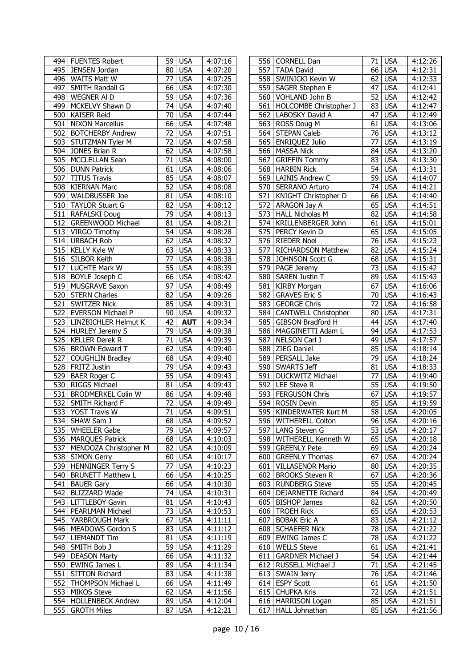|     | 494   FUENTES Robert        | 59              | <b>USA</b> | 4:07:16              | 556 | <b>CORNELL Dan</b>          |    | 71 USA              | 4:12:26              |
|-----|-----------------------------|-----------------|------------|----------------------|-----|-----------------------------|----|---------------------|----------------------|
|     | 495   JENSEN Jordan         | 80              | <b>USA</b> | 4:07:20              |     | 557 TADA David              |    | 66 USA              | $\overline{4:}12:31$ |
|     | 496   WAITS Matt W          | 77              | <b>USA</b> | $\overline{4:07:25}$ | 558 | <b>SWINICKI Kevin W</b>     |    | 62 USA              | 4:12:33              |
|     | 497 SMITH Randall G         | 66              | <b>USA</b> | 4:07:30              |     | 559 SAGER Stephen E         | 47 | <b>USA</b>          | 4:12:41              |
|     | 498 WEGNER AI D             | 59              | <b>USA</b> | 4:07:36              |     | 560 VOHLAND John B          | 52 | <b>USA</b>          | 4:12:42              |
| 499 | MCKELVY Shawn D             | 74              | <b>USA</b> | 4:07:40              | 561 | HOLCOMBE Christopher J      | 83 | <b>USA</b>          | 4:12:47              |
| 500 | <b>KAISER Reid</b>          | $\overline{70}$ | <b>USA</b> | 4:07:44              | 562 | LABOSKY David A             | 47 | <b>USA</b>          | 4:12:49              |
| 501 | <b>NIXON Marcellus</b>      | 66              | <b>USA</b> | 4:07:48              | 563 | ROSS Doug M                 | 61 | <b>USA</b>          | 4:13:06              |
| 502 | <b>BOTCHERBY Andrew</b>     | 72              | <b>USA</b> | 4:07:51              |     | 564 STEPAN Caleb            |    | $\overline{76}$ USA | 4:13:12              |
|     | 503 STUTZMAN Tyler M        | 72              | <b>USA</b> | 4:07:58              | 565 | <b>ENRIQUEZ Julio</b>       | 77 | <b>USA</b>          | 4:13:19              |
|     | 504 JONES Brian R           | 62              | <b>USA</b> | 4:07:58              | 566 | <b>MASSA Nick</b>           |    | 84 USA              | 4:13:20              |
|     | 505   MCCLELLAN Sean        | 71              | <b>USA</b> | 4:08:00              | 567 | <b>GRIFFIN Tommy</b>        |    | 83 USA              | 4:13:30              |
|     | 506 DUNN Patrick            | 61              | <b>USA</b> | 4:08:06              | 568 | <b>HARBIN Rick</b>          |    | 54 USA              | 4:13:31              |
|     | 507 TITUS Travis            | 85              | <b>USA</b> | 4:08:07              | 569 | <b>LAINIS Andrew C</b>      |    | 59 USA              | 4:14:07              |
|     | 508   KIERNAN Marc          | 52              | <b>USA</b> | 4:08:08              |     | 570 SERRANO Arturo          |    | 74 USA              | 4:14:21              |
|     | 509   WALDBUSSER Joe        | 81              | <b>USA</b> | 4:08:10              |     | 571   KNIGHT Christopher D  |    | 66 USA              | 4:14:40              |
|     | 510 TAYLOR Stuart G         | 82              | <b>USA</b> | 4:08:12              | 572 | ARAGON Jay A                | 65 | <b>USA</b>          | 4:14:51              |
|     | 511 RAFALSKI Doug           | 79              | <b>USA</b> | 4:08:13              |     | 573   HALL Nicholas M       | 82 | <b>USA</b>          | 4:14:58              |
|     | 512   GREENWOOD Michael     | 81              | <b>USA</b> | 4:08:21              |     | 574   KRILLENBERGER John    |    | 61 USA              | 4:15:01              |
|     | 513 VIRGO Timothy           | 54              | <b>USA</b> | 4:08:28              | 575 | PERCY Kevin D               |    | 65 USA              | 4:15:05              |
|     | 514 URBACH Rob              | 62              | <b>USA</b> | $\overline{4:}08:32$ | 576 | <b>RIEDER Noel</b>          |    | $76$ USA            | 4:15:23              |
|     | 515   KELLY Kyle W          | 63              | <b>USA</b> | 4:08:33              | 577 | <b>RICHARDSON Matthew</b>   | 82 | <b>USA</b>          | 4:15:24              |
|     | 516 SILBOR Keith            | 77              | <b>USA</b> | 4:08:38              | 578 | JOHNSON Scott G             |    | 68 USA              | 4:15:31              |
|     | 517 LUCHTE Mark W           | 55              | <b>USA</b> | 4:08:39              | 579 | PAGE Jeremy                 | 73 | <b>USA</b>          | 4:15:42              |
|     | 518   BOYLE Joseph C        | 66              | <b>USA</b> | 4:08:42              | 580 | <b>SAREN Justin T</b>       |    | 89 USA              | 4:15:43              |
|     | 519 MUSGRAVE Saxon          | 97              | <b>USA</b> | 4:08:49              | 581 | <b>KIRBY Morgan</b>         | 67 | <b>USA</b>          | 4:16:06              |
| 520 | <b>STERN Charles</b>        | 82              | <b>USA</b> | 4:09:26              | 582 | <b>GRAVES Eric S</b>        | 70 | <b>USA</b>          | 4:16:43              |
|     | 521 SWITZER Nick            | 85              | <b>USA</b> | 4:09:31              | 583 | <b>GEORGE Chris</b>         | 72 | <b>USA</b>          | 4:16:58              |
|     | 522   EVERSON Michael P     | 90              | <b>USA</b> | 4:09:32              | 584 | <b>CANTWELL Christopher</b> |    | 80 USA              | 4:17:31              |
|     | 523   LINZBICHLER Helmut K  | 42              | <b>AUT</b> | 4:09:34              | 585 | GIBSON Bradford H           |    | 44 USA              | 4:17:40              |
|     | 524 HURLEY Jeremy S         | 79              | <b>USA</b> | 4:09:38              | 586 | MAGGINETTI Adam L           |    | 94 USA              | 4:17:53              |
|     | 525   KELLER Derek R        | 71              | <b>USA</b> | 4:09:39              | 587 | NELSON Carl J               | 49 | <b>USA</b>          | 4:17:57              |
|     | 526 BROWN Edward T          | 62              | <b>USA</b> | 4:09:40              | 588 | <b>ZIEG Daniel</b>          |    | 85 USA              | 4:18:14              |
| 527 | <b>COUGHLIN Bradley</b>     | 68              | <b>USA</b> | 4:09:40              | 589 | PERSALL Jake                | 79 | <b>USA</b>          | 4:18:24              |
|     | 528   FRITZ Justin          | 79              | <b>USA</b> | 4:09:43              | 590 | <b>SWARTS Jeff</b>          |    | 81 USA              | 4:18:33              |
| 529 | <b>BAER Roger C</b>         | 55              | <b>USA</b> | 4:09:43              | 591 | <b>DUCKWITZ Michael</b>     | 77 | <b>USA</b>          | 4:19:40              |
|     | 530 RIGGS Michael           | 81              | <b>USA</b> | 4:09:43              |     | 592   LEE Steve R           |    | 55 USA              | 4:19:50              |
|     | 531   BRODMERKEL Colin W    | 86              | <b>USA</b> | 4:09:48              |     | 593 FERGUSON Chris          | 67 | <b>USA</b>          | 4:19:57              |
| 532 | SMITH Richard F             | 72              | <b>USA</b> | 4:09:49              |     | 594 ROSIN Devin             | 85 | <b>USA</b>          | 4:19:59              |
|     | 533 YOST Travis W           |                 | 71 USA     | 4:09:51              |     | 595   KINDERWATER Kurt M    |    | 58 USA              | 4:20:05              |
|     | 534   SHAW Sam J            |                 | 68 USA     | 4:09:52              |     | 596 WITHERELL Colton        |    | 96 USA              | 4:20:16              |
|     | 535   WHEELER Gabe          |                 | 79 USA     | 4:09:57              | 597 | LANG Steven G               |    | $\overline{53}$ USA | 4:20:17              |
|     | 536   MARQUES Patrick       | 68              | <b>USA</b> | 4:10:03              |     | 598 WITHERELL Kenneth W     |    | 65 USA              | 4:20:18              |
|     | 537   MENDOZA Christopher M | 82              | <b>USA</b> | 4:10:09              | 599 | <b>GREENLY Pete</b>         |    | 69 USA              | 4:20:24              |
|     | 538 SIMON Gerry             | 60              | <b>USA</b> | 4:10:17              | 600 | <b>GREENLY Thomas</b>       |    | 67 USA              | 4:20:24              |
|     | 539 HENNINGER Terry S       | 77              | <b>USA</b> | 4:10:23              | 601 | <b>VILLASENOR Mario</b>     |    | 80 USA              | 4:20:35              |
|     | 540   BRUNETT Matthew L     | 66              | <b>USA</b> | 4:10:25              |     | 602 BROOKS Steven R         |    | 67 USA              | 4:20:36              |
|     | 541 BAUER Gary              | 66              | <b>USA</b> | 4:10:30              |     | 603 RUNDBERG Steve          |    | 55 USA              | 4:20:45              |
|     | 542 BLIZZARD Wade           | 74              | <b>USA</b> | 4:10:31              | 604 | <b>DEJARNETTE Richard</b>   |    | 84 USA              | 4:20:49              |
|     | 543 LITTLEBOY Gavin         | 81              | <b>USA</b> | 4:10:43              |     | 605   BISHOP James          |    | 82 USA              | 4:20:50              |
|     | 544   PEARLMAN Michael      | 73              | <b>USA</b> | 4:10:53              |     | 606   TROEH Rick            |    | 65 USA              | 4:20:53              |
|     | 545   YARBROUGH Mark        | 67              | <b>USA</b> | 4:11:11              | 607 | <b>BOBAK Eric A</b>         |    | 83 USA              | 4:21:12              |
|     | 546   MEADOWS Gordon S      | 83              | <b>USA</b> | 4:11:12              |     | 608   SCHAEFER Nick         |    | 78 USA              | 4:21:22              |
|     | 547   LIEMANDT Tim          | 81              | <b>USA</b> | 4:11:19              |     | 609   EWING James C         |    | 78 USA              | 4:21:22              |
|     | 548 SMITH Bob J             | 59              | <b>USA</b> | 4:11:29              | 610 | <b>WELLS Steve</b>          |    | 61 USA              | 4:21:41              |
|     | 549 DEASON Marty            | 66              | <b>USA</b> | 4:11:32              | 611 | <b>GARDNER Michael J</b>    |    | 54 USA              | 4:21:44              |
|     | 550 EWING James L           | 89              | <b>USA</b> | 4:11:34              |     | 612 RUSSELL Michael J       |    | 71 USA              | 4:21:45              |
|     | 551 SITTON Richard          | 83              | <b>USA</b> | 4:11:38              |     | 613 SWAIN Jerry             |    | 76 USA              | 4:21:46              |
|     | 552   THOMPSON Michael L    |                 | $66$ USA   | 4:11:49              |     | 614 ESPY Scott              |    | 61 USA              | 4:21:50              |
|     | 553 MIKOS Steve             | 62              | <b>USA</b> | 4:11:56              |     | 615 CHUPKA Kris             |    | 72 USA              | 4:21:51              |
|     | 554 HOLLENBECK Andrew       | 89              | <b>USA</b> | 4:12:04              |     | 616   HARRISON Logan        |    | 85 USA              | 4:21:51              |
|     | 555 GROTH Miles             | 87              | <b>USA</b> | 4:12:21              |     | 617   HALL Johnathan        |    | 85 USA              | 4:21:56              |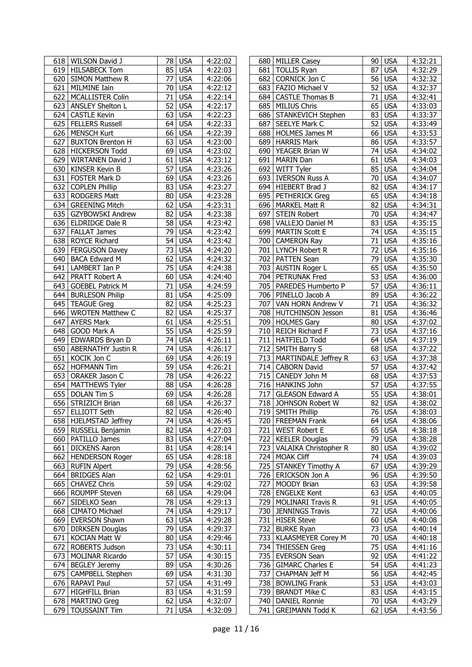| 618   WILSON David J                            | 78              | <b>USA</b> | 4:22:02              |     | 680   MILLER Casey                          |                 | 90 USA              | 4:32:21            |
|-------------------------------------------------|-----------------|------------|----------------------|-----|---------------------------------------------|-----------------|---------------------|--------------------|
| 619   HILSABECK Tom                             | 85              | <b>USA</b> | 4:22:03              |     | 681 TOLLIS Ryan                             | 87              | <b>USA</b>          | 4:32:29            |
| 620 SIMON Matthew R                             | 77              | <b>USA</b> | 4:22:06              | 682 | CORNICK Jon C                               |                 | 56 USA              | 4:32:32            |
| 621 MILMINE Iain                                | 70              | <b>USA</b> | 4:22:12              |     | 683   FAZIO Michael V                       | 52              | <b>USA</b>          | 4:32:37            |
| 622   MCALLISTER Colin                          | $\overline{71}$ | <b>USA</b> | 4:22:14              | 684 | <b>CASTLE Thomas B</b>                      | $\overline{71}$ | <b>USA</b>          | 4:32:41            |
| 623   ANSLEY Shelton L                          | 52              | <b>USA</b> | 4:22:17              | 685 | <b>MILIUS Chris</b>                         |                 | 65 USA              | 4:33:03            |
| 624 CASTLE Kevin                                | 63              | <b>USA</b> | 4:22:23              | 686 | STANKEVICH Stephen                          |                 | 83 USA              | 4:33:37            |
| 625<br><b>FELLERS Russell</b>                   | 64              | <b>USA</b> | 4:22:33              | 687 | SEELYE Mark C                               | 52              | <b>USA</b>          | 4:33:49            |
| 626   MENSCH Kurt                               | 66              | <b>USA</b> | 4:22:39              | 688 | <b>HOLMES James M</b>                       |                 | $\overline{66}$ USA | 4:33:53            |
| 627 BUXTON Brenton H                            | 63              | <b>USA</b> | 4:23:00              |     | 689 HARRIS Mark                             |                 | 86 USA              | 4:33:57            |
| 628 HICKERSON Todd                              | 69              | <b>USA</b> | $\overline{4:}23:02$ |     | 690 YEAGER Brian W                          | 74              | <b>USA</b>          | 4:34:02            |
| 629 WIRTANEN David J                            | 61              | <b>USA</b> | 4:23:12              | 691 | MARIN Dan                                   | 61              | <b>USA</b>          | 4:34:03            |
| 630 KINSER Kevin B                              | 57              | <b>USA</b> |                      | 692 |                                             |                 | 85 USA              |                    |
|                                                 |                 |            | $\overline{4:}23:26$ |     | WITT Tyler                                  |                 |                     | 4:34:04            |
| 631   FOSTER Mark D                             | 69              | <b>USA</b> | 4:23:26              |     | 693   IVERSON Russ A                        |                 | 70 USA              | 4:34:07            |
| 632 COPLEN Phillip                              | 83              | <b>USA</b> | 4:23:27              |     | 694 HIEBERT Brad J                          | 82              | <b>USA</b>          | 4:34:17            |
| 633   RODGERS Matt                              | 80              | <b>USA</b> | 4:23:28              |     | 695   PETHERICK Greg                        |                 | 65 USA              | 4:34:18            |
| 634 GREENING Mitch                              | 62              | <b>USA</b> | 4:23:31              |     | 696 MARKEL Matt R                           | 82              | <b>USA</b>          | 4:34:31            |
| 635 GZYBOWSKI Andrew                            | 82              | <b>USA</b> | 4:23:38              | 697 | <b>STEIN Robert</b>                         | 70              | <b>USA</b>          | 4:34:47            |
| 636 ELDRIDGE Dale R                             | 58              | <b>USA</b> | 4:23:42              |     | 698 VALLEJO Daniel M                        |                 | 83 USA              | 4:35:15            |
| 637   FALLAT James                              | $\overline{79}$ | <b>USA</b> | 4:23:42              |     | 699 MARTIN Scott E                          |                 | 74 USA              | 4:35:15            |
| 638 ROYCE Richard                               | 54              | <b>USA</b> | 4:23:42              |     | 700 CAMERON Ray                             |                 | 71 USA              | 4:35:16            |
| 639 FERGUSON Davey                              | 73              | <b>USA</b> | 4:24:20              |     | 701 LYNCH Robert R                          | 72              | <b>USA</b>          | 4:35:16            |
| 640<br><b>BACA Edward M</b>                     | $\overline{62}$ | <b>USA</b> | 4:24:32              |     | 702 PATTEN Sean                             | $\overline{79}$ | <b>USA</b>          | 4:35:30            |
| 641 LAMBERT Ian P                               | 75              | <b>USA</b> | 4:24:38              |     | 703 AUSTIN Roger L                          |                 | $\overline{65}$ USA | 4:35:50            |
| 642   PRATT Robert A                            | 60              | <b>USA</b> | 4:24:40              |     | 704   PETRUNAK Fred                         |                 | $\overline{53}$ USA | 4:36:00            |
| 643<br><b>GOEBEL Patrick M</b>                  | 71              | <b>USA</b> | 4:24:59              | 705 | PAREDES Humberto P                          | 57              | <b>USA</b>          | 4:36:11            |
| 644 BURLESON Philip                             | 81              | <b>USA</b> | 4:25:09              | 706 | PINELLO Jacob A                             | 89              | <b>USA</b>          | 4:36:22            |
| 645   TEAGUE Greg                               | 82              | <b>USA</b> | 4:25:23              |     | 707   VAN HORN Andrew V                     | 71              | <b>USA</b>          | 4:36:32            |
| 646   WROTEN Matthew C                          | 82              | <b>USA</b> | 4:25:37              |     | 708   HUTCHINSON Jesson                     |                 | 81 USA              | 4:36:46            |
| <b>AYERS Mark</b><br>647                        | 61              | <b>USA</b> | 4:25:51              |     | 709 HOLMES Gary                             |                 | 80 USA              | 4:37:02            |
| 648 GOOD Mark A                                 | 55              | <b>USA</b> | 4:25:59              |     | 710 REICH Richard F                         | 73              | <b>USA</b>          | 4:37:16            |
| 649 EDWARDS Bryan D                             | 74              | <b>USA</b> | 4:26:11              | 711 | <b>HATFIELD Todd</b>                        |                 | 64 USA              | 4:37:19            |
| 650   ABERNATHY Justin R                        | 74              | <b>USA</b> | 4:26:17              |     | 712 SMITH Barry S                           |                 | 68 USA              | 4:37:22            |
| 651 KOCIK Jon C                                 | 69              | <b>USA</b> | 4:26:19              |     | 713   MARTINDALE Jeffrey R                  |                 | 63 USA              | 4:37:38            |
| 652 HOFMANN Tim                                 | 59              | <b>USA</b> | 4:26:21              | 714 | <b>CABORN David</b>                         | 57              | <b>USA</b>          | 4:37:42            |
| 653<br><b>ORAKER Jason C</b>                    | $\overline{78}$ | <b>USA</b> | 4:26:22              | 715 | CANEDY John M                               |                 | 68 USA              | 4:37:53            |
| 654 MATTHEWS Tyler                              | 88              | <b>USA</b> | 4:26:28              |     | 716 HANKINS John                            | 57              | <b>USA</b>          | 4:37:55            |
| 655 DOLAN Tim S                                 | 69              | <b>USA</b> | 4:26:28              |     | 717 GLEASON Edward A                        |                 | 55 USA              | 4:38:01            |
| 656 STRIZICH Brian                              | $\overline{68}$ | <b>USA</b> | 4:26:37              |     | 718 JOHNSON Robert W                        | 82              | <b>USA</b>          | 4:38:02            |
| 657 ELLIOTT Seth                                |                 | $82$ USA   | 4:26:40              |     | 719 SMITH Phillip                           |                 | <b>76 USA</b>       | 4:38:03            |
|                                                 |                 | 74 USA     |                      |     |                                             |                 |                     |                    |
| 658   HJELMSTAD Jeffrey<br>659 RUSSELL Benjamin | 82              |            | 4:26:45              |     | 720   FREEMAN Frank<br><b>WEST Robert E</b> |                 | 64 USA<br>65 USA    | 4:38:06<br>4:38:18 |
|                                                 |                 | <b>USA</b> | 4:27:03              | 721 | <b>KEELER Douglas</b>                       |                 | $\overline{79}$ USA |                    |
| 660   PATILLO James                             | 83              | <b>USA</b> | 4:27:04              | 722 |                                             |                 |                     | 4:38:28            |
| 661   DICKENS Aaron                             | 81              | <b>USA</b> | 4:28:14              | 723 | VALAIKA Christopher R                       |                 | 80 USA              | 4:39:02            |
| 662   HENDERSON Roger                           | 65              | <b>USA</b> | 4:28:18              | 724 | <b>MOAK Cliff</b>                           |                 | 74 USA              | 4:39:03            |
| 663 RUFIN Alpert                                | 79              | <b>USA</b> | 4:28:56              | 725 | <b>STANKEY Timothy A</b>                    |                 | 67 USA              | 4:39:29            |
| 664 BRIDGES Alan                                | 62              | <b>USA</b> | 4:29:01              |     | 726   ERICKSON Jon A                        |                 | 96 USA              | 4:39:50            |
| 665 CHAVEZ Chris                                | 59              | <b>USA</b> | 4:29:02              |     | 727 MOODY Brian                             |                 | 63 USA              | 4:39:58            |
| 666   ROUMPF Steven                             | 68              | <b>USA</b> | 4:29:04              | 728 | <b>ENGELKE Kent</b>                         |                 | 63 USA              | 4:40:05            |
| 667 SIDELKO Sean                                |                 | 78 USA     | 4:29:13              | 729 | <b>MOLINARI Travis R</b>                    |                 | $91$ USA            | 4:40:05            |
| 668   CIMATO Michael                            | 74              | <b>USA</b> | 4:29:17              | 730 | <b>JENNINGS Travis</b>                      | 72              | <b>USA</b>          | 4:40:06            |
| 669   EVERSON Shawn                             | 63              | <b>USA</b> | 4:29:28              | 731 | <b>HISER Steve</b>                          |                 | $60$ USA            | 4:40:08            |
| 670 DIRKSEN Douglas                             | 79              | <b>USA</b> | 4:29:37              | 732 | <b>BURKE Ryan</b>                           |                 | 73 USA              | 4:40:14            |
| 671   KOCIAN Matt W                             | 80              | <b>USA</b> | 4:29:46              | 733 | <b>KLAASMEYER Corey M</b>                   |                 | 70 USA              | 4:40:18            |
| 672   ROBERTS Judson                            | 73              | <b>USA</b> | 4:30:11              | 734 | <b>THIESSEN Greg</b>                        |                 | 75 USA              | 4:41:16            |
| 673   MOLINAR Ricardo                           | 57              | <b>USA</b> | 4:30:15              | 735 | <b>EVERSON Sean</b>                         |                 | 92 USA              | 4:41:22            |
| 674   BEGLEY Jeremy                             | 89              | <b>USA</b> | 4:30:26              | 736 | <b>GIMARC Charles E</b>                     |                 | 54 USA              | 4:41:23            |
| 675   CAMPBELL Stephen                          | 69              | <b>USA</b> | 4:31:30              | 737 | CHAPMAN Jeff M                              |                 | 56 USA              | 4:42:45            |
| 676   RAPAVI Paul                               | 57              | <b>USA</b> | 4:31:49              | 738 | <b>BOWLING Frank</b>                        |                 | 53 USA              | 4:43:03            |
| 677   HIGHFILL Brian                            | 83              | <b>USA</b> | 4:31:59              | 739 | <b>BRANDT Mike C</b>                        |                 | 83 USA              | 4:43:15            |
| 678   MARTINO Greg                              | 62              | <b>USA</b> | 4:32:07              | 740 | <b>DANIEL Ronnie</b>                        |                 | 70 USA              | 4:43:29            |
| 679 TOUSSAINT Tim                               | 71              | <b>USA</b> | 4:32:09              | 741 | <b>GREIMANN Todd K</b>                      |                 | 62 USA              | 4:43:56            |
|                                                 |                 |            |                      |     |                                             |                 |                     |                    |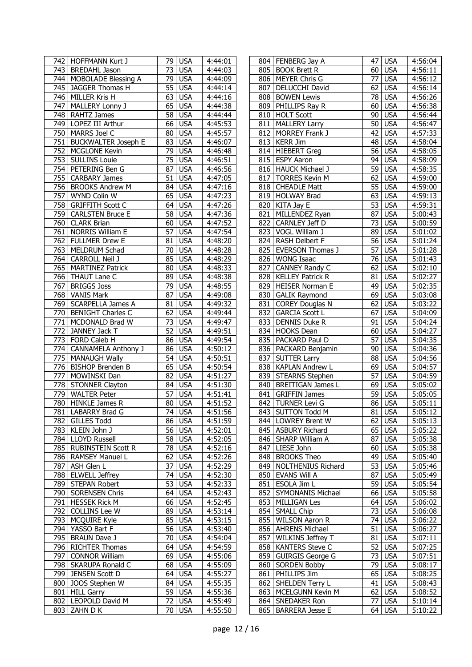|     | 742   HOFFMANN Kurt J      |                 | 79 USA     | 4:44:01 |     | 804   FENBERG Jay A      | 47              | <b>USA</b> | 4:56:04 |
|-----|----------------------------|-----------------|------------|---------|-----|--------------------------|-----------------|------------|---------|
|     | 743   BREDAHL Jason        | 73              | <b>USA</b> | 4:44:03 |     | 805 BOOK Brett R         | 60              | <b>USA</b> | 4:56:11 |
|     | 744   MOBOLADE Blessing A  | 79              | <b>USA</b> | 4:44:09 |     | 806   MEYER Chris G      | 77              | <b>USA</b> | 4:56:12 |
|     | 745 JAGGER Thomas H        | 55              | <b>USA</b> | 4:44:14 | 807 | DELUCCHI David           | 62              | <b>USA</b> | 4:56:14 |
| 746 | MILLER Kris H              | 63              | <b>USA</b> | 4:44:16 | 808 | <b>BOWEN Lewis</b>       | 78              | <b>USA</b> | 4:56:26 |
| 747 | MALLERY Lonny J            | 65              | <b>USA</b> | 4:44:38 | 809 | PHILLIPS Ray R           | 60              | <b>USA</b> | 4:56:38 |
| 748 | <b>RAHTZ James</b>         | 58              | <b>USA</b> | 4:44:44 |     | 810 HOLT Scott           | 90              | <b>USA</b> | 4:56:44 |
|     | 749   LOPEZ III Arthur     | 66              | <b>USA</b> | 4:45:53 |     | 811   MALLERY Larry      | 50              | <b>USA</b> | 4:56:47 |
|     | 750   MARRS Joel C         | 80 <sub>1</sub> | <b>USA</b> | 4:45:57 | 812 | MORREY Frank J           | 42              | <b>USA</b> | 4:57:33 |
| 751 | <b>BUCKWALTER Joseph E</b> | 83              | <b>USA</b> | 4:46:07 |     | 813   KERR Jim           | 48              | <b>USA</b> | 4:58:04 |
|     | 752   MCGLONE Kevin        | 79              | <b>USA</b> | 4:46:48 |     | 814 HIEBERT Greg         |                 | 56 USA     | 4:58:05 |
|     | 753   SULLINS Louie        | 75              | <b>USA</b> | 4:46:51 |     | 815 ESPY Aaron           | 94              | <b>USA</b> |         |
|     |                            | 87              |            |         |     |                          |                 |            | 4:58:09 |
|     | 754 PETERING Ben G         |                 | <b>USA</b> | 4:46:56 |     | 816   HAUCK Michael J    | 59              | <b>USA</b> | 4:58:35 |
|     | 755   CARBARY James        | 51              | <b>USA</b> | 4:47:05 |     | 817   TORRES Kevin M     | 62              | <b>USA</b> | 4:59:00 |
|     | 756   BROOKS Andrew M      | 84              | <b>USA</b> | 4:47:16 |     | 818 CHEADLE Matt         | 55              | <b>USA</b> | 4:59:00 |
| 757 | WYND Colin W               | 65              | <b>USA</b> | 4:47:23 |     | 819 HOLWAY Brad          | 63              | <b>USA</b> | 4:59:13 |
|     | 758 GRIFFITH Scott C       | 64              | <b>USA</b> | 4:47:26 |     | 820   KITA Jay E         | 53              | <b>USA</b> | 4:59:31 |
| 759 | <b>CARLSTEN Bruce E</b>    | 58              | <b>USA</b> | 4:47:36 |     | 821 MILLENDEZ Ryan       | 87              | <b>USA</b> | 5:00:43 |
| 760 | <b>CLARK Brian</b>         | 60              | <b>USA</b> | 4:47:52 |     | 822 CARNLEY Jeff D       | 73              | <b>USA</b> | 5:00:59 |
| 761 | NORRIS William E           | 57              | <b>USA</b> | 4:47:54 | 823 | VOGL William J           | 89              | <b>USA</b> | 5:01:02 |
|     | 762 FULLMER Drew E         | 81              | <b>USA</b> | 4:48:20 |     | 824 RASH Delbert F       | 56              | <b>USA</b> | 5:01:24 |
|     | 763   MELDRUM Schad        | 70              | <b>USA</b> | 4:48:28 | 825 | <b>EVERSON Thomas J</b>  | 57              | <b>USA</b> | 5:01:28 |
| 764 | <b>CARROLL Neil J</b>      | 85              | <b>USA</b> | 4:48:29 | 826 | <b>WONG Isaac</b>        | 76              | <b>USA</b> | 5:01:43 |
| 765 | <b>MARTINEZ Patrick</b>    | 80              | <b>USA</b> | 4:48:33 | 827 | CANNEY Randy C           | 62              | <b>USA</b> | 5:02:10 |
|     | 766   THAUT Lane C         | 89              | <b>USA</b> | 4:48:38 |     | 828   KELLEY Patrick R   | 81              | <b>USA</b> | 5:02:27 |
| 767 | <b>BRIGGS Joss</b>         | 79              | <b>USA</b> | 4:48:55 |     | 829 HEISER Norman E      | 49              | <b>USA</b> | 5:02:35 |
|     | 768 VANIS Mark             | 87              | <b>USA</b> | 4:49:08 | 830 | <b>GALIK Raymond</b>     | 69              | <b>USA</b> | 5:03:08 |
| 769 | <b>SCARPELLA James A</b>   | 81              | <b>USA</b> | 4:49:32 | 831 | <b>COREY Douglas N</b>   | 62              | <b>USA</b> | 5:03:22 |
|     | 770   BENIGHT Charles C    | 62              | <b>USA</b> | 4:49:44 | 832 | <b>GARCIA Scott L</b>    | 67              | <b>USA</b> | 5:04:09 |
| 771 | MCDONALD Brad W            | $\overline{73}$ | <b>USA</b> | 4:49:47 | 833 | <b>DENNIS Duke R</b>     | 91              | <b>USA</b> | 5:04:24 |
| 772 | JANNEY Jack T              | 52              | <b>USA</b> | 4:49:51 |     | 834 HOOKS Dean           | 60              | <b>USA</b> | 5:04:27 |
|     | 773   FORD Caleb H         | 86              | <b>USA</b> | 4:49:54 |     | 835   PACKARD Paul D     | 57              | <b>USA</b> | 5:04:35 |
| 774 | <b>CANNAMELA Anthony J</b> | 86              | <b>USA</b> | 4:50:12 |     | 836   PACKARD Benjamin   | 90 <sub>1</sub> | <b>USA</b> | 5:04:36 |
| 775 | <b>MANAUGH Wally</b>       | 54              | <b>USA</b> | 4:50:51 | 837 | <b>SUTTER Larry</b>      | 88              | <b>USA</b> | 5:04:56 |
|     | 776 BISHOP Brenden B       | 65              | <b>USA</b> | 4:50:54 |     | 838   KAPLAN Andrew L    | 69              | <b>USA</b> | 5:04:57 |
| 777 | MOWINSKI Dan               | 82              | <b>USA</b> | 4:51:27 |     | 839 STEARNS Stephen      | 57              | <b>USA</b> | 5:04:59 |
| 778 | <b>STONNER Clayton</b>     | 84              | <b>USA</b> | 4:51:30 | 840 | <b>BREITIGAN James L</b> | 69              | <b>USA</b> | 5:05:02 |
| 779 | <b>WALTER Peter</b>        | 57              | <b>USA</b> | 4:51:41 | 841 | <b>GRIFFIN James</b>     | 59              | <b>USA</b> | 5:05:05 |
| 780 | <b>HINKLE James R</b>      |                 | 80 USA     | 4:51:52 |     | 842 TURNER Levi G        | 86              | <b>USA</b> | 5:05:11 |
|     |                            |                 |            |         |     |                          |                 |            |         |
|     | 781   LABARRY Brad G       |                 | 74 USA     | 4:51:56 |     | 843 SUTTON Todd M        |                 | 81 USA     | 5:05:12 |
|     | 782 GILLES Todd            |                 | 86 USA     | 4:51:59 |     | 844   LOWREY Brent W     |                 | 62 USA     | 5:05:13 |
|     | 783   KLEIN John J         |                 | 56 USA     | 4:52:01 |     | 845   ASBURY Richard     |                 | 65 USA     | 5:05:22 |
|     | 784   LLOYD Russell        |                 | 58 USA     | 4:52:05 |     | 846   SHARP William A    |                 | 87 USA     | 5:05:38 |
|     | 785   RUBINSTEIN Scott R   |                 | 78 USA     | 4:52:16 |     | 847   LIESE John         |                 | 60 USA     | 5:05:38 |
|     | 786   RAMSEY Manuel L      |                 | 62 USA     | 4:52:26 |     | 848   BROOKS Theo        |                 | 49 USA     | 5:05:40 |
|     | 787 ASH Glen L             |                 | 37 USA     | 4:52:29 |     | 849   NOLTHENIUS Richard |                 | 53 USA     | 5:05:46 |
|     | 788 ELWELL Jeffrey         |                 | 74 USA     | 4:52:30 |     | 850 EVANS Will A         |                 | 87 USA     | 5:05:49 |
|     | 789   STEPAN Robert        |                 | 53 USA     | 4:52:33 |     | 851 ESOLA Jim L          |                 | 59 USA     | 5:05:54 |
|     | 790   SORENSEN Chris       |                 | 64 USA     | 4:52:43 |     | 852 SYMONANIS Michael    |                 | 66 USA     | 5:05:58 |
|     | 791 HESSEK Rick M          |                 | 66 USA     | 4:52:45 |     | 853 MILLIGAN Les         |                 | $64$ USA   | 5:06:02 |
|     | 792 COLLINS Lee W          |                 | 89 USA     | 4:53:14 |     | 854   SMALL Chip         |                 | 73 USA     | 5:06:08 |
|     | 793   MCQUIRE Kyle         |                 | 85 USA     | 4:53:15 |     | 855 WILSON Aaron R       |                 | 74 USA     | 5:06:22 |
|     | 794 YASSO Bart F           |                 | 56 USA     | 4:53:40 |     | 856   AHRENS Michael     |                 | $51$ USA   | 5:06:27 |
|     | 795   BRAUN Dave J         |                 | 70 USA     | 4:54:04 |     | 857 WILKINS Jeffrey T    |                 | 81 USA     | 5:07:11 |
|     | 796   RICHTER Thomas       | 64 <sup>1</sup> | <b>USA</b> | 4:54:59 |     | 858   KANTERS Steve C    |                 | 52 USA     | 5:07:25 |
|     | 797 CONNOR William         |                 | 69 USA     | 4:55:06 |     | 859 GUIRGIS George G     |                 | 73 USA     | 5:07:51 |
| 798 | <b>SKARUPA Ronald C</b>    |                 | 68 USA     | 4:55:09 |     | 860   SORDEN Bobby       |                 | 79 USA     | 5:08:17 |
|     | 799 JENSEN Scott D         |                 | 64 USA     | 4:55:27 |     | 861 PHILLIPS Jim         |                 | 65 USA     | 5:08:25 |
|     | 800 JOOS Stephen W         |                 | 84 USA     | 4:55:35 |     | 862 SHELDEN Terry L      | 41              | <b>USA</b> | 5:08:43 |
|     | 801 HILL Garry             |                 | 59 USA     | 4:55:36 |     | 863   MCELGUNN Kevin M   |                 | 62 USA     | 5:08:52 |
|     | 802   LEOPOLD David M      |                 | 72 USA     | 4:55:49 |     | 864   SNEDAKER Ron       | 77              | <b>USA</b> | 5:10:14 |
|     | 803 ZAHN D K               |                 | 70 USA     | 4:55:50 |     | 865   BARRERA Jesse E    |                 | 64 USA     | 5:10:22 |
|     |                            |                 |            |         |     |                          |                 |            |         |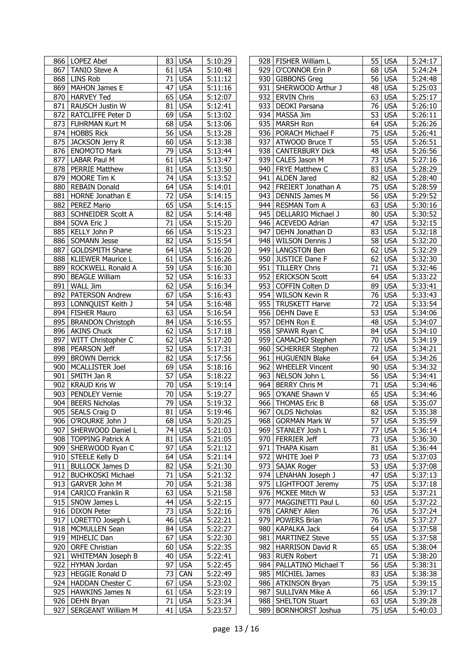|     | 866   LOPEZ Abel          | 83 I            | <b>USA</b> | 5:10:29              |     | 928   FISHER William L    |                 | 55 USA              | 5:24:17 |
|-----|---------------------------|-----------------|------------|----------------------|-----|---------------------------|-----------------|---------------------|---------|
| 867 | <b>TANIO Steve A</b>      | 61              | <b>USA</b> | 5:10:48              | 929 | O'CONNOR Erin P           |                 | 68 USA              | 5:24:24 |
|     | 868 LINS Rob              | 71              | <b>USA</b> | 5:11:12              |     | 930 GIBBONS Greg          |                 | 56 USA              | 5:24:48 |
|     | 869   MAHON James E       | 47              | <b>USA</b> | 5:11:16              | 931 | SHERWOOD Arthur J         |                 | 48 USA              | 5:25:03 |
| 870 | <b>HARVEY Ted</b>         | 65              | <b>USA</b> | 5:12:07              | 932 | <b>ERVIN Chris</b>        |                 | 63 USA              | 5:25:17 |
| 871 | RAUSCH Justin W           | 81              | <b>USA</b> | 5:12:41              | 933 | DEOKI Parsana             | 76              | <b>USA</b>          | 5:26:10 |
| 872 | RATCLIFFE Peter D         | 69              | <b>USA</b> | 5:13:02              | 934 | MASSA Jim                 | $\overline{53}$ | <b>USA</b>          | 5:26:11 |
| 873 | FUHRMAN Kurt M            | 68              | <b>USA</b> | $\overline{5:}13:06$ | 935 | <b>MARSH Ron</b>          | 64              | <b>USA</b>          | 5:26:26 |
| 874 | <b>HOBBS Rick</b>         | $\overline{56}$ | <b>USA</b> | 5:13:28              | 936 | PORACH Michael F          | 75              | <b>USA</b>          | 5:26:41 |
| 875 | <b>JACKSON Jerry R</b>    | 60              | <b>USA</b> | $\overline{5:}13:38$ | 937 | ATWOOD Bruce T            | 55              | <b>USA</b>          | 5:26:51 |
| 876 | <b>ENOMOTO Mark</b>       | 79              | <b>USA</b> | 5:13:44              | 938 | <b>CANTERBURY Dick</b>    | 48              | <b>USA</b>          | 5:26:56 |
| 877 | LABAR Paul M              | 61              | <b>USA</b> | 5:13:47              | 939 | CALES Jason M             |                 | 73 USA              | 5:27:16 |
| 878 | <b>PERRIE Matthew</b>     | 81              | <b>USA</b> | 5:13:50              | 940 | FRYE Matthew C            |                 | 83 USA              | 5:28:29 |
| 879 | MOORE Tim K               | 74              | <b>USA</b> | 5:13:52              |     | 941   ALDEN Jared         |                 | 82 USA              | 5:28:40 |
| 880 | <b>REBAIN Donald</b>      | 64              | <b>USA</b> | 5:14:01              |     | 942   FREIERT Jonathan A  |                 | 75 USA              | 5:28:59 |
| 881 | <b>HORNE Jonathan E</b>   | 72              | <b>USA</b> | 5:14:15              | 943 | <b>DENNIS James M</b>     |                 | 56 USA              | 5:29:52 |
| 882 | PEREZ Mario               | 65              | <b>USA</b> | 5:14:15              | 944 | <b>RESMAN Tom A</b>       |                 | 63 USA              | 5:30:16 |
| 883 | <b>SCHNEIDER Scott A</b>  | 82              | <b>USA</b> | 5:14:48              | 945 | DELLARIO Michael J        |                 | 80 USA              | 5:30:52 |
| 884 | SOVA Eric J               | 71              | <b>USA</b> | 5:15:20              |     | 946   ACEVEDO Adrian      | 47              | <b>USA</b>          | 5:32:15 |
| 885 | KELLY John P              | 66              | <b>USA</b> | 5:15:23              |     | 947 DEHN Jonathan D       | 83              | <b>USA</b>          | 5:32:18 |
| 886 | <b>SOMANN Jesse</b>       | 82              | <b>USA</b> | 5:15:54              | 948 | <b>WILSON Dennis J</b>    |                 | 58 USA              | 5:32:20 |
| 887 | <b>GOLDSMITH Shane</b>    | 64              | <b>USA</b> | 5:16:20              | 949 | <b>LANGSTON Ben</b>       |                 | 62 USA              | 5:32:29 |
| 888 | <b>KLIEWER Maurice L</b>  | 61              | <b>USA</b> | 5:16:26              | 950 | <b>JUSTICE Dane F</b>     | 62              | <b>USA</b>          | 5:32:30 |
| 889 | ROCKWELL Ronald A         | 59              | <b>USA</b> | 5:16:30              | 951 | <b>TILLERY Chris</b>      | 71              | <b>USA</b>          | 5:32:46 |
| 890 | <b>BEAGLE William</b>     | 52              | <b>USA</b> | 5:16:33              | 952 | <b>ERICKSON Scott</b>     | 64              | <b>USA</b>          | 5:33:22 |
| 891 | <b>WALL Jim</b>           | 62              | <b>USA</b> | 5:16:34              | 953 | COFFIN Colten D           |                 | 89 USA              | 5:33:41 |
| 892 | PATERSON Andrew           | 67              | <b>USA</b> | 5:16:43              | 954 | <b>WILSON Kevin R</b>     |                 | 76 USA              | 5:33:43 |
| 893 | LONNQUIST Keith J         | 54              | <b>USA</b> | 5:16:48              | 955 | <b>TRUSKETT Harve</b>     | 72              | <b>USA</b>          | 5:33:54 |
| 894 | <b>FISHER Mauro</b>       | 63              | <b>USA</b> | 5:16:54              |     | 956   DEHN Dave E         | 53              | <b>USA</b>          | 5:34:06 |
| 895 | <b>BRANDON Christoph</b>  | 84              | <b>USA</b> | 5:16:55              | 957 | DEHN Ron E                |                 | 48 USA              | 5:34:07 |
|     | 896 AKINS Chuck           | 62              | <b>USA</b> | 5:17:18              | 958 | SPAWR Ryan C              |                 | 84 USA              | 5:34:10 |
| 897 | WITT Christopher C        | 62              | <b>USA</b> | 5:17:20              |     | 959   CAMACHO Stephen     |                 | 70 USA              | 5:34:19 |
| 898 | PEARSON Jeff              | $\overline{52}$ | <b>USA</b> | $\overline{5:}17:31$ | 960 | <b>SCHERRER Stephen</b>   | $\overline{72}$ | <b>USA</b>          | 5:34:21 |
| 899 | <b>BROWN Derrick</b>      | 82              | <b>USA</b> | 5:17:56              | 961 | <b>HUGUENIN Blake</b>     |                 | 64 USA              | 5:34:26 |
| 900 | <b>MCALLISTER Joel</b>    | 69              | <b>USA</b> | 5:18:16              | 962 | <b>WHEELER Vincent</b>    |                 | 90 USA              | 5:34:32 |
| 901 | SMITH Jan R               | 57              | <b>USA</b> | 5:18:22              | 963 | NELSON John L             |                 | 56 USA              | 5:34:41 |
| 902 | <b>KRAUD Kris W</b>       | 70              | <b>USA</b> | 5:19:14              | 964 | <b>BERRY Chris M</b>      | 71              | <b>USA</b>          | 5:34:46 |
| 903 | PENDLEY Vernie            | 70              | <b>USA</b> | 5:19:27              | 965 | O'KANE Shawn V            | 65              | <b>USA</b>          | 5:34:46 |
| 904 | <b>BEERS Nicholas</b>     | 79              | <b>USA</b> | 5:19:32              |     | 966 THOMAS Eric B         |                 | 68 USA              | 5:35:07 |
|     | 905 SEALS Craig D         |                 | 81 USA     | 5:19:46              |     | 967 OLDS Nicholas         |                 | 82 USA              | 5:35:38 |
|     | 906   O'ROURKE John J     |                 | 68 USA     | 5:20:25              |     | 968   GORMAN Mark W       |                 | 57 USA              | 5:35:59 |
|     | 907   SHERWOOD Daniel L   | 74              | <b>USA</b> | 5:21:03              |     | 969 STANLEY Josh L        |                 | 77 USA              | 5:36:14 |
|     | 908   TOPPING Patrick A   | 81              | <b>USA</b> | 5:21:05              |     | 970   FERRIER Jeff        |                 | 73 USA              | 5:36:30 |
|     | 909 SHERWOOD Ryan C       | 97              | <b>USA</b> | 5:21:12              | 971 | <b>THAPA Kisam</b>        |                 | 81 USA              | 5:36:44 |
|     | 910 STEELE Kelly D        | 64              | <b>USA</b> | 5:21:14              | 972 | WHITE Joel P              |                 | 73 USA              | 5:37:03 |
|     | 911 BULLOCK James D       | 82              | <b>USA</b> | 5:21:30              |     | 973   SAJAK Roger         |                 | 53 USA              | 5:37:08 |
| 912 | <b>BUCHKOSKI Michael</b>  | 71              | <b>USA</b> | 5:21:32              |     | 974 LENAHAN Joseph J      |                 | 47 USA              | 5:37:13 |
|     | 913 GARVER John M         | 70              | <b>USA</b> | 5:21:38              |     | 975   LIGHTFOOT Jeremy    |                 | 75 USA              | 5:37:18 |
|     | 914 CARICO Franklin R     | 63              | <b>USA</b> | 5:21:58              |     | 976   MCKEE Mitch W       |                 | 53 USA              | 5:37:21 |
|     | 915   SNOW James L        | 44              | <b>USA</b> | 5:22:15              | 977 | MAGGINETTI Paul L         |                 | 60 USA              | 5:37:22 |
|     | 916   DIXON Peter         | 73              | <b>USA</b> | 5:22:16              | 978 | <b>CARNEY Allen</b>       |                 | 76 USA              | 5:37:24 |
|     | 917   LORETTO Joseph L    | 46              | <b>USA</b> | 5:22:21              | 979 | <b>POWERS Brian</b>       |                 | 76 USA              | 5:37:27 |
|     | 918   MCMULLEN Sean       | 84              | <b>USA</b> | 5:22:27              |     | 980   KAPALKA Jack        |                 | 64 USA              | 5:37:58 |
|     | 919 MIHELIC Dan           | 67              | <b>USA</b> | 5:22:30              | 981 | <b>MARTINEZ Steve</b>     |                 | 55 USA              | 5:37:58 |
|     | 920   ORFE Christian      | 60              | <b>USA</b> | 5:22:35              | 982 | <b>HARRISON David R</b>   |                 | 65 USA              | 5:38:04 |
| 921 | <b>WHITEMAN Joseph B</b>  | 40              | <b>USA</b> | 5:22:41              | 983 | <b>RUEN Robert</b>        |                 | 71 USA              | 5:38:20 |
| 922 | HYMAN Jordan              | 97              | <b>USA</b> | 5:22:45              |     | 984   PALLATINO Michael T |                 | 56 USA              | 5:38:31 |
| 923 | <b>HEGGIE Ronald D</b>    | 73              | CAN        | 5:22:49              |     | 985   MICHIEL James       |                 | 83 USA              | 5:38:38 |
|     | 924   HADDAN Chester C    | 67              | <b>USA</b> | 5:23:02              |     | 986   ATKINSON Bryan      |                 | 75 USA              | 5:39:15 |
|     | 925   HAWKINS James N     | 61              | <b>USA</b> | 5:23:19              | 987 | <b>SULLIVAN Mike A</b>    |                 | 66 USA              | 5:39:17 |
|     | 926 DEHN Bryan            | 71              | <b>USA</b> | 5:23:34              |     | 988   SHELTON Stuart      |                 | 63 USA              | 5:39:28 |
| 927 | <b>SERGEANT William M</b> | 41              | <b>USA</b> | 5:23:57              | 989 | <b>BORNHORST Joshua</b>   |                 | $\overline{75}$ USA | 5:40:03 |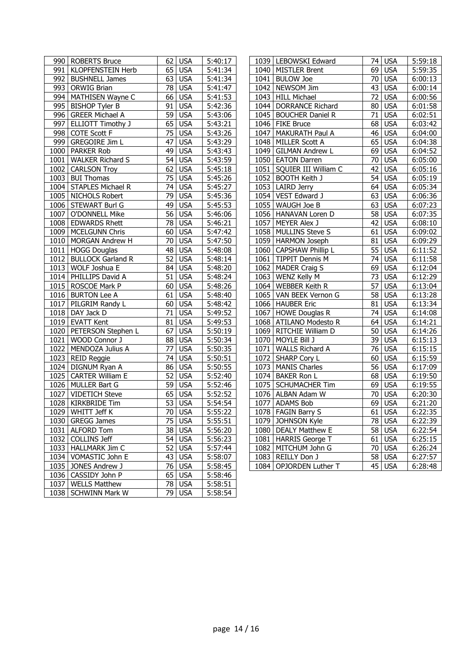|      | 990   ROBERTS Bruce       | 62              | <b>USA</b> | 5:40:17              | 1039 | LEBOWSKI Edward          | 74              | <b>USA</b>          | $\overline{5:}59:18$  |
|------|---------------------------|-----------------|------------|----------------------|------|--------------------------|-----------------|---------------------|-----------------------|
| 991  | <b>KLOPFENSTEIN Herb</b>  | 65              | <b>USA</b> | 5:41:34              | 1040 | <b>MISTLER Brent</b>     | 69              | <b>USA</b>          | $\overline{5}$ :59:35 |
|      | 992 BUSHNELL James        | 63              | <b>USA</b> | 5:41:34              | 1041 | <b>BULOW Joe</b>         | 70              | <b>USA</b>          | 6:00:13               |
|      | 993   ORWIG Brian         | 78              | <b>USA</b> | 5:41:47              | 1042 | NEWSOM Jim               | 43              | <b>USA</b>          | 6:00:14               |
|      | 994 MATHISEN Wayne C      | 66              | <b>USA</b> | 5:41:53              | 1043 | <b>HILL Michael</b>      | 72              | <b>USA</b>          | 6:00:56               |
| 995  | <b>BISHOP Tyler B</b>     | 91              | <b>USA</b> | 5:42:36              | 1044 | <b>DORRANCE Richard</b>  | 80              | <b>USA</b>          | 6:01:58               |
|      | 996 GREER Michael A       | $\overline{59}$ | <b>USA</b> | 5:43:06              | 1045 | <b>BOUCHER Daniel R</b>  | $\overline{71}$ | <b>USA</b>          | 6:02:51               |
| 997  | <b>ELLIOTT Timothy J</b>  | 65              | <b>USA</b> | 5:43:21              | 1046 | <b>FIKE Bruce</b>        | $\overline{68}$ | <b>USA</b>          | 6:03:42               |
|      | 998 COTE Scott F          | 75              | <b>USA</b> | 5:43:26              | 1047 | MAKURATH Paul A          | 46              | <b>USA</b>          | 6:04:00               |
|      | 999 GREGOIRE Jim L        | $\overline{47}$ | <b>USA</b> | 5:43:29              | 1048 | MILLER Scott A           | 65              | <b>USA</b>          | 6:04:38               |
|      | 1000 PARKER Rob           | 49              | <b>USA</b> | 5:43:43              | 1049 | <b>GILMAN Andrew L</b>   | 69              | <b>USA</b>          | 6:04:52               |
| 1001 | <b>WALKER Richard S</b>   | 54              | <b>USA</b> | 5:43:59              | 1050 | <b>EATON Darren</b>      | 70              | <b>USA</b>          | 6:05:00               |
|      | 1002 CARLSON Troy         | 62              | <b>USA</b> | 5:45:18              | 1051 | SQUIER III William C     | 42              | <b>USA</b>          | 6:05:16               |
|      | 1003 BUI Thomas           | 75              | <b>USA</b> | 5:45:26              | 1052 | <b>BOOTH Keith J</b>     | 54              | <b>USA</b>          | 6:05:19               |
|      | 1004 STAPLES Michael R    | 74              | <b>USA</b> | 5:45:27              | 1053 | <b>LAIRD Jerry</b>       | 64              | <b>USA</b>          | 6:05:34               |
|      | 1005 NICHOLS Robert       | 79              | <b>USA</b> | 5:45:36              | 1054 | VEST Edward J            | 63              | <b>USA</b>          | 6:06:36               |
|      | 1006 STEWART Burl G       | 49              | <b>USA</b> | 5:45:53              | 1055 | WAUGH Joe B              | 63              | <b>USA</b>          | 6:07:23               |
|      | 1007 O'DONNELL Mike       | $\overline{56}$ | <b>USA</b> | 5:46:06              | 1056 | HANAVAN Loren D          | $\overline{58}$ | <b>USA</b>          | 6:07:35               |
|      | 1008 EDWARDS Rhett        | 78              | <b>USA</b> | 5:46:21              | 1057 | MEYER Alex J             | 42              | <b>USA</b>          | 6:08:10               |
|      | 1009 MCELGUNN Chris       | 60              | <b>USA</b> | 5:47:42              | 1058 | <b>MULLINS Steve S</b>   | $\overline{61}$ | <b>USA</b>          | 6:09:02               |
|      | 1010   MORGAN Andrew H    | $\overline{70}$ | <b>USA</b> | 5:47:50              | 1059 | <b>HARMON Joseph</b>     | 81              | <b>USA</b>          | 6:09:29               |
|      | 1011   HOGG Douglas       | 48              | <b>USA</b> | $\overline{5:}48:08$ | 1060 | <b>CAPSHAW Phillip L</b> | 55              | <b>USA</b>          | 6:11:52               |
|      | 1012 BULLOCK Garland R    | $\overline{52}$ | <b>USA</b> | 3:48:14              | 1061 | <b>TIPPIT Dennis M</b>   | 74              | <b>USA</b>          | 6:11:58               |
|      | 1013 WOLF Joshua E        | 84              | <b>USA</b> | 5:48:20              | 1062 | <b>MADER Craig S</b>     | 69              | <b>USA</b>          | 6:12:04               |
|      | 1014   PHILLIPS David A   | 51              | <b>USA</b> | 5:48:24              | 1063 | <b>WENZ Kelly M</b>      | 73              | <b>USA</b>          | 6:12:29               |
|      | 1015   ROSCOE Mark P      | 60              | <b>USA</b> | 5:48:26              | 1064 | <b>WEBBER Keith R</b>    | 57              | <b>USA</b>          | 6:13:04               |
|      | 1016 BURTON Lee A         | 61              | <b>USA</b> | $\overline{5:}48:40$ | 1065 | VAN BEEK Vernon G        | $\overline{58}$ | <b>USA</b>          | 6:13:28               |
|      | 1017   PILGRIM Randy L    | 60              | <b>USA</b> | 5:48:42              | 1066 | <b>HAUBER Eric</b>       |                 | $81$ USA            | 6:13:34               |
|      | 1018 DAY Jack D           | 71              | <b>USA</b> | 5:49:52              | 1067 | <b>HOWE Douglas R</b>    | 74              | <b>USA</b>          | 6:14:08               |
|      | 1019 EVATT Kent           | $\overline{81}$ | <b>USA</b> | 5:49:53              | 1068 | <b>ATILANO Modesto R</b> | 64              | <b>USA</b>          | 6:14:21               |
|      | 1020   PETERSON Stephen L | 67              | <b>USA</b> | 5:50:19              | 1069 | RITCHIE William D        | 50              | <b>USA</b>          | 6:14:26               |
| 1021 | WOOD Connor J             | 88              | <b>USA</b> | $\overline{5:}50:34$ | 1070 | MOYLE Bill J             | 39              | <b>USA</b>          | 6:15:13               |
| 1022 | MENDOZA Julius A          | $\overline{77}$ | <b>USA</b> | 5:50:35              | 1071 | <b>WALLS Richard A</b>   | $\overline{76}$ | <b>USA</b>          | 6:15:15               |
| 1023 | <b>REID Reggie</b>        | 74              | <b>USA</b> | 5:50:51              | 1072 | <b>SHARP Cory L</b>      | 60              | <b>USA</b>          | 6:15:59               |
|      | 1024   DIGNUM Ryan A      | 86              | <b>USA</b> | 5:50:55              | 1073 | <b>MANIS Charles</b>     | 56              | <b>USA</b>          | 6:17:09               |
| 1025 | <b>CARTER William E</b>   | 52              | <b>USA</b> | 5:52:40              | 1074 | <b>BAKER Ron L</b>       | 68              | <b>USA</b>          | 6:19:50               |
|      | 1026 MULLER Bart G        | 59              | <b>USA</b> | 5:52:46              | 1075 | <b>SCHUMACHER Tim</b>    | 69              | <b>USA</b>          | 6:19:55               |
| 1027 | <b>VIDETICH Steve</b>     | 65              | <b>USA</b> | 5:52:52              | 1076 | ALBAN Adam W             | 70              | <b>USA</b>          | 6:20:30               |
|      | 1028 KIRKBRIDE Tim        | 53              | <b>USA</b> | 5:54:54              | 1077 | <b>ADAMS Bob</b>         | 69              | <b>USA</b>          | 6:21:20               |
|      | 1029   WHITT Jeff K       |                 | 70 USA     | 5:55:22              |      | 1078   FAGIN Barry S     |                 | 61 USA              | 6:22:35               |
|      | 1030 GREGG James          | 75              | <b>USA</b> | 5:55:51              |      | 1079 JOHNSON Kyle        |                 | <b>78 USA</b>       | 6:22:39               |
|      | 1031 ALFORD Tom           | 38              | <b>USA</b> | 5:56:20              |      | 1080   DEALY Matthew E   |                 | 58 USA              | 6:22:54               |
|      | 1032 COLLINS Jeff         |                 | 54 USA     | 5:56:23              |      | 1081   HARRIS George T   |                 | 61 USA              | 6:25:15               |
|      | 1033   HALLMARK Jim C     | 52              | <b>USA</b> | 5:57:44              | 1082 | MITCHUM John G           |                 | 70 USA              | 6:26:24               |
|      | 1034   VOMASTIC John E    |                 | 43 USA     | 5:58:07              |      | 1083 REILLY Don J        |                 | 58 USA              | 6:27:57               |
|      | 1035 JONES Andrew J       |                 | 76 USA     | $\overline{5:}58:45$ | 1084 | OPJORDEN Luther T        |                 | $\overline{45}$ USA | 6:28:48               |
|      | 1036   CASSIDY John P     |                 | 65 USA     | 5:58:46              |      |                          |                 |                     |                       |
|      | 1037   WELLS Matthew      |                 | 78 USA     | 5:58:51              |      |                          |                 |                     |                       |
|      | 1038   SCHWINN Mark W     |                 | 79 USA     | 5:58:54              |      |                          |                 |                     |                       |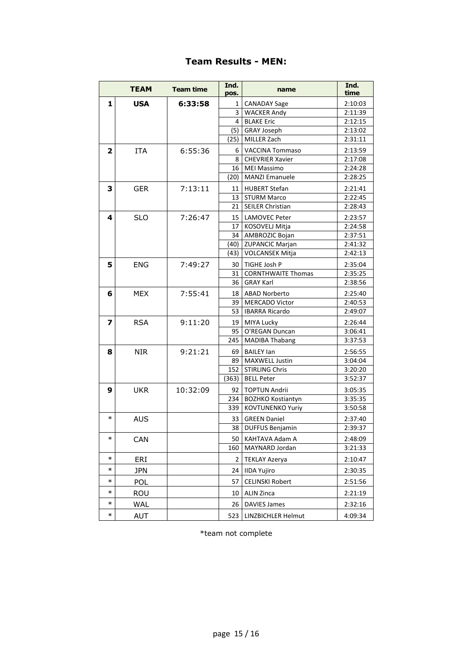## **Team Results - MEN:**

|                         | <b>TEAM</b> | <b>Team time</b> | Ind.<br>pos. | name                      | Ind.<br>time |
|-------------------------|-------------|------------------|--------------|---------------------------|--------------|
| 1                       | <b>USA</b>  | 6:33:58          | 1            | <b>CANADAY Sage</b>       | 2:10:03      |
|                         |             |                  | 3            | <b>WACKER Andy</b>        | 2:11:39      |
|                         |             |                  | 4            | <b>BLAKE Eric</b>         | 2:12:15      |
|                         |             |                  | (5)          | <b>GRAY Joseph</b>        | 2:13:02      |
|                         |             |                  | (25)         | MILLER Zach               | 2:31:11      |
| $\mathbf{2}$            | <b>ITA</b>  | 6:55:36          | 6            | <b>VACCINA Tommaso</b>    | 2:13:59      |
|                         |             |                  | 8            | <b>CHEVRIER Xavier</b>    | 2:17:08      |
|                         |             |                  | 16           | <b>MEI Massimo</b>        | 2:24:28      |
|                         |             |                  | (20)         | <b>MANZI Emanuele</b>     | 2:28:25      |
| 3                       | <b>GER</b>  | 7:13:11          | 11           | <b>HUBERT Stefan</b>      | 2:21:41      |
|                         |             |                  | 13           | <b>STURM Marco</b>        | 2:22:45      |
|                         |             |                  | 21           | <b>SEILER Christian</b>   | 2:28:43      |
| 4                       | <b>SLO</b>  | 7:26:47          | 15           | <b>LAMOVEC Peter</b>      | 2:23:57      |
|                         |             |                  | 17           | KOSOVELJ Mitja            | 2:24:58      |
|                         |             |                  | 34           | AMBROZIC Bojan            | 2:37:51      |
|                         |             |                  | (40)         | <b>ZUPANCIC Marjan</b>    | 2:41:32      |
|                         |             |                  | (43)         | <b>VOLCANSEK Mitja</b>    | 2:42:13      |
| 5                       | <b>ENG</b>  | 7:49:27          | 30           | TIGHE Josh P              | 2:35:04      |
|                         |             |                  | 31           | <b>CORNTHWAITE Thomas</b> | 2:35:25      |
|                         |             |                  | 36           | <b>GRAY Karl</b>          | 2:38:56      |
| 6                       | <b>MEX</b>  | 7:55:41          | 18           | <b>ABAD Norberto</b>      | 2:25:40      |
|                         |             |                  | 39           | <b>MERCADO Victor</b>     | 2:40:53      |
|                         |             |                  | 53           | <b>IBARRA Ricardo</b>     | 2:49:07      |
| $\overline{\mathbf{z}}$ | <b>RSA</b>  | 9:11:20          | 19           | MIYA Lucky                | 2:26:44      |
|                         |             |                  | 95           | O'REGAN Duncan            | 3:06:41      |
|                         |             |                  | 245          | <b>MADIBA Thabang</b>     | 3:37:53      |
| 8                       | <b>NIR</b>  | 9:21:21          | 69           | <b>BAILEY lan</b>         | 2:56:55      |
|                         |             |                  | 89           | <b>MAXWELL Justin</b>     | 3:04:04      |
|                         |             |                  | 152          | <b>STIRLING Chris</b>     | 3:20:20      |
|                         |             |                  | (363)        | <b>BELL Peter</b>         | 3:52:37      |
| 9                       | <b>UKR</b>  | 10:32:09         | 92           | <b>TOPTUN Andrii</b>      | 3:05:35      |
|                         |             |                  | 234          | <b>BOZHKO Kostiantyn</b>  | 3:35:35      |
|                         |             |                  | 339          | <b>KOVTUNENKO Yuriy</b>   | 3:50:58      |
| $\ast$                  | <b>AUS</b>  |                  | 33           | <b>GREEN Daniel</b>       | 2:37:40      |
|                         |             |                  | 38           | <b>DUFFUS Benjamin</b>    | 2:39:37      |
| $\ast$                  | CAN         |                  | 50           | KAHTAVA Adam A            | 2:48:09      |
|                         |             |                  | 160          | MAYNARD Jordan            | 3:21:33      |
| $\ast$                  | ERI         |                  | 2            | <b>TEKLAY Azerya</b>      | 2:10:47      |
| $\ast$                  | <b>JPN</b>  |                  | 24           | <b>IIDA Yujiro</b>        | 2:30:35      |
| $\ast$                  | POL         |                  | 57           | <b>CELINSKI Robert</b>    | 2:51:56      |
| $\ast$                  | ROU         |                  | 10           | <b>ALIN Zinca</b>         | 2:21:19      |
| $\ast$                  | WAL         |                  | 26           | <b>DAVIES James</b>       | 2:32:16      |
| $\ast$                  | AUT         |                  | 523          | LINZBICHLER Helmut        | 4:09:34      |

\*team not complete